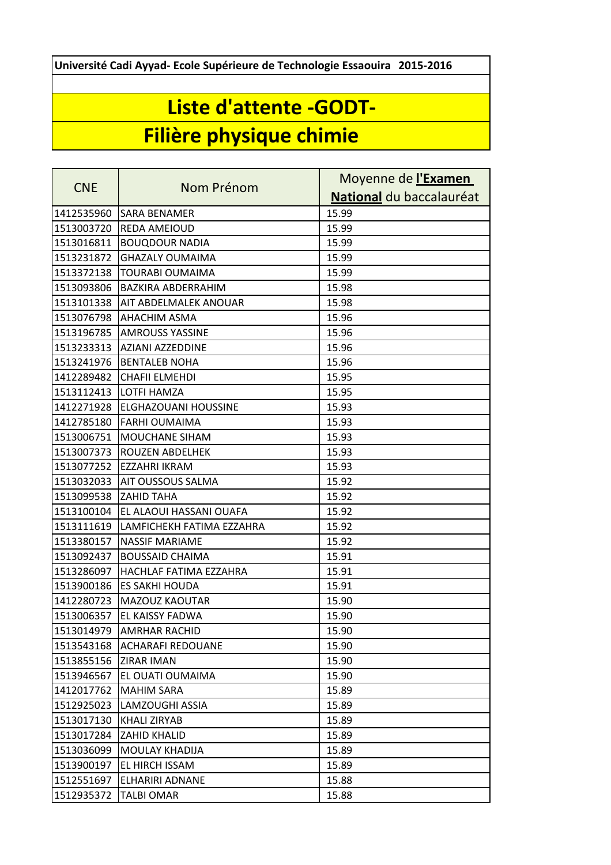**Université Cadi Ayyad- Ecole Supérieure de Technologie Essaouira 2015-2016**

## **Liste d'attente -GODT-**

## **Filière physique chimie**

| <b>CNE</b> | Nom Prénom                | Moyenne de l'Examen      |
|------------|---------------------------|--------------------------|
|            |                           | National du baccalauréat |
| 1412535960 | <b>SARA BENAMER</b>       | 15.99                    |
| 1513003720 | <b>REDA AMEIOUD</b>       | 15.99                    |
| 1513016811 | <b>BOUQDOUR NADIA</b>     | 15.99                    |
| 1513231872 | <b>GHAZALY OUMAIMA</b>    | 15.99                    |
| 1513372138 | <b>TOURABI OUMAIMA</b>    | 15.99                    |
| 1513093806 | <b>BAZKIRA ABDERRAHIM</b> | 15.98                    |
| 1513101338 | AIT ABDELMALEK ANOUAR     | 15.98                    |
| 1513076798 | <b>AHACHIM ASMA</b>       | 15.96                    |
| 1513196785 | <b>AMROUSS YASSINE</b>    | 15.96                    |
| 1513233313 | AZIANI AZZEDDINE          | 15.96                    |
| 1513241976 | <b>BENTALEB NOHA</b>      | 15.96                    |
| 1412289482 | <b>CHAFII ELMEHDI</b>     | 15.95                    |
| 1513112413 | <b>LOTFI HAMZA</b>        | 15.95                    |
| 1412271928 | ELGHAZOUANI HOUSSINE      | 15.93                    |
| 1412785180 | <b>FARHI OUMAIMA</b>      | 15.93                    |
| 1513006751 | MOUCHANE SIHAM            | 15.93                    |
| 1513007373 | ROUZEN ABDELHEK           | 15.93                    |
| 1513077252 | EZZAHRI IKRAM             | 15.93                    |
| 1513032033 | AIT OUSSOUS SALMA         | 15.92                    |
| 1513099538 | <b>ZAHID TAHA</b>         | 15.92                    |
| 1513100104 | EL ALAOUI HASSANI OUAFA   | 15.92                    |
| 1513111619 | LAMFICHEKH FATIMA EZZAHRA | 15.92                    |
| 1513380157 | <b>NASSIF MARIAME</b>     | 15.92                    |
| 1513092437 | <b>BOUSSAID CHAIMA</b>    | 15.91                    |
| 1513286097 | HACHLAF FATIMA EZZAHRA    | 15.91                    |
| 1513900186 | <b>ES SAKHI HOUDA</b>     | 15.91                    |
| 1412280723 | MAZOUZ KAOUTAR            | 15.90                    |
| 1513006357 | EL KAISSY FADWA           | 15.90                    |
| 1513014979 | <b>AMRHAR RACHID</b>      | 15.90                    |
| 1513543168 | <b>ACHARAFI REDOUANE</b>  | 15.90                    |
| 1513855156 | ZIRAR IMAN                | 15.90                    |
| 1513946567 | EL OUATI OUMAIMA          | 15.90                    |
| 1412017762 | <b>MAHIM SARA</b>         | 15.89                    |
| 1512925023 | LAMZOUGHI ASSIA           | 15.89                    |
| 1513017130 | KHALI ZIRYAB              | 15.89                    |
| 1513017284 | ZAHID KHALID              | 15.89                    |
| 1513036099 | MOULAY KHADIJA            | 15.89                    |
| 1513900197 | EL HIRCH ISSAM            | 15.89                    |
| 1512551697 | ELHARIRI ADNANE           | 15.88                    |
| 1512935372 | <b>TALBI OMAR</b>         | 15.88                    |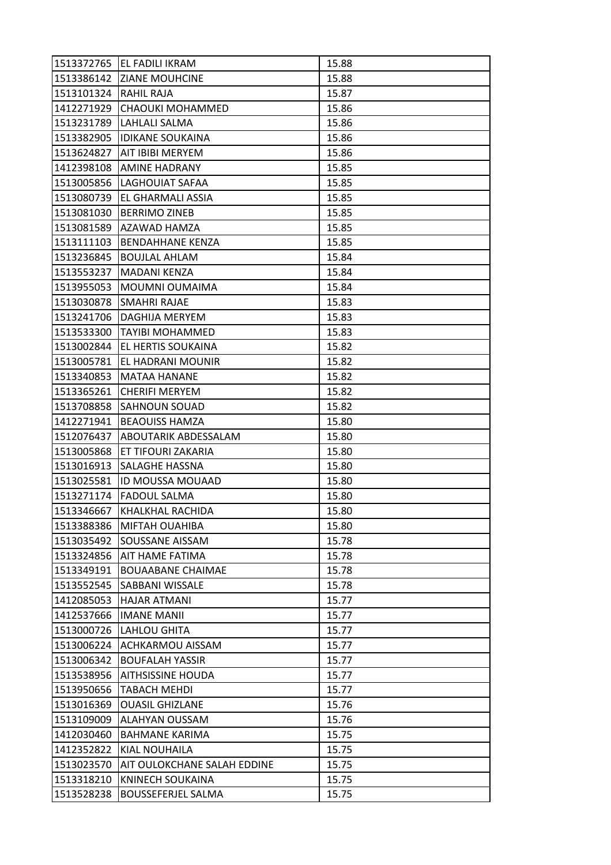|            | 1513372765 EL FADILI IKRAM  | 15.88 |
|------------|-----------------------------|-------|
| 1513386142 | <b>ZIANE MOUHCINE</b>       | 15.88 |
| 1513101324 | RAHIL RAJA                  | 15.87 |
| 1412271929 | CHAOUKI MOHAMMED            | 15.86 |
| 1513231789 | LAHLALI SALMA               | 15.86 |
| 1513382905 | <b>IDIKANE SOUKAINA</b>     | 15.86 |
| 1513624827 | <b>AIT IBIBI MERYEM</b>     | 15.86 |
| 1412398108 | AMINE HADRANY               | 15.85 |
| 1513005856 | <b>LAGHOUIAT SAFAA</b>      | 15.85 |
| 1513080739 | <b>EL GHARMALI ASSIA</b>    | 15.85 |
| 1513081030 | <b>BERRIMO ZINEB</b>        | 15.85 |
| 1513081589 | AZAWAD HAMZA                | 15.85 |
| 1513111103 | <b>BENDAHHANE KENZA</b>     | 15.85 |
| 1513236845 | <b>BOUJLAL AHLAM</b>        | 15.84 |
| 1513553237 | <b>MADANI KENZA</b>         | 15.84 |
| 1513955053 | MOUMNI OUMAIMA              | 15.84 |
| 1513030878 | <b>SMAHRI RAJAE</b>         | 15.83 |
| 1513241706 | DAGHIJA MERYEM              | 15.83 |
| 1513533300 | TAYIBI MOHAMMED             | 15.83 |
| 1513002844 | JEL HERTIS SOUKAINA         | 15.82 |
| 1513005781 | <b>EL HADRANI MOUNIR</b>    | 15.82 |
| 1513340853 | lMATAA HANANE               | 15.82 |
| 1513365261 | <b>CHERIFI MERYEM</b>       | 15.82 |
| 1513708858 | <b>SAHNOUN SOUAD</b>        | 15.82 |
| 1412271941 | <b>BEAOUISS HAMZA</b>       | 15.80 |
| 1512076437 | <b>ABOUTARIK ABDESSALAM</b> | 15.80 |
| 1513005868 | ET TIFOURI ZAKARIA          | 15.80 |
| 1513016913 | <b>SALAGHE HASSNA</b>       | 15.80 |
| 1513025581 | <b>ID MOUSSA MOUAAD</b>     | 15.80 |
| 1513271174 | <b>FADOUL SALMA</b>         | 15.80 |
| 1513346667 | KHALKHAL RACHIDA            | 15.80 |
| 1513388386 | MIFTAH OUAHIBA              | 15.80 |
| 1513035492 | <b>SOUSSANE AISSAM</b>      | 15.78 |
| 1513324856 | <b>AIT HAME FATIMA</b>      | 15.78 |
| 1513349191 | <b>BOUAABANE CHAIMAE</b>    | 15.78 |
| 1513552545 | SABBANI WISSALE             | 15.78 |
| 1412085053 | <b>HAJAR ATMANI</b>         | 15.77 |
| 1412537666 | <b>IMANE MANII</b>          | 15.77 |
| 1513000726 | LAHLOU GHITA                | 15.77 |
| 1513006224 | <b>ACHKARMOU AISSAM</b>     | 15.77 |
| 1513006342 | <b>BOUFALAH YASSIR</b>      | 15.77 |
| 1513538956 | <b>AITHSISSINE HOUDA</b>    | 15.77 |
| 1513950656 | <b>TABACH MEHDI</b>         | 15.77 |
| 1513016369 | <b>OUASIL GHIZLANE</b>      | 15.76 |
| 1513109009 | <b>ALAHYAN OUSSAM</b>       | 15.76 |
| 1412030460 | <b>BAHMANE KARIMA</b>       | 15.75 |
| 1412352822 | <b>KIAL NOUHAILA</b>        | 15.75 |
| 1513023570 | AIT OULOKCHANE SALAH EDDINE | 15.75 |
| 1513318210 | KNINECH SOUKAINA            | 15.75 |
| 1513528238 | <b>BOUSSEFERJEL SALMA</b>   | 15.75 |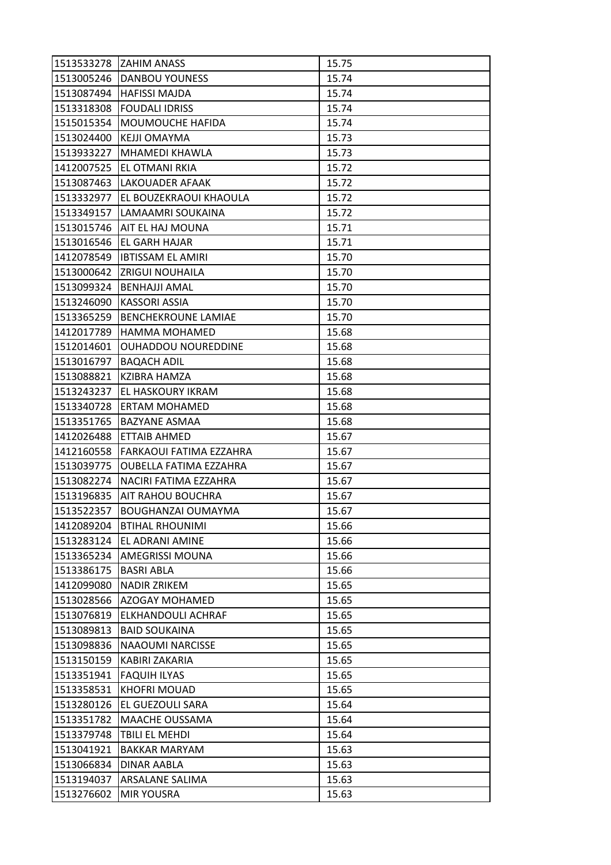|            | 1513533278 ZAHIM ANASS        | 15.75 |
|------------|-------------------------------|-------|
|            | 1513005246   DANBOU YOUNESS   | 15.74 |
| 1513087494 | HAFISSI MAJDA                 | 15.74 |
| 1513318308 | <b>FOUDALI IDRISS</b>         | 15.74 |
| 1515015354 | MOUMOUCHE HAFIDA              | 15.74 |
| 1513024400 | KEJJI OMAYMA                  | 15.73 |
| 1513933227 | <b>MHAMEDI KHAWLA</b>         | 15.73 |
| 1412007525 | <b>EL OTMANI RKIA</b>         | 15.72 |
| 1513087463 | <b>LAKOUADER AFAAK</b>        | 15.72 |
| 1513332977 | EL BOUZEKRAOUI KHAOULA        | 15.72 |
| 1513349157 | LAMAAMRI SOUKAINA             | 15.72 |
| 1513015746 | <b>AIT EL HAJ MOUNA</b>       | 15.71 |
| 1513016546 | <b>EL GARH HAJAR</b>          | 15.71 |
| 1412078549 | <b>IBTISSAM EL AMIRI</b>      | 15.70 |
| 1513000642 | <b>ZRIGUI NOUHAILA</b>        | 15.70 |
| 1513099324 | <b>BENHAJJI AMAL</b>          | 15.70 |
| 1513246090 | <b>KASSORI ASSIA</b>          | 15.70 |
| 1513365259 | <b>BENCHEKROUNE LAMIAE</b>    | 15.70 |
| 1412017789 | <b>HAMMA MOHAMED</b>          | 15.68 |
| 1512014601 | <b>OUHADDOU NOUREDDINE</b>    | 15.68 |
| 1513016797 | <b>BAQACH ADIL</b>            | 15.68 |
| 1513088821 | KZIBRA HAMZA                  | 15.68 |
| 1513243237 | EL HASKOURY IKRAM             | 15.68 |
| 1513340728 | <b>ERTAM MOHAMED</b>          | 15.68 |
| 1513351765 | BAZYANE ASMAA                 | 15.68 |
| 1412026488 | ETTAIB AHMED                  | 15.67 |
| 1412160558 | FARKAOUI FATIMA EZZAHRA       | 15.67 |
| 1513039775 | <b>OUBELLA FATIMA EZZAHRA</b> | 15.67 |
| 1513082274 | NACIRI FATIMA EZZAHRA         | 15.67 |
| 1513196835 | <b>AIT RAHOU BOUCHRA</b>      | 15.67 |
| 1513522357 | <b>BOUGHANZAI OUMAYMA</b>     | 15.67 |
| 1412089204 | <b>BTIHAL RHOUNIMI</b>        | 15.66 |
| 1513283124 | <b>EL ADRANI AMINE</b>        | 15.66 |
| 1513365234 | <b>AMEGRISSI MOUNA</b>        | 15.66 |
| 1513386175 | <b>BASRI ABLA</b>             | 15.66 |
| 1412099080 | <b>NADIR ZRIKEM</b>           | 15.65 |
| 1513028566 | <b>AZOGAY MOHAMED</b>         | 15.65 |
| 1513076819 | <b>ELKHANDOULI ACHRAF</b>     | 15.65 |
| 1513089813 | <b>BAID SOUKAINA</b>          | 15.65 |
| 1513098836 | <b>NAAOUMI NARCISSE</b>       | 15.65 |
| 1513150159 | <b>KABIRI ZAKARIA</b>         | 15.65 |
| 1513351941 | <b>FAQUIH ILYAS</b>           | 15.65 |
| 1513358531 | <b>KHOFRI MOUAD</b>           | 15.65 |
| 1513280126 | <b>EL GUEZOULI SARA</b>       | 15.64 |
| 1513351782 | <b>MAACHE OUSSAMA</b>         | 15.64 |
| 1513379748 | TBILI EL MEHDI                | 15.64 |
| 1513041921 | <b>BAKKAR MARYAM</b>          | 15.63 |
| 1513066834 | DINAR AABLA                   | 15.63 |
| 1513194037 | ARSALANE SALIMA               | 15.63 |
| 1513276602 | <b>MIR YOUSRA</b>             | 15.63 |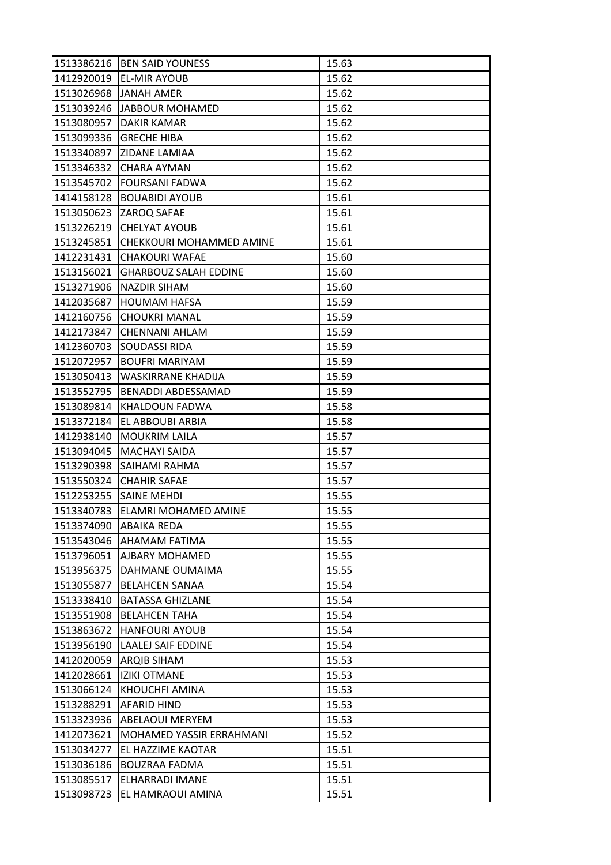| 1513386216 | <b>BEN SAID YOUNESS</b>      | 15.63 |
|------------|------------------------------|-------|
| 1412920019 | <b>EL-MIR AYOUB</b>          | 15.62 |
| 1513026968 | <b>JANAH AMER</b>            | 15.62 |
| 1513039246 | JABBOUR MOHAMED              | 15.62 |
| 1513080957 | <b>DAKIR KAMAR</b>           | 15.62 |
| 1513099336 | <b>GRECHE HIBA</b>           | 15.62 |
| 1513340897 | <b>ZIDANE LAMIAA</b>         | 15.62 |
| 1513346332 | <b>CHARA AYMAN</b>           | 15.62 |
| 1513545702 | <b>FOURSANI FADWA</b>        | 15.62 |
| 1414158128 | <b>BOUABIDI AYOUB</b>        | 15.61 |
| 1513050623 | <b>ZAROQ SAFAE</b>           | 15.61 |
| 1513226219 | <b>CHELYAT AYOUB</b>         | 15.61 |
| 1513245851 | CHEKKOURI MOHAMMED AMINE     | 15.61 |
| 1412231431 | <b>CHAKOURI WAFAE</b>        | 15.60 |
| 1513156021 | <b>GHARBOUZ SALAH EDDINE</b> | 15.60 |
| 1513271906 | <b>NAZDIR SIHAM</b>          | 15.60 |
| 1412035687 | <b>HOUMAM HAFSA</b>          | 15.59 |
| 1412160756 | <b>CHOUKRI MANAL</b>         | 15.59 |
| 1412173847 | <b>CHENNANI AHLAM</b>        | 15.59 |
| 1412360703 | <b>SOUDASSI RIDA</b>         | 15.59 |
| 1512072957 | <b>BOUFRI MARIYAM</b>        | 15.59 |
| 1513050413 | WASKIRRANE KHADIJA           | 15.59 |
| 1513552795 | BENADDI ABDESSAMAD           | 15.59 |
| 1513089814 | KHALDOUN FADWA               | 15.58 |
| 1513372184 | EL ABBOUBI ARBIA             | 15.58 |
| 1412938140 | <b>MOUKRIM LAILA</b>         | 15.57 |
| 1513094045 | <b>MACHAYI SAIDA</b>         | 15.57 |
| 1513290398 | <b>SAIHAMI RAHMA</b>         | 15.57 |
| 1513550324 | <b>CHAHIR SAFAE</b>          | 15.57 |
| 1512253255 | <b>SAINE MEHDI</b>           | 15.55 |
| 1513340783 | <b>ELAMRI MOHAMED AMINE</b>  | 15.55 |
| 1513374090 | <b>ABAIKA REDA</b>           | 15.55 |
| 1513543046 | <b>AHAMAM FATIMA</b>         | 15.55 |
| 1513796051 | <b>AJBARY MOHAMED</b>        | 15.55 |
| 1513956375 | DAHMANE OUMAIMA              | 15.55 |
| 1513055877 | <b>BELAHCEN SANAA</b>        | 15.54 |
| 1513338410 | <b>BATASSA GHIZLANE</b>      | 15.54 |
| 1513551908 | <b>BELAHCEN TAHA</b>         | 15.54 |
| 1513863672 | <b>HANFOURI AYOUB</b>        | 15.54 |
| 1513956190 | <b>LAALEJ SAIF EDDINE</b>    | 15.54 |
| 1412020059 | <b>ARQIB SIHAM</b>           | 15.53 |
| 1412028661 | <b>IZIKI OTMANE</b>          | 15.53 |
| 1513066124 | KHOUCHFI AMINA               | 15.53 |
| 1513288291 | AFARID HIND                  | 15.53 |
| 1513323936 | <b>ABELAOUI MERYEM</b>       | 15.53 |
| 1412073621 | MOHAMED YASSIR ERRAHMANI     | 15.52 |
| 1513034277 | EL HAZZIME KAOTAR            | 15.51 |
| 1513036186 | <b>BOUZRAA FADMA</b>         | 15.51 |
| 1513085517 | ELHARRADI IMANE              | 15.51 |
| 1513098723 | EL HAMRAOUI AMINA            | 15.51 |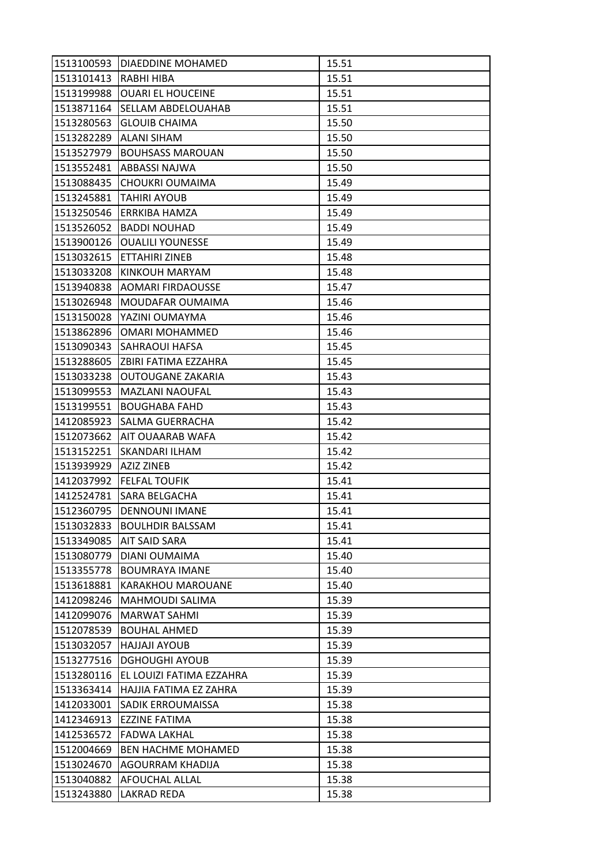| 1513100593            | <b>DIAEDDINE MOHAMED</b>    | 15.51 |
|-----------------------|-----------------------------|-------|
| 1513101413 RABHI HIBA |                             | 15.51 |
| 1513199988            | <b>JOUARI EL HOUCEINE</b>   | 15.51 |
| 1513871164            | <b>SELLAM ABDELOUAHAB</b>   | 15.51 |
| 1513280563            | <b>GLOUIB CHAIMA</b>        | 15.50 |
| 1513282289            | <b>ALANI SIHAM</b>          | 15.50 |
| 1513527979            | <b>BOUHSASS MAROUAN</b>     | 15.50 |
| 1513552481            | ABBASSI NAJWA               | 15.50 |
| 1513088435            | <b>CHOUKRI OUMAIMA</b>      | 15.49 |
| 1513245881            | TAHIRI AYOUB                | 15.49 |
|                       | 1513250546 ERRKIBA HAMZA    | 15.49 |
| 1513526052            | <b>BADDI NOUHAD</b>         | 15.49 |
| 1513900126            | <b>OUALILI YOUNESSE</b>     | 15.49 |
| 1513032615            | <b>ETTAHIRI ZINEB</b>       | 15.48 |
| 1513033208            | KINKOUH MARYAM              | 15.48 |
| 1513940838            | AOMARI FIRDAOUSSE           | 15.47 |
| 1513026948            | <b>MOUDAFAR OUMAIMA</b>     | 15.46 |
| 1513150028            | IYAZINI OUMAYMA             | 15.46 |
| 1513862896            | OMARI MOHAMMED              | 15.46 |
| 1513090343            | <b>SAHRAOUI HAFSA</b>       | 15.45 |
| 1513288605            | <b>ZBIRI FATIMA EZZAHRA</b> | 15.45 |
| 1513033238            | OUTOUGANE ZAKARIA           | 15.43 |
| 1513099553            | MAZLANI NAOUFAL             | 15.43 |
| 1513199551            | <b>BOUGHABA FAHD</b>        | 15.43 |
| 1412085923            | <b>SALMA GUERRACHA</b>      | 15.42 |
| 1512073662            | <b>AIT OUAARAB WAFA</b>     | 15.42 |
| 1513152251            | ISKANDARI ILHAM             | 15.42 |
| 1513939929            | <b>AZIZ ZINEB</b>           | 15.42 |
|                       | 1412037992 FELFAL TOUFIK    | 15.41 |
| 1412524781            | <b>SARA BELGACHA</b>        | 15.41 |
| 1512360795            | <b>DENNOUNI IMANE</b>       | 15.41 |
| 1513032833            | <b>BOULHDIR BALSSAM</b>     | 15.41 |
| 1513349085            | <b>AIT SAID SARA</b>        | 15.41 |
| 1513080779            | <b>DIANI OUMAIMA</b>        | 15.40 |
| 1513355778            | <b>BOUMRAYA IMANE</b>       | 15.40 |
| 1513618881            | <b>KARAKHOU MAROUANE</b>    | 15.40 |
| 1412098246            | MAHMOUDI SALIMA             | 15.39 |
| 1412099076            | <b>MARWAT SAHMI</b>         | 15.39 |
| 1512078539            | <b>BOUHAL AHMED</b>         | 15.39 |
| 1513032057            | <b>HAJJAJI AYOUB</b>        | 15.39 |
| 1513277516            | <b>DGHOUGHI AYOUB</b>       | 15.39 |
| 1513280116            | EL LOUIZI FATIMA EZZAHRA    | 15.39 |
| 1513363414            | HAJJIA FATIMA EZ ZAHRA      | 15.39 |
| 1412033001            | SADIK ERROUMAISSA           | 15.38 |
| 1412346913            | <b>EZZINE FATIMA</b>        | 15.38 |
| 1412536572            | <b>FADWA LAKHAL</b>         | 15.38 |
| 1512004669            | <b>BEN HACHME MOHAMED</b>   | 15.38 |
| 1513024670            | AGOURRAM KHADIJA            | 15.38 |
| 1513040882            | <b>AFOUCHAL ALLAL</b>       | 15.38 |
| 1513243880            | <b>LAKRAD REDA</b>          | 15.38 |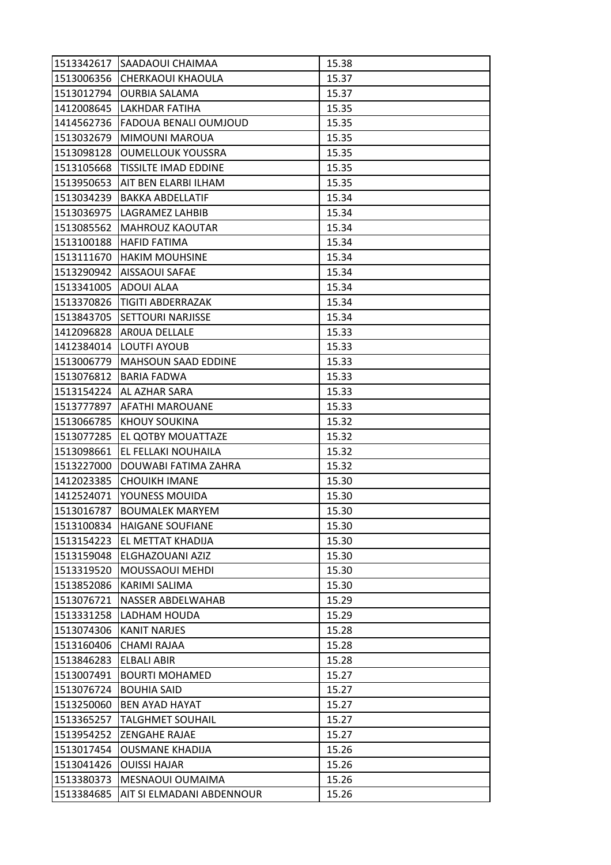|                       | 1513342617 SAADAOUI CHAIMAA  | 15.38 |
|-----------------------|------------------------------|-------|
|                       | 1513006356 CHERKAOUI KHAOULA | 15.37 |
| 1513012794            | <b>OURBIA SALAMA</b>         | 15.37 |
| 1412008645            | LAKHDAR FATIHA               | 15.35 |
| 1414562736            | <b>FADOUA BENALI OUMJOUD</b> | 15.35 |
| 1513032679            | <b>MIMOUNI MAROUA</b>        | 15.35 |
| 1513098128            | <b>OUMELLOUK YOUSSRA</b>     | 15.35 |
| 1513105668            | <b>TISSILTE IMAD EDDINE</b>  | 15.35 |
| 1513950653            | AIT BEN ELARBI ILHAM         | 15.35 |
| 1513034239            | BAKKA ABDELLATIF             | 15.34 |
|                       | 1513036975   LAGRAMEZ LAHBIB | 15.34 |
| 1513085562            | MAHROUZ KAOUTAR              | 15.34 |
| 1513100188            | IHAFID FATIMA                | 15.34 |
| 1513111670            | <b>HAKIM MOUHSINE</b>        | 15.34 |
| 1513290942            | <b>AISSAOUI SAFAE</b>        | 15.34 |
| 1513341005 ADOUI ALAA |                              | 15.34 |
| 1513370826            | <b>TIGITI ABDERRAZAK</b>     | 15.34 |
| 1513843705            | <b>SETTOURI NARJISSE</b>     | 15.34 |
| 1412096828            | AROUA DELLALE                | 15.33 |
|                       | 1412384014  LOUTFI AYOUB     | 15.33 |
| 1513006779            | MAHSOUN SAAD EDDINE          | 15.33 |
| 1513076812            | <b>BARIA FADWA</b>           | 15.33 |
| 1513154224            | AL AZHAR SARA                | 15.33 |
| 1513777897            | <b>AFATHI MAROUANE</b>       | 15.33 |
| 1513066785            | <b>KHOUY SOUKINA</b>         | 15.32 |
| 1513077285            | <b>EL QOTBY MOUATTAZE</b>    | 15.32 |
| 1513098661            | EL FELLAKI NOUHAILA          | 15.32 |
| 1513227000            | <b>DOUWABI FATIMA ZAHRA</b>  | 15.32 |
| 1412023385            | <b>CHOUIKH IMANE</b>         | 15.30 |
| 1412524071            | YOUNESS MOUIDA               | 15.30 |
| 1513016787            | <b>BOUMALEK MARYEM</b>       | 15.30 |
| 1513100834            | <b>HAIGANE SOUFIANE</b>      | 15.30 |
| 1513154223            | <b>EL METTAT KHADIJA</b>     | 15.30 |
| 1513159048            | ELGHAZOUANI AZIZ             | 15.30 |
| 1513319520            | <b>MOUSSAOUI MEHDI</b>       | 15.30 |
| 1513852086            | <b>KARIMI SALIMA</b>         | 15.30 |
| 1513076721            | <b>NASSER ABDELWAHAB</b>     | 15.29 |
| 1513331258            | LADHAM HOUDA                 | 15.29 |
| 1513074306            | <b>KANIT NARJES</b>          | 15.28 |
| 1513160406            | <b>CHAMI RAJAA</b>           | 15.28 |
| 1513846283            | <b>ELBALI ABIR</b>           | 15.28 |
| 1513007491            | <b>BOURTI MOHAMED</b>        | 15.27 |
| 1513076724            | <b>BOUHIA SAID</b>           | 15.27 |
| 1513250060            | <b>BEN AYAD HAYAT</b>        | 15.27 |
| 1513365257            | <b>TALGHMET SOUHAIL</b>      | 15.27 |
| 1513954252            | <b>ZENGAHE RAJAE</b>         | 15.27 |
| 1513017454            | <b>OUSMANE KHADIJA</b>       | 15.26 |
| 1513041426            | <b>OUISSI HAJAR</b>          | 15.26 |
| 1513380373            | MESNAOUI OUMAIMA             | 15.26 |
| 1513384685            | AIT SI ELMADANI ABDENNOUR    | 15.26 |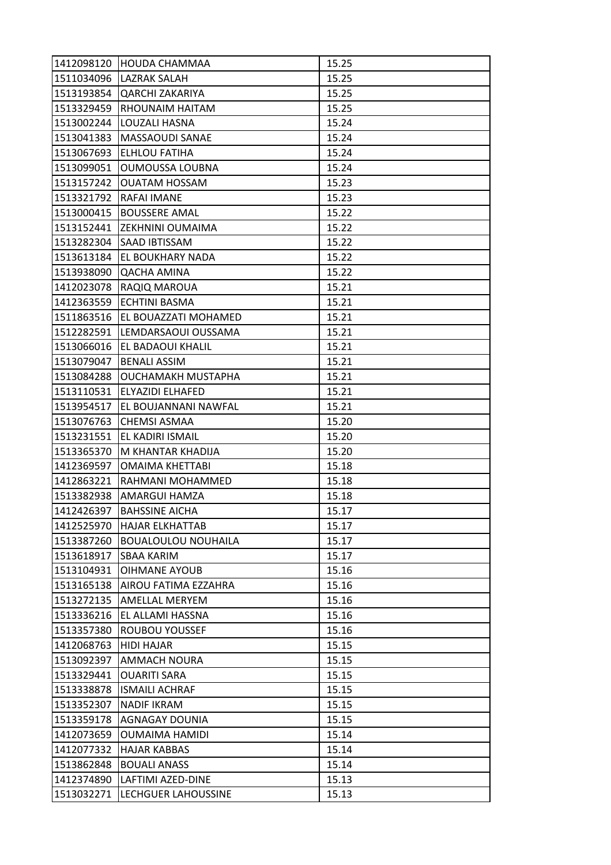|            | 1412098120 HOUDA CHAMMAA      | 15.25 |
|------------|-------------------------------|-------|
|            | 1511034096   LAZRAK SALAH     | 15.25 |
| 1513193854 | <b>QARCHI ZAKARIYA</b>        | 15.25 |
| 1513329459 | <b>RHOUNAIM HAITAM</b>        | 15.25 |
| 1513002244 | LOUZALI HASNA                 | 15.24 |
| 1513041383 | <b>MASSAOUDI SANAE</b>        | 15.24 |
| 1513067693 | <b>ELHLOU FATIHA</b>          | 15.24 |
| 1513099051 | <b>OUMOUSSA LOUBNA</b>        | 15.24 |
| 1513157242 | OUATAM HOSSAM                 | 15.23 |
| 1513321792 | RAFAI IMANE                   | 15.23 |
| 1513000415 | <b>BOUSSERE AMAL</b>          | 15.22 |
|            | 1513152441  ZEKHNINI OUMAIMA  | 15.22 |
| 1513282304 | SAAD IBTISSAM                 | 15.22 |
| 1513613184 | <b>EL BOUKHARY NADA</b>       | 15.22 |
| 1513938090 | QACHA AMINA                   | 15.22 |
|            | 1412023078 RAQIQ MAROUA       | 15.21 |
| 1412363559 | <b>ECHTINI BASMA</b>          | 15.21 |
| 1511863516 | <b>EL BOUAZZATI MOHAMED</b>   | 15.21 |
| 1512282591 | LEMDARSAOUI OUSSAMA           | 15.21 |
|            | 1513066016 TEL BADAOUI KHALIL | 15.21 |
| 1513079047 | <b>BENALI ASSIM</b>           | 15.21 |
| 1513084288 | OUCHAMAKH MUSTAPHA            | 15.21 |
| 1513110531 | <b>ELYAZIDI ELHAFED</b>       | 15.21 |
| 1513954517 | <b>EL BOUJANNANI NAWFAL</b>   | 15.21 |
| 1513076763 | ICHEMSI ASMAA                 | 15.20 |
|            | 1513231551 EL KADIRI ISMAIL   | 15.20 |
| 1513365370 | M KHANTAR KHADIJA             | 15.20 |
| 1412369597 | <b>OMAIMA KHETTABI</b>        | 15.18 |
| 1412863221 | RAHMANI MOHAMMED              | 15.18 |
| 1513382938 | AMARGUI HAMZA                 | 15.18 |
| 1412426397 | <b>BAHSSINE AICHA</b>         | 15.17 |
| 1412525970 | <b>HAJAR ELKHATTAB</b>        | 15.17 |
| 1513387260 | <b>BOUALOULOU NOUHAILA</b>    | 15.17 |
| 1513618917 | <b>SBAA KARIM</b>             | 15.17 |
| 1513104931 | <b>OIHMANE AYOUB</b>          | 15.16 |
| 1513165138 | AIROU FATIMA EZZAHRA          | 15.16 |
| 1513272135 | AMELLAL MERYEM                | 15.16 |
| 1513336216 | EL ALLAMI HASSNA              | 15.16 |
| 1513357380 | ROUBOU YOUSSEF                | 15.16 |
| 1412068763 | <b>HIDI HAJAR</b>             | 15.15 |
| 1513092397 | <b>AMMACH NOURA</b>           | 15.15 |
| 1513329441 | <b>OUARITI SARA</b>           | 15.15 |
| 1513338878 | <b>ISMAILI ACHRAF</b>         | 15.15 |
| 1513352307 | <b>NADIF IKRAM</b>            | 15.15 |
| 1513359178 | AGNAGAY DOUNIA                | 15.15 |
| 1412073659 | <b>OUMAIMA HAMIDI</b>         | 15.14 |
| 1412077332 | <b>HAJAR KABBAS</b>           | 15.14 |
| 1513862848 | <b>BOUALI ANASS</b>           | 15.14 |
| 1412374890 | LAFTIMI AZED-DINE             | 15.13 |
| 1513032271 | <b>LECHGUER LAHOUSSINE</b>    | 15.13 |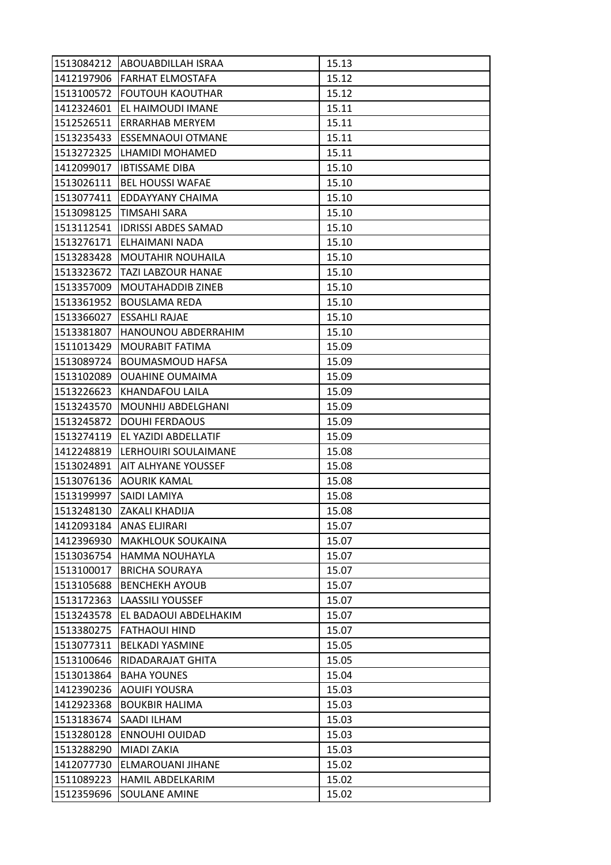|            | 1513084212 ABOUABDILLAH ISRAA | 15.13 |
|------------|-------------------------------|-------|
| 1412197906 | <b>FARHAT ELMOSTAFA</b>       | 15.12 |
| 1513100572 | <b>FOUTOUH KAOUTHAR</b>       | 15.12 |
| 1412324601 | EL HAIMOUDI IMANE             | 15.11 |
| 1512526511 | <b>ERRARHAB MERYEM</b>        | 15.11 |
| 1513235433 | <b>ESSEMNAOUI OTMANE</b>      | 15.11 |
|            | 1513272325 LHAMIDI MOHAMED    | 15.11 |
| 1412099017 | <b>IBTISSAME DIBA</b>         | 15.10 |
| 1513026111 | <b>BEL HOUSSI WAFAE</b>       | 15.10 |
| 1513077411 | IEDDAYYANY CHAIMA             | 15.10 |
| 1513098125 | <b>TIMSAHI SARA</b>           | 15.10 |
| 1513112541 | <b>IDRISSI ABDES SAMAD</b>    | 15.10 |
| 1513276171 | ELHAIMANI NADA                | 15.10 |
| 1513283428 | <b>MOUTAHIR NOUHAILA</b>      | 15.10 |
| 1513323672 | <b>TAZI LABZOUR HANAE</b>     | 15.10 |
| 1513357009 | <b>MOUTAHADDIB ZINEB</b>      | 15.10 |
| 1513361952 | <b>BOUSLAMA REDA</b>          | 15.10 |
| 1513366027 | <b>ESSAHLI RAJAE</b>          | 15.10 |
| 1513381807 | HANOUNOU ABDERRAHIM           | 15.10 |
| 1511013429 | <b>MOURABIT FATIMA</b>        | 15.09 |
| 1513089724 | <b>BOUMASMOUD HAFSA</b>       | 15.09 |
| 1513102089 | <b>OUAHINE OUMAIMA</b>        | 15.09 |
| 1513226623 | <b>KHANDAFOU LAILA</b>        | 15.09 |
| 1513243570 | <b>MOUNHIJ ABDELGHANI</b>     | 15.09 |
| 1513245872 | <b>DOUHI FERDAOUS</b>         | 15.09 |
| 1513274119 | <b>EL YAZIDI ABDELLATIF</b>   | 15.09 |
| 1412248819 | LERHOUIRI SOULAIMANE          | 15.08 |
| 1513024891 | <b>AIT ALHYANE YOUSSEF</b>    | 15.08 |
| 1513076136 | AOURIK KAMAL                  | 15.08 |
| 1513199997 | <b>SAIDI LAMIYA</b>           | 15.08 |
| 1513248130 | <b>ZAKALI KHADIJA</b>         | 15.08 |
| 1412093184 | <b>ANAS ELJIRARI</b>          | 15.07 |
| 1412396930 | <b>MAKHLOUK SOUKAINA</b>      | 15.07 |
| 1513036754 | HAMMA NOUHAYLA                | 15.07 |
| 1513100017 | <b>BRICHA SOURAYA</b>         | 15.07 |
| 1513105688 | <b>BENCHEKH AYOUB</b>         | 15.07 |
| 1513172363 | LAASSILI YOUSSEF              | 15.07 |
| 1513243578 | EL BADAOUI ABDELHAKIM         | 15.07 |
| 1513380275 | FATHAOUI HIND                 | 15.07 |
| 1513077311 | <b>BELKADI YASMINE</b>        | 15.05 |
| 1513100646 | RIDADARAJAT GHITA             | 15.05 |
| 1513013864 | <b>BAHA YOUNES</b>            | 15.04 |
| 1412390236 | <b>AOUIFI YOUSRA</b>          | 15.03 |
| 1412923368 | <b>BOUKBIR HALIMA</b>         | 15.03 |
| 1513183674 | SAADI ILHAM                   | 15.03 |
| 1513280128 | <b>ENNOUHI OUIDAD</b>         | 15.03 |
| 1513288290 | <b>MIADI ZAKIA</b>            | 15.03 |
| 1412077730 | ELMAROUANI JIHANE             | 15.02 |
| 1511089223 | HAMIL ABDELKARIM              | 15.02 |
| 1512359696 | <b>SOULANE AMINE</b>          | 15.02 |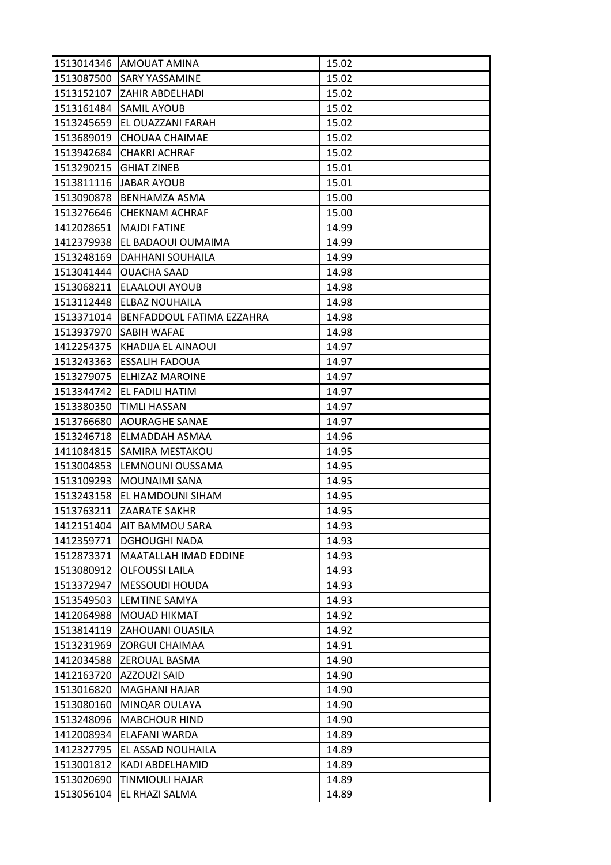| 1513014346 | <b>JAMOUAT AMINA</b>             | 15.02 |
|------------|----------------------------------|-------|
| 1513087500 | <b>SARY YASSAMINE</b>            | 15.02 |
| 1513152107 | <b>ZAHIR ABDELHADI</b>           | 15.02 |
| 1513161484 | <b>SAMIL AYOUB</b>               | 15.02 |
| 1513245659 | EL OUAZZANI FARAH                | 15.02 |
| 1513689019 | <b>CHOUAA CHAIMAE</b>            | 15.02 |
| 1513942684 | <b>CHAKRI ACHRAF</b>             | 15.02 |
| 1513290215 | <b>GHIAT ZINEB</b>               | 15.01 |
| 1513811116 | JABAR AYOUB                      | 15.01 |
| 1513090878 | <b>BENHAMZA ASMA</b>             | 15.00 |
| 1513276646 | <b>CHEKNAM ACHRAF</b>            | 15.00 |
| 1412028651 | <b>MAJDI FATINE</b>              | 14.99 |
| 1412379938 | EL BADAOUI OUMAIMA               | 14.99 |
| 1513248169 | <b>DAHHANI SOUHAILA</b>          | 14.99 |
| 1513041444 | <b>OUACHA SAAD</b>               | 14.98 |
| 1513068211 | <b>ELAALOUI AYOUB</b>            | 14.98 |
| 1513112448 | ELBAZ NOUHAILA                   | 14.98 |
| 1513371014 | <b>BENFADDOUL FATIMA EZZAHRA</b> | 14.98 |
| 1513937970 | <b>SABIH WAFAE</b>               | 14.98 |
| 1412254375 | <b>KHADIJA EL AINAOUI</b>        | 14.97 |
| 1513243363 | <b>ESSALIH FADOUA</b>            | 14.97 |
| 1513279075 | <b>ELHIZAZ MAROINE</b>           | 14.97 |
| 1513344742 | EL FADILI HATIM                  | 14.97 |
| 1513380350 | <b>TIMLI HASSAN</b>              | 14.97 |
| 1513766680 | AOURAGHE SANAE                   | 14.97 |
| 1513246718 | <b>ELMADDAH ASMAA</b>            | 14.96 |
| 1411084815 | SAMIRA MESTAKOU                  | 14.95 |
| 1513004853 | LEMNOUNI OUSSAMA                 | 14.95 |
| 1513109293 | <b>MOUNAIMI SANA</b>             | 14.95 |
| 1513243158 | EL HAMDOUNI SIHAM                | 14.95 |
| 1513763211 | <b>ZAARATE SAKHR</b>             | 14.95 |
| 1412151404 | <b>AIT BAMMOU SARA</b>           | 14.93 |
| 1412359771 | <b>DGHOUGHI NADA</b>             | 14.93 |
| 1512873371 | <b>MAATALLAH IMAD EDDINE</b>     | 14.93 |
| 1513080912 | OLFOUSSI LAILA                   | 14.93 |
| 1513372947 | <b>MESSOUDI HOUDA</b>            | 14.93 |
| 1513549503 | LEMTINE SAMYA                    | 14.93 |
| 1412064988 | <b>MOUAD HIKMAT</b>              | 14.92 |
| 1513814119 | <b>ZAHOUANI OUASILA</b>          | 14.92 |
| 1513231969 | <b>ZORGUI CHAIMAA</b>            | 14.91 |
| 1412034588 | <b>ZEROUAL BASMA</b>             | 14.90 |
| 1412163720 | <b>AZZOUZI SAID</b>              | 14.90 |
| 1513016820 | <b>MAGHANI HAJAR</b>             | 14.90 |
| 1513080160 | MINQAR OULAYA                    | 14.90 |
| 1513248096 | <b>MABCHOUR HIND</b>             | 14.90 |
| 1412008934 | ELAFANI WARDA                    | 14.89 |
| 1412327795 | <b>EL ASSAD NOUHAILA</b>         | 14.89 |
| 1513001812 | KADI ABDELHAMID                  | 14.89 |
| 1513020690 | <b>TINMIOULI HAJAR</b>           | 14.89 |
| 1513056104 | EL RHAZI SALMA                   | 14.89 |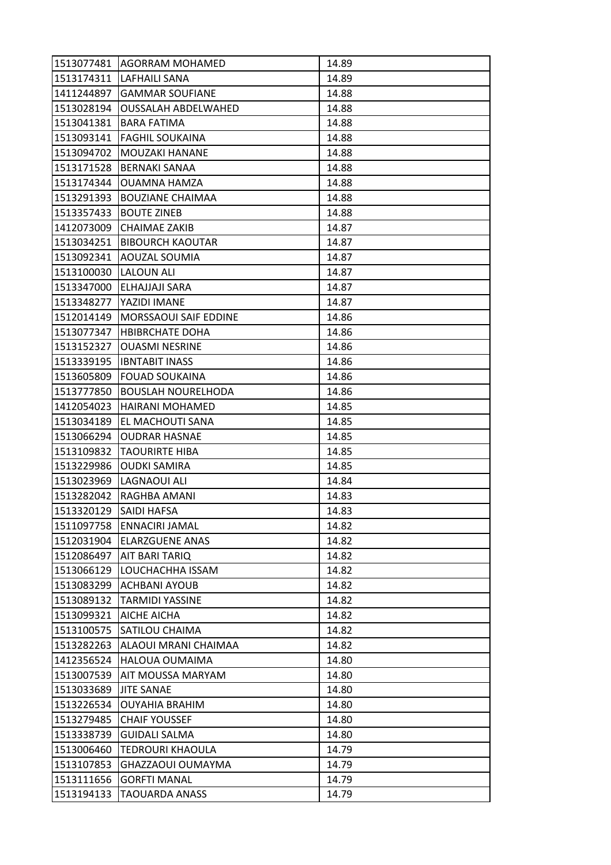| 1513077481 | <b>AGORRAM MOHAMED</b>       | 14.89 |
|------------|------------------------------|-------|
|            | 1513174311 LAFHAILI SANA     | 14.89 |
| 1411244897 | <b>GAMMAR SOUFIANE</b>       | 14.88 |
| 1513028194 | <b>OUSSALAH ABDELWAHED</b>   | 14.88 |
| 1513041381 | <b>BARA FATIMA</b>           | 14.88 |
| 1513093141 | <b>FAGHIL SOUKAINA</b>       | 14.88 |
| 1513094702 | MOUZAKI HANANE               | 14.88 |
| 1513171528 | IBERNAKI SANAA               | 14.88 |
| 1513174344 | <b>OUAMNA HAMZA</b>          | 14.88 |
| 1513291393 | <b>BOUZIANE CHAIMAA</b>      | 14.88 |
| 1513357433 | <b>BOUTE ZINEB</b>           | 14.88 |
| 1412073009 | <b>CHAIMAE ZAKIB</b>         | 14.87 |
| 1513034251 | <b>BIBOURCH KAOUTAR</b>      | 14.87 |
| 1513092341 | <b>AOUZAL SOUMIA</b>         | 14.87 |
| 1513100030 | <b>LALOUN ALI</b>            | 14.87 |
|            | 1513347000 ELHAJJAJI SARA    | 14.87 |
| 1513348277 | YAZIDI IMANE                 | 14.87 |
| 1512014149 | <b>MORSSAOUI SAIF EDDINE</b> | 14.86 |
| 1513077347 | <b>HBIBRCHATE DOHA</b>       | 14.86 |
| 1513152327 | <b>OUASMI NESRINE</b>        | 14.86 |
|            | 1513339195  IBNTABIT INASS   | 14.86 |
| 1513605809 | <b>FOUAD SOUKAINA</b>        | 14.86 |
| 1513777850 | <b>BOUSLAH NOURELHODA</b>    | 14.86 |
| 1412054023 | HAIRANI MOHAMED              | 14.85 |
| 1513034189 | EL MACHOUTI SANA             | 14.85 |
| 1513066294 | <b>OUDRAR HASNAE</b>         | 14.85 |
| 1513109832 | ITAOURIRTE HIBA              | 14.85 |
| 1513229986 | <b>OUDKI SAMIRA</b>          | 14.85 |
| 1513023969 | LAGNAOUI ALI                 | 14.84 |
| 1513282042 | IRAGHBA AMANI                | 14.83 |
| 1513320129 | <b>SAIDI HAFSA</b>           | 14.83 |
| 1511097758 | <b>ENNACIRI JAMAL</b>        | 14.82 |
| 1512031904 | <b>ELARZGUENE ANAS</b>       | 14.82 |
| 1512086497 | AIT BARI TARIQ               | 14.82 |
| 1513066129 | LOUCHACHHA ISSAM             | 14.82 |
| 1513083299 | ACHBANI AYOUB                | 14.82 |
| 1513089132 | <b>TARMIDI YASSINE</b>       | 14.82 |
| 1513099321 | <b>AICHE AICHA</b>           | 14.82 |
| 1513100575 | <b>SATILOU CHAIMA</b>        | 14.82 |
| 1513282263 | ALAOUI MRANI CHAIMAA         | 14.82 |
| 1412356524 | <b>HALOUA OUMAIMA</b>        | 14.80 |
| 1513007539 | <b>AIT MOUSSA MARYAM</b>     | 14.80 |
| 1513033689 | <b>JITE SANAE</b>            | 14.80 |
| 1513226534 | <b>OUYAHIA BRAHIM</b>        | 14.80 |
| 1513279485 | <b>CHAIF YOUSSEF</b>         | 14.80 |
| 1513338739 | <b>GUIDALI SALMA</b>         | 14.80 |
| 1513006460 | <b>TEDROURI KHAOULA</b>      | 14.79 |
| 1513107853 | GHAZZAOUI OUMAYMA            | 14.79 |
| 1513111656 | <b>GORFTI MANAL</b>          | 14.79 |
| 1513194133 | <b>TAOUARDA ANASS</b>        | 14.79 |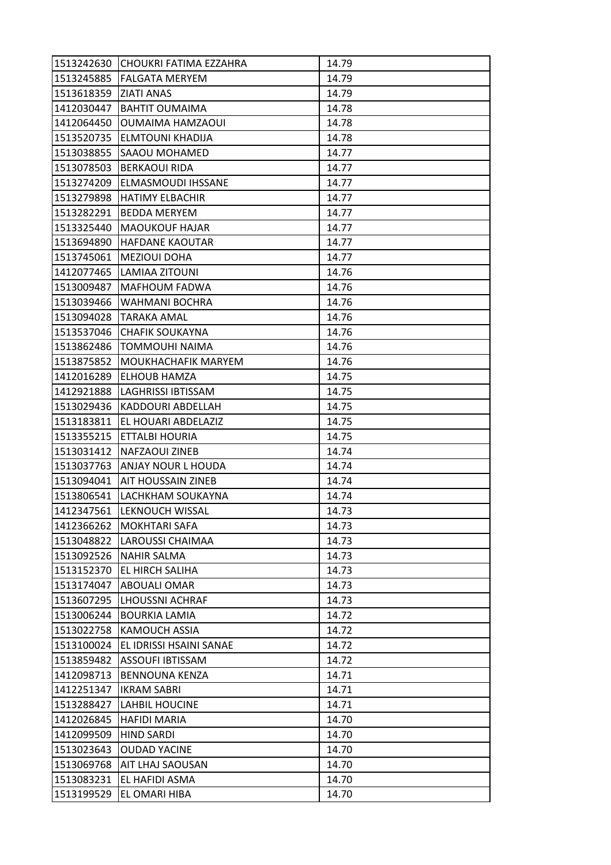|            | 1513242630 CHOUKRI FATIMA EZZAHRA | 14.79 |
|------------|-----------------------------------|-------|
| 1513245885 | <b>FALGATA MERYEM</b>             | 14.79 |
| 1513618359 | <b>ZIATI ANAS</b>                 | 14.79 |
| 1412030447 | <b>BAHTIT OUMAIMA</b>             | 14.78 |
| 1412064450 | OUMAIMA HAMZAOUI                  | 14.78 |
| 1513520735 | <b>ELMTOUNI KHADIJA</b>           | 14.78 |
| 1513038855 | <b>SAAOU MOHAMED</b>              | 14.77 |
| 1513078503 | BERKAOUI RIDA                     | 14.77 |
| 1513274209 | <b>ELMASMOUDI IHSSANE</b>         | 14.77 |
| 1513279898 | <b>HATIMY ELBACHIR</b>            | 14.77 |
| 1513282291 | <b>BEDDA MERYEM</b>               | 14.77 |
| 1513325440 | <b>MAOUKOUF HAJAR</b>             | 14.77 |
| 1513694890 | <b>HAFDANE KAOUTAR</b>            | 14.77 |
| 1513745061 | <b>MEZIOUI DOHA</b>               | 14.77 |
| 1412077465 | LAMIAA ZITOUNI                    | 14.76 |
| 1513009487 | <b>MAFHOUM FADWA</b>              | 14.76 |
| 1513039466 | <b>WAHMANI BOCHRA</b>             | 14.76 |
| 1513094028 | <b>TARAKA AMAL</b>                | 14.76 |
| 1513537046 | <b>CHAFIK SOUKAYNA</b>            | 14.76 |
| 1513862486 | <b>ITOMMOUHI NAIMA</b>            | 14.76 |
| 1513875852 | MOUKHACHAFIK MARYEM               | 14.76 |
| 1412016289 | ELHOUB HAMZA                      | 14.75 |
| 1412921888 | <b>LAGHRISSI IBTISSAM</b>         | 14.75 |
| 1513029436 | IKADDOURI ABDELLAH                | 14.75 |
| 1513183811 | <b>EL HOUARI ABDELAZIZ</b>        | 14.75 |
| 1513355215 | <b>ETTALBI HOURIA</b>             | 14.75 |
| 1513031412 | INAFZAOUI ZINEB                   | 14.74 |
| 1513037763 | <b>ANJAY NOUR L HOUDA</b>         | 14.74 |
| 1513094041 | <b>AIT HOUSSAIN ZINEB</b>         | 14.74 |
| 1513806541 | LACHKHAM SOUKAYNA                 | 14.74 |
| 1412347561 | <b>LEKNOUCH WISSAL</b>            | 14.73 |
| 1412366262 | MOKHTARI SAFA                     | 14.73 |
| 1513048822 | <b>LAROUSSI CHAIMAA</b>           | 14.73 |
| 1513092526 | <b>NAHIR SALMA</b>                | 14.73 |
| 1513152370 | <b>EL HIRCH SALIHA</b>            | 14.73 |
| 1513174047 | <b>ABOUALI OMAR</b>               | 14.73 |
| 1513607295 | <b>LHOUSSNI ACHRAF</b>            | 14.73 |
| 1513006244 | <b>BOURKIA LAMIA</b>              | 14.72 |
| 1513022758 | <b>KAMOUCH ASSIA</b>              | 14.72 |
| 1513100024 | EL IDRISSI HSAINI SANAE           | 14.72 |
| 1513859482 | <b>ASSOUFI IBTISSAM</b>           | 14.72 |
| 1412098713 | <b>BENNOUNA KENZA</b>             | 14.71 |
| 1412251347 | <b>IKRAM SABRI</b>                | 14.71 |
| 1513288427 | <b>LAHBIL HOUCINE</b>             | 14.71 |
| 1412026845 | <b>HAFIDI MARIA</b>               | 14.70 |
| 1412099509 | <b>HIND SARDI</b>                 | 14.70 |
| 1513023643 | <b>OUDAD YACINE</b>               | 14.70 |
| 1513069768 | AIT LHAJ SAOUSAN                  | 14.70 |
| 1513083231 | EL HAFIDI ASMA                    | 14.70 |
| 1513199529 | EL OMARI HIBA                     | 14.70 |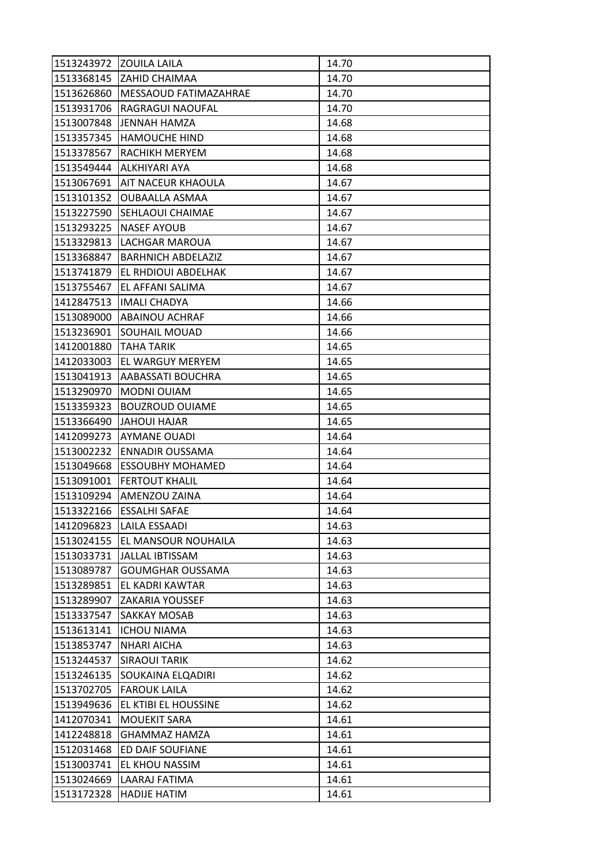|            | 1513243972 ZOUILA LAILA      | 14.70 |
|------------|------------------------------|-------|
|            | 1513368145 ZAHID CHAIMAA     | 14.70 |
| 1513626860 | <b>MESSAOUD FATIMAZAHRAE</b> | 14.70 |
| 1513931706 | RAGRAGUI NAOUFAL             | 14.70 |
| 1513007848 | JENNAH HAMZA                 | 14.68 |
| 1513357345 | <b>HAMOUCHE HIND</b>         | 14.68 |
| 1513378567 | RACHIKH MERYEM               | 14.68 |
| 1513549444 | ALKHIYARI AYA                | 14.68 |
| 1513067691 | <b>AIT NACEUR KHAOULA</b>    | 14.67 |
| 1513101352 | <b>OUBAALLA ASMAA</b>        | 14.67 |
| 1513227590 | <b>SEHLAOUI CHAIMAE</b>      | 14.67 |
| 1513293225 | <b>NASEF AYOUB</b>           | 14.67 |
| 1513329813 | LACHGAR MAROUA               | 14.67 |
| 1513368847 | <b>BARHNICH ABDELAZIZ</b>    | 14.67 |
| 1513741879 | <b>EL RHDIOUI ABDELHAK</b>   | 14.67 |
| 1513755467 | <b>EL AFFANI SALIMA</b>      | 14.67 |
| 1412847513 | <b>IMALI CHADYA</b>          | 14.66 |
| 1513089000 | <b>ABAINOU ACHRAF</b>        | 14.66 |
| 1513236901 | <b>SOUHAIL MOUAD</b>         | 14.66 |
| 1412001880 | ITAHA TARIK                  | 14.65 |
| 1412033003 | <b>EL WARGUY MERYEM</b>      | 14.65 |
| 1513041913 | AABASSATI BOUCHRA            | 14.65 |
| 1513290970 | <b>MODNI OUIAM</b>           | 14.65 |
| 1513359323 | <b>BOUZROUD OUIAME</b>       | 14.65 |
| 1513366490 | <b>JAHOUI HAJAR</b>          | 14.65 |
| 1412099273 | <b>AYMANE OUADI</b>          | 14.64 |
| 1513002232 | <b>ENNADIR OUSSAMA</b>       | 14.64 |
| 1513049668 | <b>ESSOUBHY MOHAMED</b>      | 14.64 |
| 1513091001 | <b>FERTOUT KHALIL</b>        | 14.64 |
| 1513109294 | <b>AMENZOU ZAINA</b>         | 14.64 |
| 1513322166 | <b>ESSALHI SAFAE</b>         | 14.64 |
| 1412096823 | LAILA ESSAADI                | 14.63 |
| 1513024155 | <b>EL MANSOUR NOUHAILA</b>   | 14.63 |
| 1513033731 | JALLAL IBTISSAM              | 14.63 |
| 1513089787 | <b>GOUMGHAR OUSSAMA</b>      | 14.63 |
| 1513289851 | EL KADRI KAWTAR              | 14.63 |
| 1513289907 | <b>ZAKARIA YOUSSEF</b>       | 14.63 |
| 1513337547 | <b>SAKKAY MOSAB</b>          | 14.63 |
| 1513613141 | <b>ICHOU NIAMA</b>           | 14.63 |
| 1513853747 | <b>NHARI AICHA</b>           | 14.63 |
| 1513244537 | <b>SIRAOUI TARIK</b>         | 14.62 |
| 1513246135 | <b>SOUKAINA ELQADIRI</b>     | 14.62 |
| 1513702705 | <b>FAROUK LAILA</b>          | 14.62 |
| 1513949636 | EL KTIBI EL HOUSSINE         | 14.62 |
| 1412070341 | <b>MOUEKIT SARA</b>          | 14.61 |
| 1412248818 | GHAMMAZ HAMZA                | 14.61 |
| 1512031468 | <b>ED DAIF SOUFIANE</b>      | 14.61 |
| 1513003741 | EL KHOU NASSIM               | 14.61 |
| 1513024669 | LAARAJ FATIMA                | 14.61 |
| 1513172328 | <b>HADIJE HATIM</b>          | 14.61 |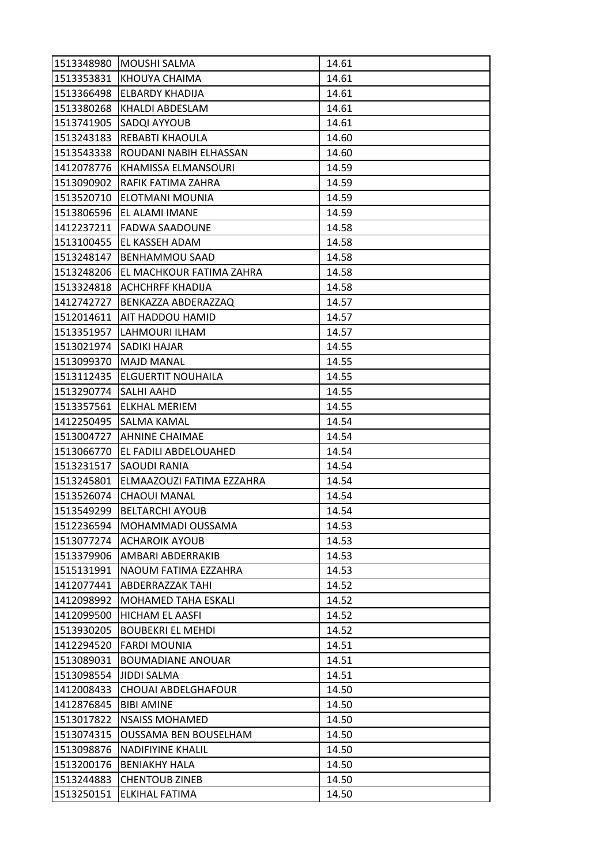|            | 1513348980 MOUSHI SALMA      | 14.61 |
|------------|------------------------------|-------|
|            | 1513353831 KHOUYA CHAIMA     | 14.61 |
| 1513366498 | <b>ELBARDY KHADIJA</b>       | 14.61 |
| 1513380268 | <b>KHALDI ABDESLAM</b>       | 14.61 |
| 1513741905 | <b>SADQI AYYOUB</b>          | 14.61 |
| 1513243183 | <b>REBABTI KHAOULA</b>       | 14.60 |
| 1513543338 | ROUDANI NABIH ELHASSAN       | 14.60 |
| 1412078776 | IKHAMISSA ELMANSOURI         | 14.59 |
| 1513090902 | RAFIK FATIMA ZAHRA           | 14.59 |
| 1513520710 | lelotmani mounia             | 14.59 |
| 1513806596 | <b>EL ALAMI IMANE</b>        | 14.59 |
| 1412237211 | <b>FADWA SAADOUNE</b>        | 14.58 |
| 1513100455 | IEL KASSEH ADAM              | 14.58 |
| 1513248147 | <b>BENHAMMOU SAAD</b>        | 14.58 |
| 1513248206 | EL MACHKOUR FATIMA ZAHRA     | 14.58 |
| 1513324818 | <b>ACHCHRFF KHADIJA</b>      | 14.58 |
| 1412742727 | BENKAZZA ABDERAZZAQ          | 14.57 |
| 1512014611 | AIT HADDOU HAMID             | 14.57 |
| 1513351957 | ILAHMOURI ILHAM              | 14.57 |
|            | 1513021974  SADIKI HAJAR     | 14.55 |
|            | 1513099370   MAJD MANAL      | 14.55 |
| 1513112435 | <b>IELGUERTIT NOUHAILA</b>   | 14.55 |
| 1513290774 | <b>SALHI AAHD</b>            | 14.55 |
| 1513357561 | <b>ELKHAL MERIEM</b>         | 14.55 |
|            | 1412250495  SALMA KAMAL      | 14.54 |
|            | 1513004727  AHNINE CHAIMAE   | 14.54 |
| 1513066770 | EL FADILI ABDELOUAHED        | 14.54 |
| 1513231517 | <b>SAOUDI RANIA</b>          | 14.54 |
| 1513245801 | ELMAAZOUZI FATIMA EZZAHRA    | 14.54 |
| 1513526074 | <b>CHAOUI MANAL</b>          | 14.54 |
| 1513549299 | <b>BELTARCHI AYOUB</b>       | 14.54 |
| 1512236594 | MOHAMMADI OUSSAMA            | 14.53 |
| 1513077274 | <b>ACHAROIK AYOUB</b>        | 14.53 |
| 1513379906 | AMBARI ABDERRAKIB            | 14.53 |
| 1515131991 | NAOUM FATIMA EZZAHRA         | 14.53 |
| 1412077441 | ABDERRAZZAK TAHI             | 14.52 |
| 1412098992 | <b>MOHAMED TAHA ESKALI</b>   | 14.52 |
| 1412099500 | <b>HICHAM EL AASFI</b>       | 14.52 |
| 1513930205 | <b>BOUBEKRI EL MEHDI</b>     | 14.52 |
| 1412294520 | <b>FARDI MOUNIA</b>          | 14.51 |
| 1513089031 | <b>BOUMADIANE ANOUAR</b>     | 14.51 |
| 1513098554 | <b>JIDDI SALMA</b>           | 14.51 |
| 1412008433 | <b>CHOUAI ABDELGHAFOUR</b>   | 14.50 |
| 1412876845 | <b>BIBI AMINE</b>            | 14.50 |
| 1513017822 | <b>NSAISS MOHAMED</b>        | 14.50 |
| 1513074315 | <b>OUSSAMA BEN BOUSELHAM</b> | 14.50 |
| 1513098876 | <b>NADIFIYINE KHALIL</b>     | 14.50 |
| 1513200176 | <b>BENIAKHY HALA</b>         | 14.50 |
| 1513244883 | <b>CHENTOUB ZINEB</b>        | 14.50 |
| 1513250151 | ELKIHAL FATIMA               | 14.50 |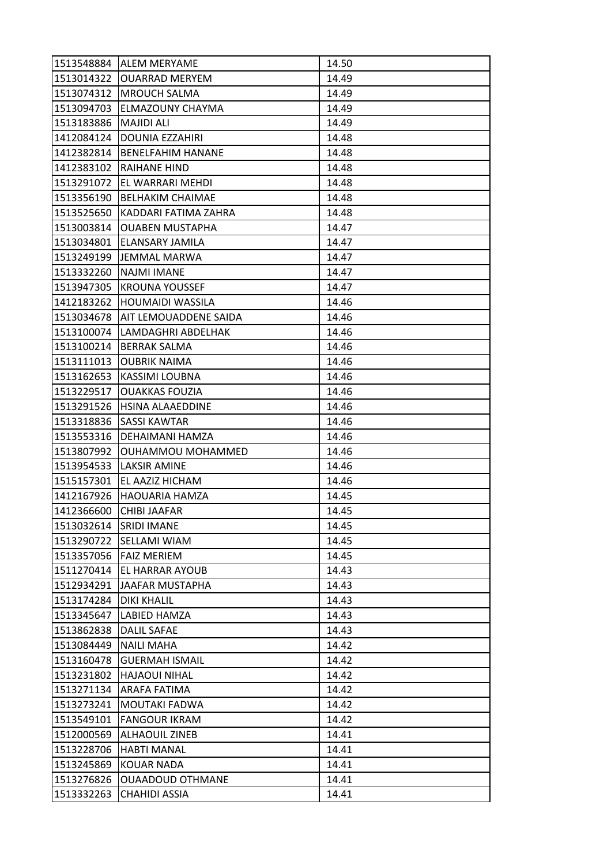| 1513548884 | <b>IALEM MERYAME</b>      | 14.50 |
|------------|---------------------------|-------|
| 1513014322 | <b>OUARRAD MERYEM</b>     | 14.49 |
| 1513074312 | <b>IMROUCH SALMA</b>      | 14.49 |
| 1513094703 | <b>ELMAZOUNY CHAYMA</b>   | 14.49 |
| 1513183886 | <b>MAJIDI ALI</b>         | 14.49 |
| 1412084124 | <b>DOUNIA EZZAHIRI</b>    | 14.48 |
| 1412382814 | <b>BENELFAHIM HANANE</b>  | 14.48 |
| 1412383102 | IRAIHANE HIND             | 14.48 |
| 1513291072 | <b>EL WARRARI MEHDI</b>   | 14.48 |
| 1513356190 | <b>BELHAKIM CHAIMAE</b>   | 14.48 |
| 1513525650 | KADDARI FATIMA ZAHRA      | 14.48 |
| 1513003814 | <b>OUABEN MUSTAPHA</b>    | 14.47 |
| 1513034801 | ELANSARY JAMILA           | 14.47 |
| 1513249199 | <b>JEMMAL MARWA</b>       | 14.47 |
| 1513332260 | NAJMI IMANE               | 14.47 |
| 1513947305 | <b>KROUNA YOUSSEF</b>     | 14.47 |
| 1412183262 | <b>HOUMAIDI WASSILA</b>   | 14.46 |
| 1513034678 | AIT LEMOUADDENE SAIDA     | 14.46 |
| 1513100074 | LAMDAGHRI ABDELHAK        | 14.46 |
|            | 1513100214   BERRAK SALMA | 14.46 |
| 1513111013 | <b>OUBRIK NAIMA</b>       | 14.46 |
| 1513162653 | KASSIMI LOUBNA            | 14.46 |
| 1513229517 | <b>OUAKKAS FOUZIA</b>     | 14.46 |
| 1513291526 | <b>HSINA ALAAEDDINE</b>   | 14.46 |
| 1513318836 | <b>ISASSI KAWTAR</b>      | 14.46 |
| 1513553316 | IDEHAIMANI HAMZA          | 14.46 |
| 1513807992 | OUHAMMOU MOHAMMED         | 14.46 |
| 1513954533 | <b>LAKSIR AMINE</b>       | 14.46 |
| 1515157301 | EL AAZIZ HICHAM           | 14.46 |
| 1412167926 | <b>HAOUARIA HAMZA</b>     | 14.45 |
| 1412366600 | <b>CHIBI JAAFAR</b>       | 14.45 |
| 1513032614 | <b>SRIDI IMANE</b>        | 14.45 |
| 1513290722 | <b>SELLAMI WIAM</b>       | 14.45 |
| 1513357056 | <b>FAIZ MERIEM</b>        | 14.45 |
| 1511270414 | EL HARRAR AYOUB           | 14.43 |
| 1512934291 | JAAFAR MUSTAPHA           | 14.43 |
| 1513174284 | <b>DIKI KHALIL</b>        | 14.43 |
| 1513345647 | LABIED HAMZA              | 14.43 |
| 1513862838 | <b>DALIL SAFAE</b>        | 14.43 |
| 1513084449 | <b>NAILI MAHA</b>         | 14.42 |
| 1513160478 | <b>GUERMAH ISMAIL</b>     | 14.42 |
| 1513231802 | <b>HAJAOUI NIHAL</b>      | 14.42 |
| 1513271134 | ARAFA FATIMA              | 14.42 |
| 1513273241 | MOUTAKI FADWA             | 14.42 |
| 1513549101 | <b>FANGOUR IKRAM</b>      | 14.42 |
| 1512000569 | ALHAOUIL ZINEB            | 14.41 |
| 1513228706 | <b>HABTI MANAL</b>        | 14.41 |
| 1513245869 | <b>KOUAR NADA</b>         | 14.41 |
| 1513276826 | <b>OUAADOUD OTHMANE</b>   | 14.41 |
| 1513332263 | CHAHIDI ASSIA             | 14.41 |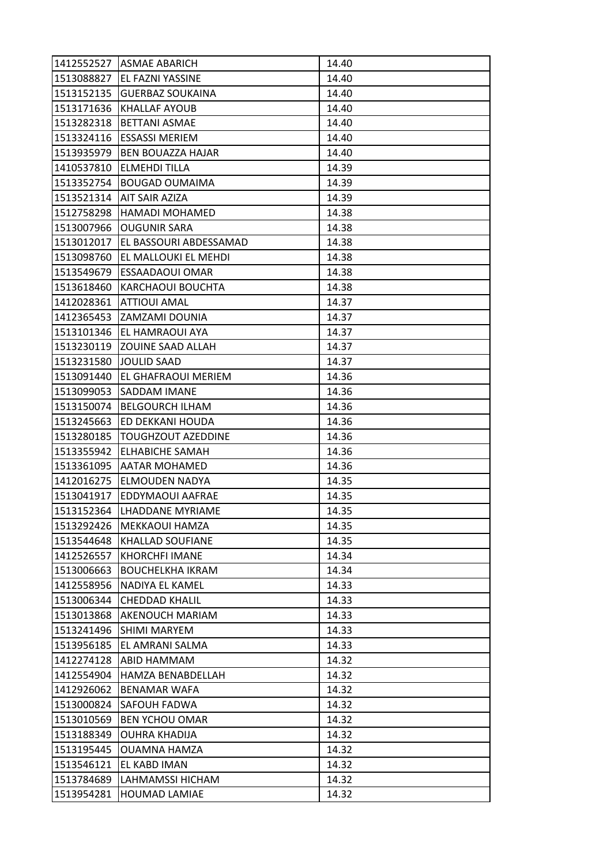| 1412552527 | <b>ASMAE ABARICH</b>     | 14.40 |
|------------|--------------------------|-------|
| 1513088827 | <b>EL FAZNI YASSINE</b>  | 14.40 |
| 1513152135 | <b>GUERBAZ SOUKAINA</b>  | 14.40 |
| 1513171636 | <b>KHALLAF AYOUB</b>     | 14.40 |
| 1513282318 | <b>BETTANI ASMAE</b>     | 14.40 |
| 1513324116 | <b>ESSASSI MERIEM</b>    | 14.40 |
| 1513935979 | <b>BEN BOUAZZA HAJAR</b> | 14.40 |
| 1410537810 | <b>ELMEHDI TILLA</b>     | 14.39 |
| 1513352754 | <b>BOUGAD OUMAIMA</b>    | 14.39 |
| 1513521314 | <b>AIT SAIR AZIZA</b>    | 14.39 |
| 1512758298 | <b>HAMADI MOHAMED</b>    | 14.38 |
| 1513007966 | <b>OUGUNIR SARA</b>      | 14.38 |
| 1513012017 | EL BASSOURI ABDESSAMAD   | 14.38 |
| 1513098760 | EL MALLOUKI EL MEHDI     | 14.38 |
| 1513549679 | <b>ESSAADAOUI OMAR</b>   | 14.38 |
| 1513618460 | <b>KARCHAOUI BOUCHTA</b> | 14.38 |
| 1412028361 | <b>ATTIOUI AMAL</b>      | 14.37 |
| 1412365453 | <b>ZAMZAMI DOUNIA</b>    | 14.37 |
| 1513101346 | <b>JEL HAMRAOUI AYA</b>  | 14.37 |
| 1513230119 | <b>ZOUINE SAAD ALLAH</b> | 14.37 |
| 1513231580 | JOULID SAAD              | 14.37 |
| 1513091440 | IEL GHAFRAOUI MERIEM     | 14.36 |
| 1513099053 | SADDAM IMANE             | 14.36 |
| 1513150074 | <b>BELGOURCH ILHAM</b>   | 14.36 |
| 1513245663 | JED DEKKANI HOUDA        | 14.36 |
| 1513280185 | TOUGHZOUT AZEDDINE       | 14.36 |
| 1513355942 | <b>ELHABICHE SAMAH</b>   | 14.36 |
| 1513361095 | <b>AATAR MOHAMED</b>     | 14.36 |
| 1412016275 | <b>ELMOUDEN NADYA</b>    | 14.35 |
| 1513041917 | EDDYMAOUI AAFRAE         | 14.35 |
| 1513152364 | ILHADDANE MYRIAME        | 14.35 |
| 1513292426 | MEKKAOUI HAMZA           | 14.35 |
| 1513544648 | <b>KHALLAD SOUFIANE</b>  | 14.35 |
| 1412526557 | <b>KHORCHFI IMANE</b>    | 14.34 |
| 1513006663 | <b>BOUCHELKHA IKRAM</b>  | 14.34 |
| 1412558956 | NADIYA EL KAMEL          | 14.33 |
| 1513006344 | <b>CHEDDAD KHALIL</b>    | 14.33 |
| 1513013868 | <b>AKENOUCH MARIAM</b>   | 14.33 |
| 1513241496 | <b>SHIMI MARYEM</b>      | 14.33 |
| 1513956185 | EL AMRANI SALMA          | 14.33 |
| 1412274128 | ABID HAMMAM              | 14.32 |
| 1412554904 | <b>HAMZA BENABDELLAH</b> | 14.32 |
| 1412926062 | <b>BENAMAR WAFA</b>      | 14.32 |
| 1513000824 | <b>SAFOUH FADWA</b>      | 14.32 |
| 1513010569 | <b>BEN YCHOU OMAR</b>    | 14.32 |
| 1513188349 | OUHRA KHADIJA            | 14.32 |
| 1513195445 | OUAMNA HAMZA             | 14.32 |
| 1513546121 | EL KABD IMAN             | 14.32 |
| 1513784689 | LAHMAMSSI HICHAM         | 14.32 |
| 1513954281 | <b>HOUMAD LAMIAE</b>     | 14.32 |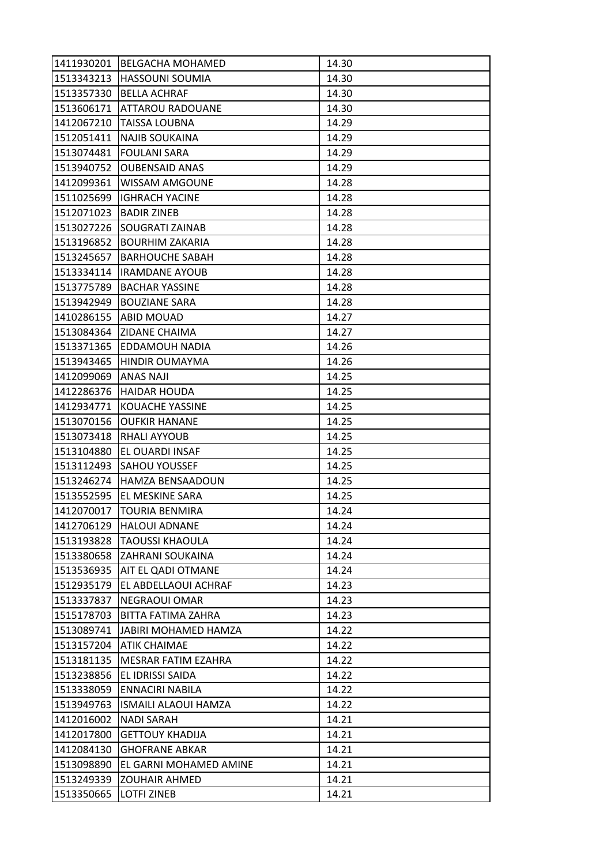|            | 1411930201 BELGACHA MOHAMED | 14.30 |
|------------|-----------------------------|-------|
| 1513343213 | <b>HASSOUNI SOUMIA</b>      | 14.30 |
| 1513357330 | <b>BELLA ACHRAF</b>         | 14.30 |
| 1513606171 | <b>ATTAROU RADOUANE</b>     | 14.30 |
| 1412067210 | TAISSA LOUBNA               | 14.29 |
| 1512051411 | NAJIB SOUKAINA              | 14.29 |
| 1513074481 | <b>FOULANI SARA</b>         | 14.29 |
| 1513940752 | <b>OUBENSAID ANAS</b>       | 14.29 |
| 1412099361 | <b>WISSAM AMGOUNE</b>       | 14.28 |
| 1511025699 | <b>IGHRACH YACINE</b>       | 14.28 |
| 1512071023 | <b>BADIR ZINEB</b>          | 14.28 |
| 1513027226 | SOUGRATI ZAINAB             | 14.28 |
| 1513196852 | <b>BOURHIM ZAKARIA</b>      | 14.28 |
| 1513245657 | <b>BARHOUCHE SABAH</b>      | 14.28 |
| 1513334114 | <b>IRAMDANE AYOUB</b>       | 14.28 |
| 1513775789 | <b>BACHAR YASSINE</b>       | 14.28 |
| 1513942949 | <b>BOUZIANE SARA</b>        | 14.28 |
| 1410286155 | <b>ABID MOUAD</b>           | 14.27 |
| 1513084364 | <b>ZIDANE CHAIMA</b>        | 14.27 |
| 1513371365 | IEDDAMOUH NADIA             | 14.26 |
| 1513943465 | <b>HINDIR OUMAYMA</b>       | 14.26 |
| 1412099069 | <b>ANAS NAJI</b>            | 14.25 |
| 1412286376 | <b>HAIDAR HOUDA</b>         | 14.25 |
| 1412934771 | KOUACHE YASSINE             | 14.25 |
| 1513070156 | <b>OUFKIR HANANE</b>        | 14.25 |
| 1513073418 | <b>RHALI AYYOUB</b>         | 14.25 |
| 1513104880 | EL OUARDI INSAF             | 14.25 |
| 1513112493 | <b>SAHOU YOUSSEF</b>        | 14.25 |
| 1513246274 | <b>HAMZA BENSAADOUN</b>     | 14.25 |
| 1513552595 | EL MESKINE SARA             | 14.25 |
| 1412070017 | <b>TOURIA BENMIRA</b>       | 14.24 |
| 1412706129 | <b>HALOUI ADNANE</b>        | 14.24 |
| 1513193828 | <b>TAOUSSI KHAOULA</b>      | 14.24 |
| 1513380658 | <b>ZAHRANI SOUKAINA</b>     | 14.24 |
| 1513536935 | AIT EL QADI OTMANE          | 14.24 |
| 1512935179 | EL ABDELLAOUI ACHRAF        | 14.23 |
| 1513337837 | <b>NEGRAOUI OMAR</b>        | 14.23 |
| 1515178703 | <b>BITTA FATIMA ZAHRA</b>   | 14.23 |
| 1513089741 | IJABIRI MOHAMED HAMZA       | 14.22 |
| 1513157204 | <b>ATIK CHAIMAE</b>         | 14.22 |
| 1513181135 | <b>MESRAR FATIM EZAHRA</b>  | 14.22 |
| 1513238856 | EL IDRISSI SAIDA            | 14.22 |
| 1513338059 | <b>ENNACIRI NABILA</b>      | 14.22 |
| 1513949763 | <b>ISMAILI ALAOUI HAMZA</b> | 14.22 |
| 1412016002 | <b>NADI SARAH</b>           | 14.21 |
| 1412017800 | <b>GETTOUY KHADIJA</b>      | 14.21 |
| 1412084130 | <b>GHOFRANE ABKAR</b>       | 14.21 |
| 1513098890 | EL GARNI MOHAMED AMINE      | 14.21 |
| 1513249339 | <b>ZOUHAIR AHMED</b>        | 14.21 |
| 1513350665 | LOTFI ZINEB                 | 14.21 |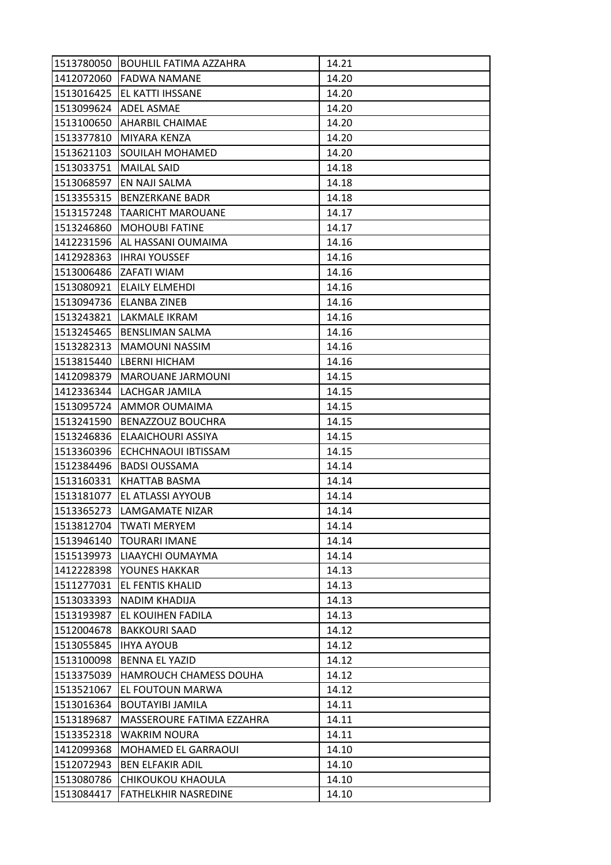|            | 1513780050 BOUHLIL FATIMA AZZAHRA | 14.21 |
|------------|-----------------------------------|-------|
| 1412072060 | <b>FADWA NAMANE</b>               | 14.20 |
| 1513016425 | <b>JEL KATTI IHSSANE</b>          | 14.20 |
| 1513099624 | <b>ADEL ASMAE</b>                 | 14.20 |
| 1513100650 | <b>AHARBIL CHAIMAE</b>            | 14.20 |
| 1513377810 | <b>MIYARA KENZA</b>               | 14.20 |
| 1513621103 | <b>SOUILAH MOHAMED</b>            | 14.20 |
| 1513033751 | <b>MAILAL SAID</b>                | 14.18 |
| 1513068597 | <b>EN NAJI SALMA</b>              | 14.18 |
| 1513355315 | IBENZERKANE BADR                  | 14.18 |
| 1513157248 | <b>TAARICHT MAROUANE</b>          | 14.17 |
| 1513246860 | MOHOUBI FATINE                    | 14.17 |
| 1412231596 | AL HASSANI OUMAIMA                | 14.16 |
| 1412928363 | <b>IHRAI YOUSSEF</b>              | 14.16 |
| 1513006486 | <b>ZAFATI WIAM</b>                | 14.16 |
| 1513080921 | <b>ELAILY ELMEHDI</b>             | 14.16 |
| 1513094736 | <b>ELANBA ZINEB</b>               | 14.16 |
| 1513243821 | LAKMALE IKRAM                     | 14.16 |
| 1513245465 | <b>BENSLIMAN SALMA</b>            | 14.16 |
| 1513282313 | IMAMOUNI NASSIM                   | 14.16 |
|            | 1513815440 LBERNI HICHAM          | 14.16 |
| 1412098379 | MAROUANE JARMOUNI                 | 14.15 |
| 1412336344 | LACHGAR JAMILA                    | 14.15 |
| 1513095724 | <b>AMMOR OUMAIMA</b>              | 14.15 |
| 1513241590 | <b>BENAZZOUZ BOUCHRA</b>          | 14.15 |
| 1513246836 | ELAAICHOURI ASSIYA                | 14.15 |
| 1513360396 | ECHCHNAOUI IBTISSAM               | 14.15 |
| 1512384496 | <b>BADSI OUSSAMA</b>              | 14.14 |
| 1513160331 | <b>KHATTAB BASMA</b>              | 14.14 |
| 1513181077 | <b>EL ATLASSI AYYOUB</b>          | 14.14 |
| 1513365273 | ILAMGAMATE NIZAR                  | 14.14 |
| 1513812704 | <b>TWATI MERYEM</b>               | 14.14 |
| 1513946140 | <b>TOURARI IMANE</b>              | 14.14 |
| 1515139973 | LIAAYCHI OUMAYMA                  | 14.14 |
| 1412228398 | YOUNES HAKKAR                     | 14.13 |
| 1511277031 | <b>EL FENTIS KHALID</b>           | 14.13 |
| 1513033393 | <b>NADIM KHADIJA</b>              | 14.13 |
| 1513193987 | <b>EL KOUIHEN FADILA</b>          | 14.13 |
| 1512004678 | <b>BAKKOURI SAAD</b>              | 14.12 |
| 1513055845 | <b>IHYA AYOUB</b>                 | 14.12 |
| 1513100098 | <b>BENNA EL YAZID</b>             | 14.12 |
| 1513375039 | <b>HAMROUCH CHAMESS DOUHA</b>     | 14.12 |
| 1513521067 | EL FOUTOUN MARWA                  | 14.12 |
| 1513016364 | <b>BOUTAYIBI JAMILA</b>           | 14.11 |
| 1513189687 | MASSEROURE FATIMA EZZAHRA         | 14.11 |
| 1513352318 | WAKRIM NOURA                      | 14.11 |
| 1412099368 | <b>MOHAMED EL GARRAOUI</b>        | 14.10 |
| 1512072943 | <b>BEN ELFAKIR ADIL</b>           | 14.10 |
| 1513080786 | CHIKOUKOU KHAOULA                 | 14.10 |
| 1513084417 | <b>FATHELKHIR NASREDINE</b>       | 14.10 |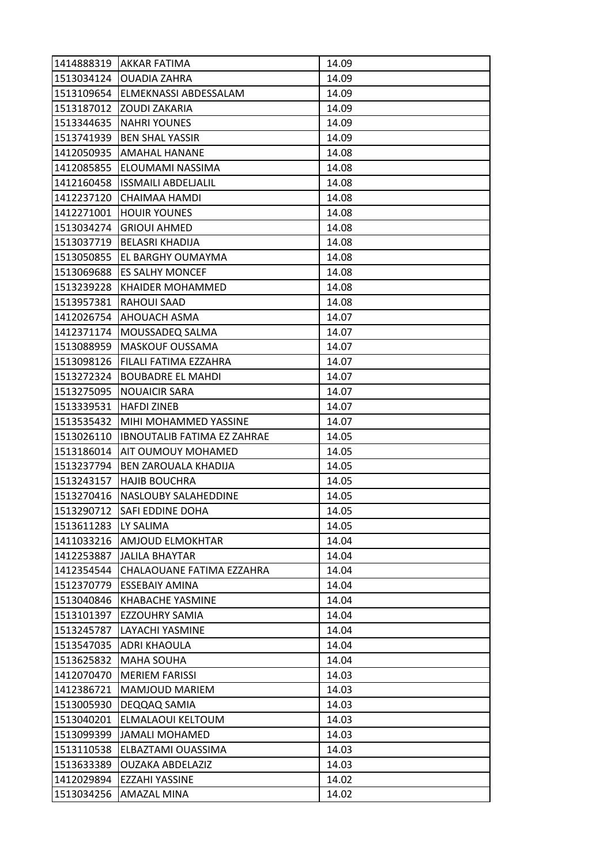|            | 1414888319 AKKAR FATIMA            | 14.09 |
|------------|------------------------------------|-------|
| 1513034124 | <b>OUADIA ZAHRA</b>                | 14.09 |
| 1513109654 | <b>ELMEKNASSI ABDESSALAM</b>       | 14.09 |
| 1513187012 | <b>ZOUDI ZAKARIA</b>               | 14.09 |
| 1513344635 | <b>NAHRI YOUNES</b>                | 14.09 |
| 1513741939 | <b>BEN SHAL YASSIR</b>             | 14.09 |
| 1412050935 | <b>AMAHAL HANANE</b>               | 14.08 |
| 1412085855 | ELOUMAMI NASSIMA                   | 14.08 |
| 1412160458 | <b>ISSMAILI ABDELJALIL</b>         | 14.08 |
| 1412237120 | CHAIMAA HAMDI                      | 14.08 |
| 1412271001 | <b>HOUIR YOUNES</b>                | 14.08 |
| 1513034274 | <b>GRIOUI AHMED</b>                | 14.08 |
| 1513037719 | <b>BELASRI KHADIJA</b>             | 14.08 |
| 1513050855 | <b>EL BARGHY OUMAYMA</b>           | 14.08 |
| 1513069688 | <b>ES SALHY MONCEF</b>             | 14.08 |
| 1513239228 | <b>KHAIDER MOHAMMED</b>            | 14.08 |
| 1513957381 | <b>RAHOUI SAAD</b>                 | 14.08 |
| 1412026754 | <b>AHOUACH ASMA</b>                | 14.07 |
| 1412371174 | MOUSSADEQ SALMA                    | 14.07 |
| 1513088959 | MASKOUF OUSSAMA                    | 14.07 |
| 1513098126 | <b>FILALI FATIMA EZZAHRA</b>       | 14.07 |
| 1513272324 | <b>BOUBADRE EL MAHDI</b>           | 14.07 |
| 1513275095 | <b>NOUAICIR SARA</b>               | 14.07 |
| 1513339531 | <b>HAFDI ZINEB</b>                 | 14.07 |
| 1513535432 | MIHI MOHAMMED YASSINE              | 14.07 |
| 1513026110 | <b>IBNOUTALIB FATIMA EZ ZAHRAE</b> | 14.05 |
| 1513186014 | AIT OUMOUY MOHAMED                 | 14.05 |
| 1513237794 | <b>BEN ZAROUALA KHADIJA</b>        | 14.05 |
| 1513243157 | <b>HAJIB BOUCHRA</b>               | 14.05 |
| 1513270416 | <b>NASLOUBY SALAHEDDINE</b>        | 14.05 |
| 1513290712 | <b>SAFI EDDINE DOHA</b>            | 14.05 |
| 1513611283 | LY SALIMA                          | 14.05 |
| 1411033216 | <b>AMJOUD ELMOKHTAR</b>            | 14.04 |
| 1412253887 | <b>JALILA BHAYTAR</b>              | 14.04 |
| 1412354544 | CHALAOUANE FATIMA EZZAHRA          | 14.04 |
| 1512370779 | <b>ESSEBAIY AMINA</b>              | 14.04 |
| 1513040846 | <b>KHABACHE YASMINE</b>            | 14.04 |
| 1513101397 | <b>EZZOUHRY SAMIA</b>              | 14.04 |
| 1513245787 | LAYACHI YASMINE                    | 14.04 |
| 1513547035 | <b>ADRI KHAOULA</b>                | 14.04 |
| 1513625832 | <b>MAHA SOUHA</b>                  | 14.04 |
| 1412070470 | <b>MERIEM FARISSI</b>              | 14.03 |
| 1412386721 | <b>MAMJOUD MARIEM</b>              | 14.03 |
| 1513005930 | DEQQAQ SAMIA                       | 14.03 |
| 1513040201 | ELMALAOUI KELTOUM                  | 14.03 |
| 1513099399 | JAMALI MOHAMED                     | 14.03 |
| 1513110538 | ELBAZTAMI OUASSIMA                 | 14.03 |
| 1513633389 | <b>OUZAKA ABDELAZIZ</b>            | 14.03 |
| 1412029894 | EZZAHI YASSINE                     | 14.02 |
| 1513034256 | AMAZAL MINA                        | 14.02 |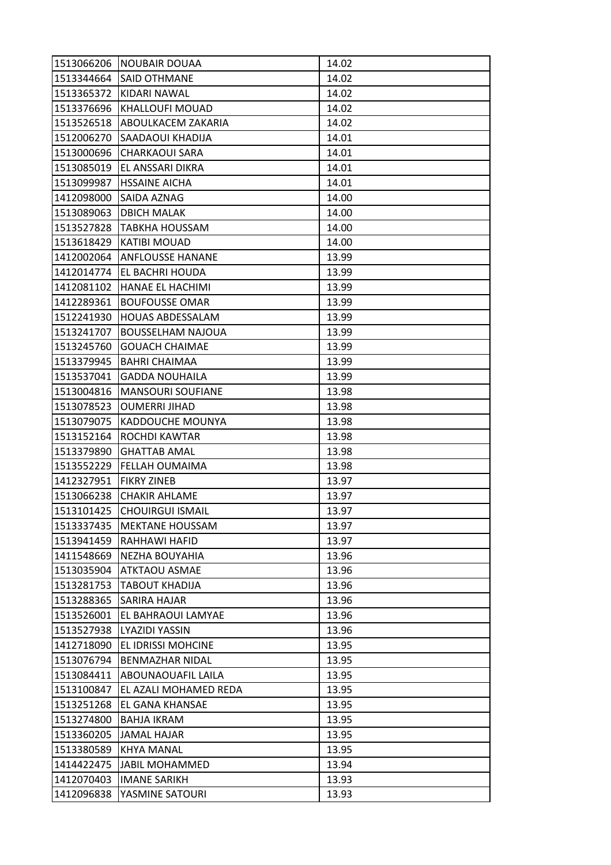| 1513066206 | NOUBAIR DOUAA             | 14.02 |
|------------|---------------------------|-------|
| 1513344664 | <b>SAID OTHMANE</b>       | 14.02 |
| 1513365372 | KIDARI NAWAL              | 14.02 |
| 1513376696 | KHALLOUFI MOUAD           | 14.02 |
| 1513526518 | ABOULKACEM ZAKARIA        | 14.02 |
| 1512006270 | <b>SAADAOUI KHADIJA</b>   | 14.01 |
| 1513000696 | <b>CHARKAOUI SARA</b>     | 14.01 |
| 1513085019 | EL ANSSARI DIKRA          | 14.01 |
| 1513099987 | <b>HSSAINE AICHA</b>      | 14.01 |
| 1412098000 | ISAIDA AZNAG              | 14.00 |
| 1513089063 | <b>DBICH MALAK</b>        | 14.00 |
| 1513527828 | TABKHA HOUSSAM            | 14.00 |
| 1513618429 | <b>KATIBI MOUAD</b>       | 14.00 |
| 1412002064 | <b>ANFLOUSSE HANANE</b>   | 13.99 |
| 1412014774 | <b>EL BACHRI HOUDA</b>    | 13.99 |
| 1412081102 | HANAE EL HACHIMI          | 13.99 |
| 1412289361 | <b>BOUFOUSSE OMAR</b>     | 13.99 |
| 1512241930 | <b>HOUAS ABDESSALAM</b>   | 13.99 |
| 1513241707 | <b>BOUSSELHAM NAJOUA</b>  | 13.99 |
| 1513245760 | <b>GOUACH CHAIMAE</b>     | 13.99 |
| 1513379945 | BAHRI CHAIMAA             | 13.99 |
| 1513537041 | <b>GADDA NOUHAILA</b>     | 13.99 |
| 1513004816 | <b>MANSOURI SOUFIANE</b>  | 13.98 |
| 1513078523 | <b>OUMERRI JIHAD</b>      | 13.98 |
| 1513079075 | KADDOUCHE MOUNYA          | 13.98 |
| 1513152164 | <b>ROCHDI KAWTAR</b>      | 13.98 |
| 1513379890 | <b>GHATTAB AMAL</b>       | 13.98 |
| 1513552229 | <b>FELLAH OUMAIMA</b>     | 13.98 |
| 1412327951 | FIKRY ZINEB               | 13.97 |
| 1513066238 | CHAKIR AHLAME             | 13.97 |
| 1513101425 | <b>CHOUIRGUI ISMAIL</b>   | 13.97 |
| 1513337435 | <b>MEKTANE HOUSSAM</b>    | 13.97 |
| 1513941459 | RAHHAWI HAFID             | 13.97 |
| 1411548669 | <b>NEZHA BOUYAHIA</b>     | 13.96 |
| 1513035904 | <b>ATKTAOU ASMAE</b>      | 13.96 |
| 1513281753 | <b>TABOUT KHADIJA</b>     | 13.96 |
| 1513288365 | <b>SARIRA HAJAR</b>       | 13.96 |
| 1513526001 | EL BAHRAOUI LAMYAE        | 13.96 |
| 1513527938 | LYAZIDI YASSIN            | 13.96 |
| 1412718090 | <b>EL IDRISSI MOHCINE</b> | 13.95 |
| 1513076794 | <b>BENMAZHAR NIDAL</b>    | 13.95 |
| 1513084411 | ABOUNAOUAFIL LAILA        | 13.95 |
| 1513100847 | EL AZALI MOHAMED REDA     | 13.95 |
| 1513251268 | EL GANA KHANSAE           | 13.95 |
| 1513274800 | <b>BAHJA IKRAM</b>        | 13.95 |
| 1513360205 | JAMAL HAJAR               | 13.95 |
| 1513380589 | <b>KHYA MANAL</b>         | 13.95 |
| 1414422475 | <b>JABIL MOHAMMED</b>     | 13.94 |
| 1412070403 | <b>IMANE SARIKH</b>       | 13.93 |
| 1412096838 | YASMINE SATOURI           | 13.93 |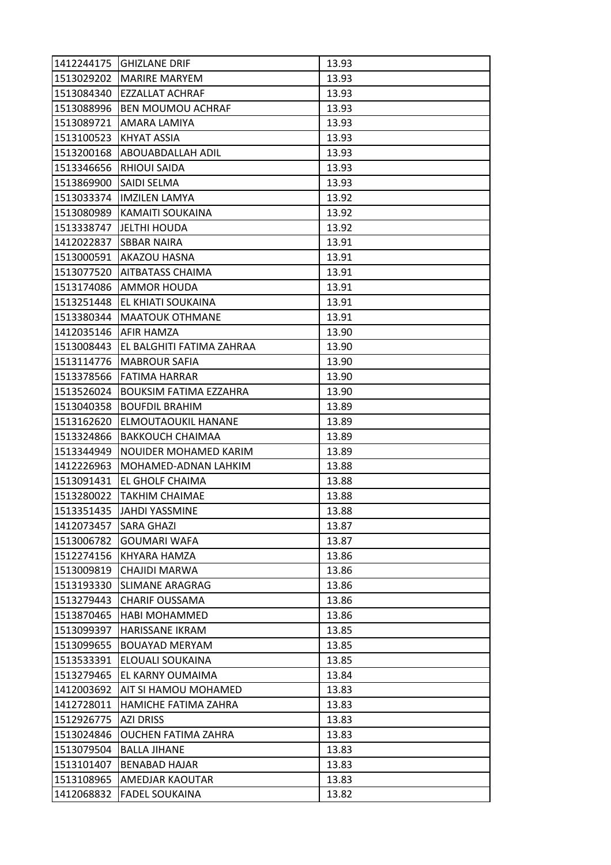| 1412244175 | <b>IGHIZLANE DRIF</b>         | 13.93 |
|------------|-------------------------------|-------|
| 1513029202 | <b>MARIRE MARYEM</b>          | 13.93 |
| 1513084340 | <b>EZZALLAT ACHRAF</b>        | 13.93 |
| 1513088996 | <b>BEN MOUMOU ACHRAF</b>      | 13.93 |
| 1513089721 | AMARA LAMIYA                  | 13.93 |
| 1513100523 | KHYAT ASSIA                   | 13.93 |
| 1513200168 | <b>ABOUABDALLAH ADIL</b>      | 13.93 |
| 1513346656 | <b>RHIOUI SAIDA</b>           | 13.93 |
| 1513869900 | <b>SAIDI SELMA</b>            | 13.93 |
| 1513033374 | <b>IMZILEN LAMYA</b>          | 13.92 |
| 1513080989 | KAMAITI SOUKAINA              | 13.92 |
| 1513338747 | <b>JELTHI HOUDA</b>           | 13.92 |
| 1412022837 | <b>SBBAR NAIRA</b>            | 13.91 |
| 1513000591 | <b>AKAZOU HASNA</b>           | 13.91 |
| 1513077520 | <b>AITBATASS CHAIMA</b>       | 13.91 |
| 1513174086 | <b>AMMOR HOUDA</b>            | 13.91 |
| 1513251448 | EL KHIATI SOUKAINA            | 13.91 |
| 1513380344 | IMAATOUK OTHMANE              | 13.91 |
| 1412035146 | <b>AFIR HAMZA</b>             | 13.90 |
| 1513008443 | EL BALGHITI FATIMA ZAHRAA     | 13.90 |
| 1513114776 | <b>MABROUR SAFIA</b>          | 13.90 |
| 1513378566 | IFATIMA HARRAR                | 13.90 |
| 1513526024 | <b>BOUKSIM FATIMA EZZAHRA</b> | 13.90 |
| 1513040358 | <b>BOUFDIL BRAHIM</b>         | 13.89 |
| 1513162620 | <b>ELMOUTAOUKIL HANANE</b>    | 13.89 |
| 1513324866 | <b>BAKKOUCH CHAIMAA</b>       | 13.89 |
| 1513344949 | NOUIDER MOHAMED KARIM         | 13.89 |
| 1412226963 | MOHAMED-ADNAN LAHKIM          | 13.88 |
| 1513091431 | <b>EL GHOLF CHAIMA</b>        | 13.88 |
| 1513280022 | <b>TAKHIM CHAIMAE</b>         | 13.88 |
| 1513351435 | <b>IJAHDI YASSMINE</b>        | 13.88 |
| 1412073457 | <b>SARA GHAZI</b>             | 13.87 |
| 1513006782 | <b>GOUMARI WAFA</b>           | 13.87 |
| 1512274156 | KHYARA HAMZA                  | 13.86 |
| 1513009819 | CHAJIDI MARWA                 | 13.86 |
| 1513193330 | <b>SLIMANE ARAGRAG</b>        | 13.86 |
| 1513279443 | <b>CHARIF OUSSAMA</b>         | 13.86 |
| 1513870465 | <b>HABI MOHAMMED</b>          | 13.86 |
| 1513099397 | HARISSANE IKRAM               | 13.85 |
| 1513099655 | <b>BOUAYAD MERYAM</b>         | 13.85 |
| 1513533391 | ELOUALI SOUKAINA              | 13.85 |
| 1513279465 | EL KARNY OUMAIMA              | 13.84 |
| 1412003692 | AIT SI HAMOU MOHAMED          | 13.83 |
| 1412728011 | HAMICHE FATIMA ZAHRA          | 13.83 |
| 1512926775 | <b>AZI DRISS</b>              | 13.83 |
| 1513024846 | <b>OUCHEN FATIMA ZAHRA</b>    | 13.83 |
| 1513079504 | <b>BALLA JIHANE</b>           | 13.83 |
| 1513101407 | <b>BENABAD HAJAR</b>          | 13.83 |
| 1513108965 | <b>AMEDJAR KAOUTAR</b>        | 13.83 |
| 1412068832 | <b>FADEL SOUKAINA</b>         | 13.82 |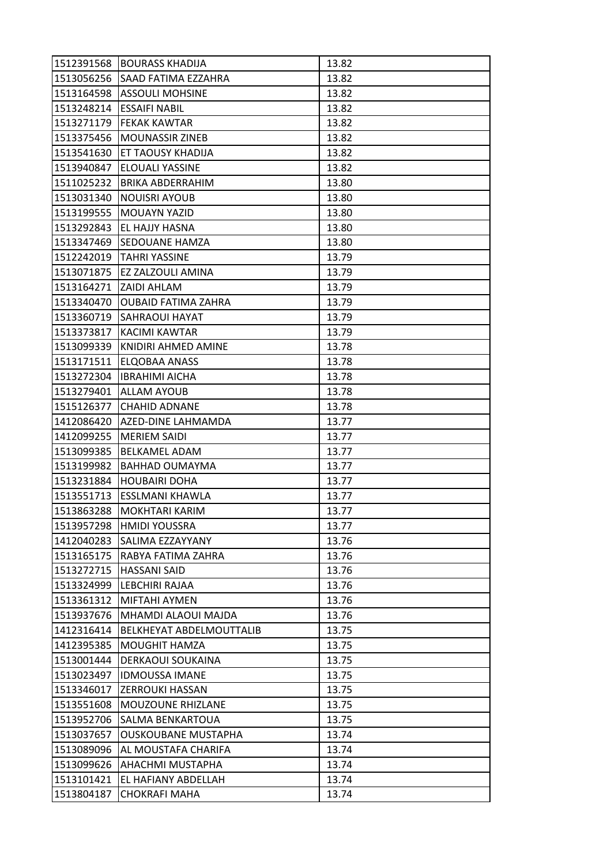| 1512391568 | <b>BOURASS KHADIJA</b>          | 13.82 |
|------------|---------------------------------|-------|
|            | 1513056256 SAAD FATIMA EZZAHRA  | 13.82 |
| 1513164598 | <b>ASSOULI MOHSINE</b>          | 13.82 |
| 1513248214 | <b>ESSAIFI NABIL</b>            | 13.82 |
| 1513271179 | <b>FEKAK KAWTAR</b>             | 13.82 |
| 1513375456 | <b>MOUNASSIR ZINEB</b>          | 13.82 |
| 1513541630 | <b>ET TAOUSY KHADIJA</b>        | 13.82 |
| 1513940847 | <b>ELOUALI YASSINE</b>          | 13.82 |
| 1511025232 | IBRIKA ABDERRAHIM               | 13.80 |
| 1513031340 | <b>NOUISRI AYOUB</b>            | 13.80 |
|            | 1513199555  MOUAYN YAZID        | 13.80 |
| 1513292843 | <b>EL HAJJY HASNA</b>           | 13.80 |
| 1513347469 | ISEDOUANE HAMZA                 | 13.80 |
|            | 1512242019 TAHRI YASSINE        | 13.79 |
| 1513071875 | <b>EZ ZALZOULI AMINA</b>        | 13.79 |
|            | 1513164271   ZAIDI AHLAM        | 13.79 |
| 1513340470 | <b>OUBAID FATIMA ZAHRA</b>      | 13.79 |
| 1513360719 | ISAHRAOUI HAYAT                 | 13.79 |
| 1513373817 | <b>KACIMI KAWTAR</b>            | 13.79 |
| 1513099339 | <b>KNIDIRI AHMED AMINE</b>      | 13.78 |
|            | 1513171511   ELQOBAA ANASS      | 13.78 |
| 1513272304 | <b>IBRAHIMI AICHA</b>           | 13.78 |
| 1513279401 | <b>ALLAM AYOUB</b>              | 13.78 |
| 1515126377 | <b>CHAHID ADNANE</b>            | 13.78 |
| 1412086420 | AZED-DINE LAHMAMDA              | 13.77 |
| 1412099255 | MERIEM SAIDI                    | 13.77 |
| 1513099385 | <b>BELKAMEL ADAM</b>            | 13.77 |
| 1513199982 | <b>BAHHAD OUMAYMA</b>           | 13.77 |
| 1513231884 | HOUBAIRI DOHA                   | 13.77 |
| 1513551713 | <b>ESSLMANI KHAWLA</b>          | 13.77 |
| 1513863288 | <b>IMOKHTARI KARIM</b>          | 13.77 |
| 1513957298 | <b>HMIDI YOUSSRA</b>            | 13.77 |
| 1412040283 | <b>SALIMA EZZAYYANY</b>         | 13.76 |
| 1513165175 | RABYA FATIMA ZAHRA              | 13.76 |
| 1513272715 | <b>HASSANI SAID</b>             | 13.76 |
| 1513324999 | <b>LEBCHIRI RAJAA</b>           | 13.76 |
| 1513361312 | <b>MIFTAHI AYMEN</b>            | 13.76 |
| 1513937676 | MHAMDI ALAOUI MAJDA             | 13.76 |
| 1412316414 | <b>BELKHEYAT ABDELMOUTTALIB</b> | 13.75 |
| 1412395385 | <b>MOUGHIT HAMZA</b>            | 13.75 |
| 1513001444 | <b>DERKAOUI SOUKAINA</b>        | 13.75 |
| 1513023497 | <b>IDMOUSSA IMANE</b>           | 13.75 |
| 1513346017 | <b>ZERROUKI HASSAN</b>          | 13.75 |
| 1513551608 | <b>MOUZOUNE RHIZLANE</b>        | 13.75 |
| 1513952706 | <b>SALMA BENKARTOUA</b>         | 13.75 |
| 1513037657 | <b>OUSKOUBANE MUSTAPHA</b>      | 13.74 |
| 1513089096 | AL MOUSTAFA CHARIFA             | 13.74 |
| 1513099626 | <b>AHACHMI MUSTAPHA</b>         | 13.74 |
| 1513101421 | EL HAFIANY ABDELLAH             | 13.74 |
| 1513804187 | <b>CHOKRAFI MAHA</b>            | 13.74 |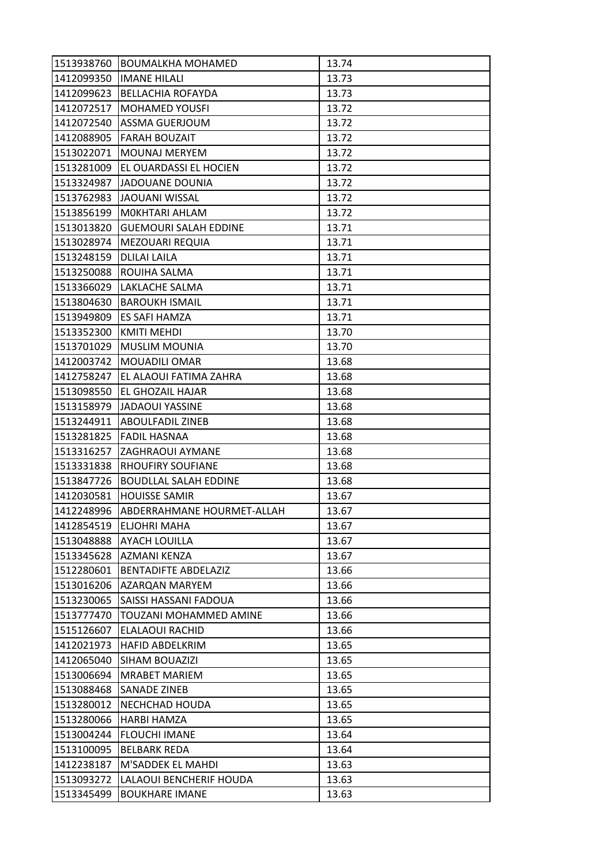|            | 1513938760 BOUMALKHA MOHAMED | 13.74 |
|------------|------------------------------|-------|
|            | 1412099350 IMANE HILALI      | 13.73 |
| 1412099623 | BELLACHIA ROFAYDA            | 13.73 |
| 1412072517 | <b>MOHAMED YOUSFI</b>        | 13.72 |
| 1412072540 | <b>ASSMA GUERJOUM</b>        | 13.72 |
|            | 1412088905 FARAH BOUZAIT     | 13.72 |
|            | 1513022071   MOUNAJ MERYEM   | 13.72 |
| 1513281009 | EL OUARDASSI EL HOCIEN       | 13.72 |
| 1513324987 | JADOUANE DOUNIA              | 13.72 |
| 1513762983 | <b>JAOUANI WISSAL</b>        | 13.72 |
| 1513856199 | MOKHTARI AHLAM               | 13.72 |
| 1513013820 | <b>GUEMOURI SALAH EDDINE</b> | 13.71 |
| 1513028974 | <b>MEZOUARI REQUIA</b>       | 13.71 |
| 1513248159 | <b>DLILAI LAILA</b>          | 13.71 |
| 1513250088 | ROUIHA SALMA                 | 13.71 |
|            | 1513366029 LAKLACHE SALMA    | 13.71 |
| 1513804630 | <b>BAROUKH ISMAIL</b>        | 13.71 |
| 1513949809 | <b>ES SAFI HAMZA</b>         | 13.71 |
| 1513352300 | <b>KMITI MEHDI</b>           | 13.70 |
| 1513701029 | <b>MUSLIM MOUNIA</b>         | 13.70 |
| 1412003742 | MOUADILI OMAR                | 13.68 |
| 1412758247 | EL ALAOUI FATIMA ZAHRA       | 13.68 |
| 1513098550 | <b>EL GHOZAIL HAJAR</b>      | 13.68 |
| 1513158979 | <b>JADAOUI YASSINE</b>       | 13.68 |
| 1513244911 | <b>ABOULFADIL ZINEB</b>      | 13.68 |
| 1513281825 | <b>FADIL HASNAA</b>          | 13.68 |
| 1513316257 | <b>ZAGHRAOUI AYMANE</b>      | 13.68 |
| 1513331838 | <b>RHOUFIRY SOUFIANE</b>     | 13.68 |
| 1513847726 | <b>BOUDLLAL SALAH EDDINE</b> | 13.68 |
| 1412030581 | <b>HOUISSE SAMIR</b>         | 13.67 |
| 1412248996 | ABDERRAHMANE HOURMET-ALLAH   | 13.67 |
| 1412854519 | <b>ELJOHRI MAHA</b>          | 13.67 |
| 1513048888 | <b>AYACH LOUILLA</b>         | 13.67 |
| 1513345628 | AZMANI KENZA                 | 13.67 |
| 1512280601 | <b>BENTADIFTE ABDELAZIZ</b>  | 13.66 |
| 1513016206 | <b>AZARQAN MARYEM</b>        | 13.66 |
| 1513230065 | <b>SAISSI HASSANI FADOUA</b> | 13.66 |
| 1513777470 | TOUZANI MOHAMMED AMINE       | 13.66 |
| 1515126607 | <b>ELALAOUI RACHID</b>       | 13.66 |
| 1412021973 | <b>HAFID ABDELKRIM</b>       | 13.65 |
| 1412065040 | <b>SIHAM BOUAZIZI</b>        | 13.65 |
| 1513006694 | <b>MRABET MARIEM</b>         | 13.65 |
| 1513088468 | <b>SANADE ZINEB</b>          | 13.65 |
| 1513280012 | INECHCHAD HOUDA              | 13.65 |
| 1513280066 | <b>HARBI HAMZA</b>           | 13.65 |
| 1513004244 | <b>FLOUCHI IMANE</b>         | 13.64 |
| 1513100095 | <b>BELBARK REDA</b>          | 13.64 |
| 1412238187 | M'SADDEK EL MAHDI            | 13.63 |
| 1513093272 | LALAOUI BENCHERIF HOUDA      | 13.63 |
| 1513345499 | <b>BOUKHARE IMANE</b>        | 13.63 |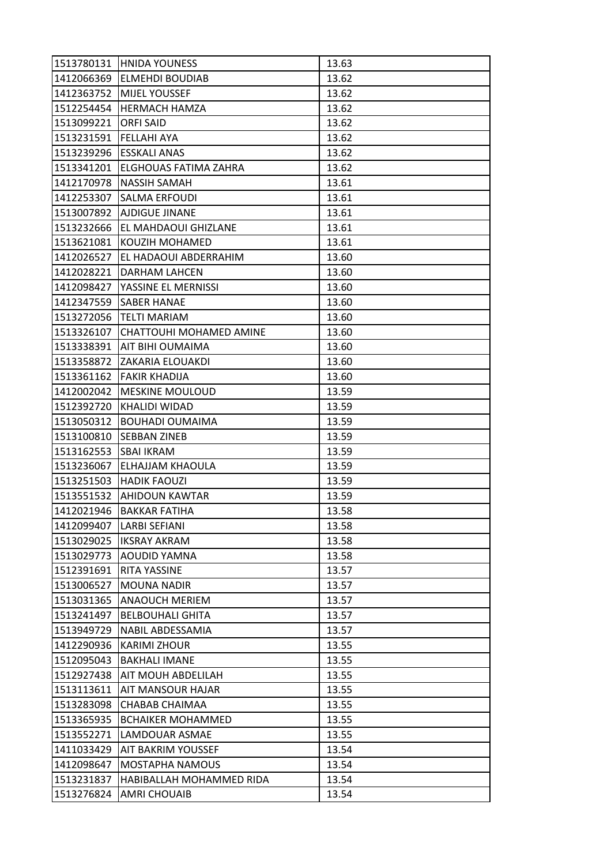| 1513780131 | <b>HNIDA YOUNESS</b>        | 13.63 |
|------------|-----------------------------|-------|
| 1412066369 | <b>ELMEHDI BOUDIAB</b>      | 13.62 |
| 1412363752 | <b>MIJEL YOUSSEF</b>        | 13.62 |
| 1512254454 | <b>HERMACH HAMZA</b>        | 13.62 |
| 1513099221 | <b>ORFI SAID</b>            | 13.62 |
| 1513231591 | <b>FELLAHI AYA</b>          | 13.62 |
| 1513239296 | <b>ESSKALI ANAS</b>         | 13.62 |
| 1513341201 | ELGHOUAS FATIMA ZAHRA       | 13.62 |
| 1412170978 | <b>NASSIH SAMAH</b>         | 13.61 |
| 1412253307 | <b>SALMA ERFOUDI</b>        | 13.61 |
| 1513007892 | <b>AJDIGUE JINANE</b>       | 13.61 |
| 1513232666 | <b>EL MAHDAOUI GHIZLANE</b> | 13.61 |
| 1513621081 | KOUZIH MOHAMED              | 13.61 |
| 1412026527 | EL HADAOUI ABDERRAHIM       | 13.60 |
| 1412028221 | DARHAM LAHCEN               | 13.60 |
| 1412098427 | YASSINE EL MERNISSI         | 13.60 |
| 1412347559 | <b>SABER HANAE</b>          | 13.60 |
| 1513272056 | ITELTI MARIAM               | 13.60 |
| 1513326107 | CHATTOUHI MOHAMED AMINE     | 13.60 |
| 1513338391 | AIT BIHI OUMAIMA            | 13.60 |
| 1513358872 | <b>ZAKARIA ELOUAKDI</b>     | 13.60 |
| 1513361162 | <b>FAKIR KHADIJA</b>        | 13.60 |
| 1412002042 | <b>MESKINE MOULOUD</b>      | 13.59 |
| 1512392720 | KHALIDI WIDAD               | 13.59 |
| 1513050312 | <b>BOUHADI OUMAIMA</b>      | 13.59 |
| 1513100810 | <b>SEBBAN ZINEB</b>         | 13.59 |
| 1513162553 | ISBAI IKRAM                 | 13.59 |
| 1513236067 | ELHAJJAM KHAOULA            | 13.59 |
| 1513251503 | <b>HADIK FAOUZI</b>         | 13.59 |
| 1513551532 | <b>AHIDOUN KAWTAR</b>       | 13.59 |
| 1412021946 | IBAKKAR FATIHA              | 13.58 |
| 1412099407 | <b>LARBI SEFIANI</b>        | 13.58 |
|            | 1513029025   IKSRAY AKRAM   | 13.58 |
| 1513029773 | AOUDID YAMNA                | 13.58 |
| 1512391691 | <b>RITA YASSINE</b>         | 13.57 |
| 1513006527 | <b>MOUNA NADIR</b>          | 13.57 |
| 1513031365 | <b>ANAOUCH MERIEM</b>       | 13.57 |
| 1513241497 | <b>BELBOUHALI GHITA</b>     | 13.57 |
| 1513949729 | NABIL ABDESSAMIA            | 13.57 |
| 1412290936 | <b>KARIMI ZHOUR</b>         | 13.55 |
| 1512095043 | <b>BAKHALI IMANE</b>        | 13.55 |
| 1512927438 | AIT MOUH ABDELILAH          | 13.55 |
| 1513113611 | <b>AIT MANSOUR HAJAR</b>    | 13.55 |
| 1513283098 | CHABAB CHAIMAA              | 13.55 |
| 1513365935 | <b>BCHAIKER MOHAMMED</b>    | 13.55 |
| 1513552271 | LAMDOUAR ASMAE              | 13.55 |
| 1411033429 | <b>AIT BAKRIM YOUSSEF</b>   | 13.54 |
| 1412098647 | <b>MOSTAPHA NAMOUS</b>      | 13.54 |
| 1513231837 | HABIBALLAH MOHAMMED RIDA    | 13.54 |
| 1513276824 | <b>AMRI CHOUAIB</b>         | 13.54 |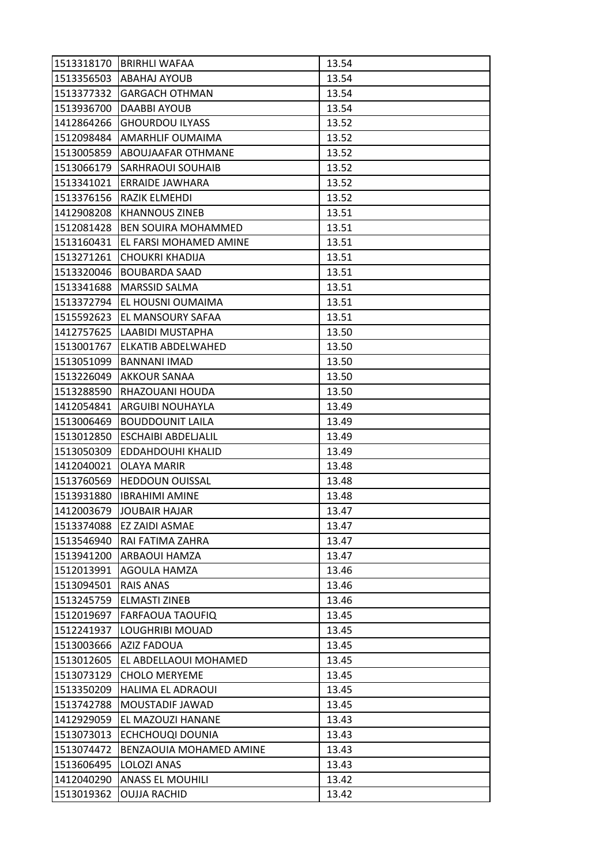|            | 1513318170 BRIRHLI WAFAA   | 13.54 |
|------------|----------------------------|-------|
| 1513356503 | <b>ABAHAJ AYOUB</b>        | 13.54 |
| 1513377332 | <b>GARGACH OTHMAN</b>      | 13.54 |
| 1513936700 | DAABBI AYOUB               | 13.54 |
| 1412864266 | <b>GHOURDOU ILYASS</b>     | 13.52 |
| 1512098484 | <b>AMARHLIF OUMAIMA</b>    | 13.52 |
| 1513005859 | <b>ABOUJAAFAR OTHMANE</b>  | 13.52 |
| 1513066179 | <b>SARHRAOUI SOUHAIB</b>   | 13.52 |
| 1513341021 | <b>ERRAIDE JAWHARA</b>     | 13.52 |
| 1513376156 | RAZIK ELMEHDI              | 13.52 |
| 1412908208 | <b>KHANNOUS ZINEB</b>      | 13.51 |
| 1512081428 | <b>BEN SOUIRA MOHAMMED</b> | 13.51 |
| 1513160431 | EL FARSI MOHAMED AMINE     | 13.51 |
| 1513271261 | <b>CHOUKRI KHADIJA</b>     | 13.51 |
| 1513320046 | <b>BOUBARDA SAAD</b>       | 13.51 |
| 1513341688 | <b>MARSSID SALMA</b>       | 13.51 |
| 1513372794 | EL HOUSNI OUMAIMA          | 13.51 |
| 1515592623 | EL MANSOURY SAFAA          | 13.51 |
| 1412757625 | LAABIDI MUSTAPHA           | 13.50 |
| 1513001767 | <b>ELKATIB ABDELWAHED</b>  | 13.50 |
| 1513051099 | <b>BANNANI IMAD</b>        | 13.50 |
| 1513226049 | <b>AKKOUR SANAA</b>        | 13.50 |
| 1513288590 | RHAZOUANI HOUDA            | 13.50 |
| 1412054841 | ARGUIBI NOUHAYLA           | 13.49 |
| 1513006469 | <b>BOUDDOUNIT LAILA</b>    | 13.49 |
| 1513012850 | <b>ESCHAIBI ABDELJALIL</b> | 13.49 |
| 1513050309 | EDDAHDOUHI KHALID          | 13.49 |
| 1412040021 | <b>OLAYA MARIR</b>         | 13.48 |
| 1513760569 | <b>HEDDOUN OUISSAL</b>     | 13.48 |
| 1513931880 | <b>IBRAHIMI AMINE</b>      | 13.48 |
| 1412003679 | <b>JJOUBAIR HAJAR</b>      | 13.47 |
| 1513374088 | <b>EZ ZAIDI ASMAE</b>      | 13.47 |
| 1513546940 | RAI FATIMA ZAHRA           | 13.47 |
| 1513941200 | ARBAOUI HAMZA              | 13.47 |
| 1512013991 | <b>AGOULA HAMZA</b>        | 13.46 |
| 1513094501 | RAIS ANAS                  | 13.46 |
| 1513245759 | <b>ELMASTI ZINEB</b>       | 13.46 |
| 1512019697 | <b>FARFAOUA TAOUFIQ</b>    | 13.45 |
| 1512241937 | LOUGHRIBI MOUAD            | 13.45 |
| 1513003666 | <b>AZIZ FADOUA</b>         | 13.45 |
| 1513012605 | EL ABDELLAOUI MOHAMED      | 13.45 |
| 1513073129 | <b>CHOLO MERYEME</b>       | 13.45 |
| 1513350209 | <b>HALIMA EL ADRAOUI</b>   | 13.45 |
| 1513742788 | MOUSTADIF JAWAD            | 13.45 |
| 1412929059 | EL MAZOUZI HANANE          | 13.43 |
| 1513073013 | ECHCHOUQI DOUNIA           | 13.43 |
| 1513074472 | BENZAOUIA MOHAMED AMINE    | 13.43 |
| 1513606495 | LOLOZI ANAS                | 13.43 |
| 1412040290 | <b>ANASS EL MOUHILI</b>    | 13.42 |
| 1513019362 | <b>OUJJA RACHID</b>        | 13.42 |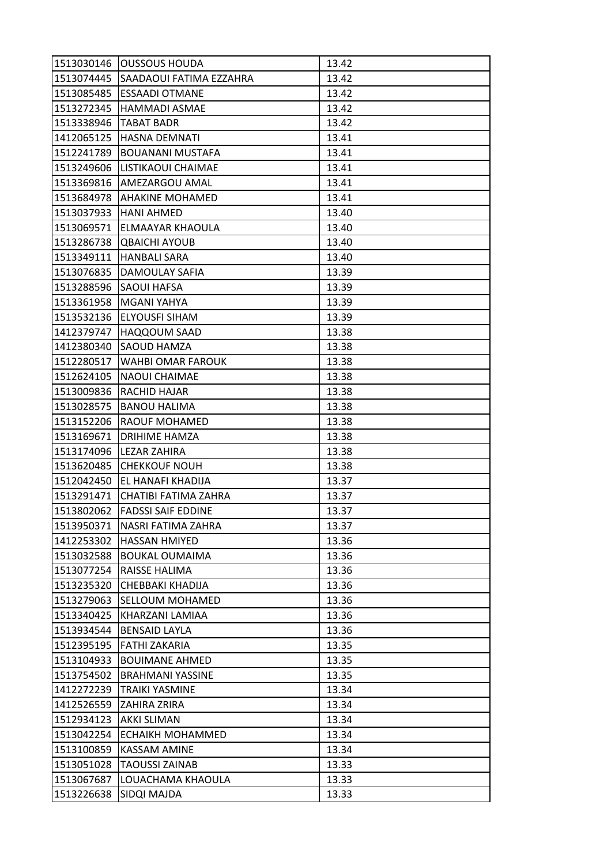|            | 1513030146   OUSSOUS HOUDA         | 13.42 |
|------------|------------------------------------|-------|
|            | 1513074445 SAADAOUI FATIMA EZZAHRA | 13.42 |
| 1513085485 | <b>ESSAADI OTMANE</b>              | 13.42 |
| 1513272345 | <b>HAMMADI ASMAE</b>               | 13.42 |
| 1513338946 | <b>TABAT BADR</b>                  | 13.42 |
|            | 1412065125  HASNA DEMNATI          | 13.41 |
| 1512241789 | <b>BOUANANI MUSTAFA</b>            | 13.41 |
| 1513249606 | ILISTIKAOUI CHAIMAE                | 13.41 |
| 1513369816 | <b>AMEZARGOU AMAL</b>              | 13.41 |
| 1513684978 | AHAKINE MOHAMED                    | 13.41 |
| 1513037933 | HANI AHMED                         | 13.40 |
| 1513069571 | <b>ELMAAYAR KHAOULA</b>            | 13.40 |
| 1513286738 | <b>QBAICHI AYOUB</b>               | 13.40 |
| 1513349111 | <b>HANBALI SARA</b>                | 13.40 |
| 1513076835 | <b>DAMOULAY SAFIA</b>              | 13.39 |
| 1513288596 | <b>SAOUI HAFSA</b>                 | 13.39 |
| 1513361958 | MGANI YAHYA                        | 13.39 |
| 1513532136 | <b>ELYOUSFI SIHAM</b>              | 13.39 |
| 1412379747 | <b>HAQQOUM SAAD</b>                | 13.38 |
| 1412380340 | <b>SAOUD HAMZA</b>                 | 13.38 |
| 1512280517 | <b>WAHBI OMAR FAROUK</b>           | 13.38 |
| 1512624105 | <b>NAOUI CHAIMAE</b>               | 13.38 |
| 1513009836 | <b>RACHID HAJAR</b>                | 13.38 |
| 1513028575 | <b>BANOU HALIMA</b>                | 13.38 |
| 1513152206 | <b>RAOUF MOHAMED</b>               | 13.38 |
| 1513169671 | DRIHIME HAMZA                      | 13.38 |
| 1513174096 | <b>LEZAR ZAHIRA</b>                | 13.38 |
| 1513620485 | <b>CHEKKOUF NOUH</b>               | 13.38 |
| 1512042450 | EL HANAFI KHADIJA                  | 13.37 |
| 1513291471 | <b>CHATIBI FATIMA ZAHRA</b>        | 13.37 |
| 1513802062 | <b>FADSSI SAIF EDDINE</b>          | 13.37 |
| 1513950371 | NASRI FATIMA ZAHRA                 | 13.37 |
| 1412253302 | <b>HASSAN HMIYED</b>               | 13.36 |
| 1513032588 | <b>BOUKAL OUMAIMA</b>              | 13.36 |
| 1513077254 | RAISSE HALIMA                      | 13.36 |
| 1513235320 | CHEBBAKI KHADIJA                   | 13.36 |
| 1513279063 | <b>SELLOUM MOHAMED</b>             | 13.36 |
| 1513340425 | KHARZANI LAMIAA                    | 13.36 |
| 1513934544 | <b>BENSAID LAYLA</b>               | 13.36 |
| 1512395195 | <b>FATHI ZAKARIA</b>               | 13.35 |
| 1513104933 | <b>BOUIMANE AHMED</b>              | 13.35 |
| 1513754502 | <b>BRAHMANI YASSINE</b>            | 13.35 |
| 1412272239 | <b>TRAIKI YASMINE</b>              | 13.34 |
| 1412526559 | <b>ZAHIRA ZRIRA</b>                | 13.34 |
| 1512934123 | <b>AKKI SLIMAN</b>                 | 13.34 |
| 1513042254 | <b>ECHAIKH MOHAMMED</b>            | 13.34 |
| 1513100859 | <b>KASSAM AMINE</b>                | 13.34 |
| 1513051028 | <b>TAOUSSI ZAINAB</b>              | 13.33 |
| 1513067687 | LOUACHAMA KHAOULA                  | 13.33 |
| 1513226638 | SIDQI MAJDA                        | 13.33 |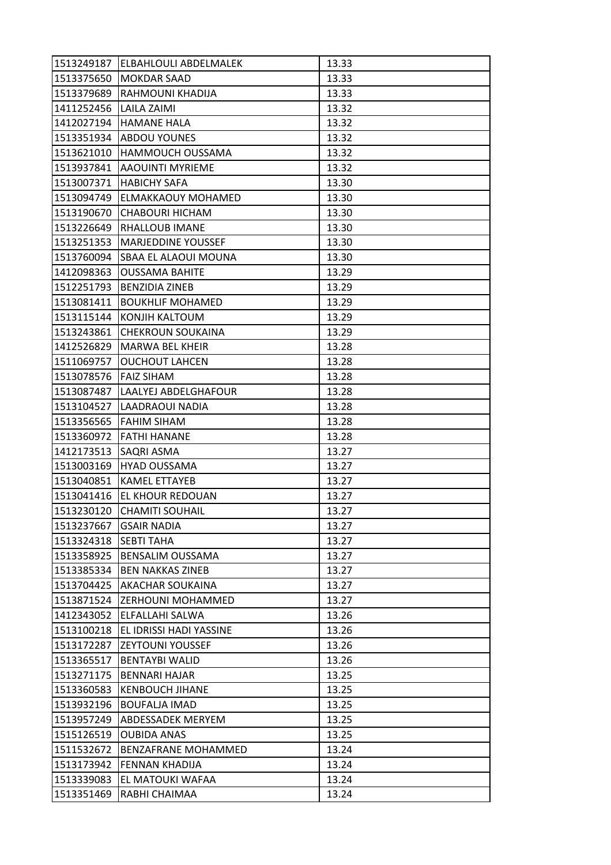| 1513249187 | ELBAHLOULI ABDELMALEK       | 13.33 |
|------------|-----------------------------|-------|
| 1513375650 | <b>MOKDAR SAAD</b>          | 13.33 |
| 1513379689 | RAHMOUNI KHADIJA            | 13.33 |
| 1411252456 | <b>LAILA ZAIMI</b>          | 13.32 |
| 1412027194 | <b>HAMANE HALA</b>          | 13.32 |
| 1513351934 | <b>ABDOU YOUNES</b>         | 13.32 |
| 1513621010 | <b>HAMMOUCH OUSSAMA</b>     | 13.32 |
| 1513937841 | AAOUINTI MYRIEME            | 13.32 |
| 1513007371 | <b>HABICHY SAFA</b>         | 13.30 |
| 1513094749 | <b>ELMAKKAOUY MOHAMED</b>   | 13.30 |
| 1513190670 | <b>CHABOURI HICHAM</b>      | 13.30 |
| 1513226649 | <b>RHALLOUB IMANE</b>       | 13.30 |
| 1513251353 | IMARJEDDINE YOUSSEF         | 13.30 |
| 1513760094 | <b>SBAA EL ALAOUI MOUNA</b> | 13.30 |
| 1412098363 | <b>OUSSAMA BAHITE</b>       | 13.29 |
|            | 1512251793   BENZIDIA ZINEB | 13.29 |
| 1513081411 | <b>BOUKHLIF MOHAMED</b>     | 13.29 |
| 1513115144 | KONJIH KALTOUM              | 13.29 |
| 1513243861 | <b>CHEKROUN SOUKAINA</b>    | 13.29 |
| 1412526829 | <b>MARWA BEL KHEIR</b>      | 13.28 |
| 1511069757 | <b>OUCHOUT LAHCEN</b>       | 13.28 |
| 1513078576 | <b>FAIZ SIHAM</b>           | 13.28 |
| 1513087487 | LAALYEJ ABDELGHAFOUR        | 13.28 |
| 1513104527 | LAADRAOUI NADIA             | 13.28 |
| 1513356565 | <b>IFAHIM SIHAM</b>         | 13.28 |
| 1513360972 | <b>FATHI HANANE</b>         | 13.28 |
| 1412173513 | <b>SAQRI ASMA</b>           | 13.27 |
| 1513003169 | HYAD OUSSAMA                | 13.27 |
| 1513040851 | IKAMEL ETTAYEB              | 13.27 |
| 1513041416 | <b>EL KHOUR REDOUAN</b>     | 13.27 |
| 1513230120 | <b>CHAMITI SOUHAIL</b>      | 13.27 |
| 1513237667 | <b>GSAIR NADIA</b>          | 13.27 |
| 1513324318 | <b>SEBTI TAHA</b>           | 13.27 |
| 1513358925 | <b>BENSALIM OUSSAMA</b>     | 13.27 |
| 1513385334 | <b>BEN NAKKAS ZINEB</b>     | 13.27 |
| 1513704425 | <b>AKACHAR SOUKAINA</b>     | 13.27 |
| 1513871524 | <b>ZERHOUNI MOHAMMED</b>    | 13.27 |
| 1412343052 | <b>ELFALLAHI SALWA</b>      | 13.26 |
| 1513100218 | EL IDRISSI HADI YASSINE     | 13.26 |
| 1513172287 | <b>ZEYTOUNI YOUSSEF</b>     | 13.26 |
| 1513365517 | <b>BENTAYBI WALID</b>       | 13.26 |
| 1513271175 | BENNARI HAJAR               | 13.25 |
| 1513360583 | <b>KENBOUCH JIHANE</b>      | 13.25 |
| 1513932196 | <b>BOUFALJA IMAD</b>        | 13.25 |
| 1513957249 | <b>ABDESSADEK MERYEM</b>    | 13.25 |
| 1515126519 | <b>OUBIDA ANAS</b>          | 13.25 |
| 1511532672 | <b>BENZAFRANE MOHAMMED</b>  | 13.24 |
| 1513173942 | <b>FENNAN KHADIJA</b>       | 13.24 |
| 1513339083 | EL MATOUKI WAFAA            | 13.24 |
| 1513351469 | RABHI CHAIMAA               | 13.24 |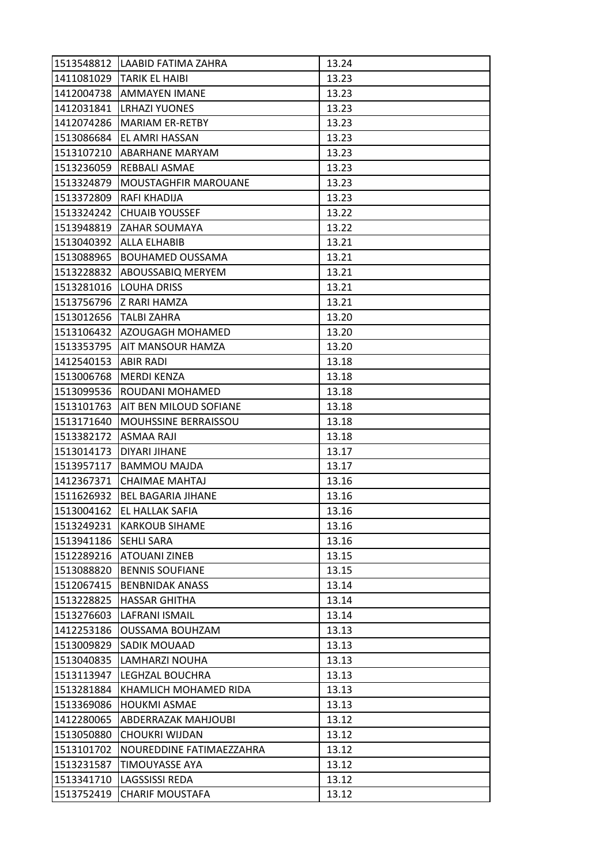|                        | 1513548812 LAABID FATIMA ZAHRA | 13.24 |
|------------------------|--------------------------------|-------|
|                        | 1411081029   TARIK EL HAIBI    | 13.23 |
|                        | 1412004738 AMMAYEN IMANE       | 13.23 |
|                        | 1412031841 LRHAZI YUONES       | 13.23 |
| 1412074286             | <b>MARIAM ER-RETBY</b>         | 13.23 |
|                        | 1513086684  EL AMRI HASSAN     | 13.23 |
|                        | 1513107210 ABARHANE MARYAM     | 13.23 |
| 1513236059             | <b>REBBALI ASMAE</b>           | 13.23 |
| 1513324879             | <b>MOUSTAGHFIR MAROUANE</b>    | 13.23 |
| 1513372809             | <b>RAFI KHADIJA</b>            | 13.23 |
|                        | 1513324242 CHUAIB YOUSSEF      | 13.22 |
| 1513948819             | <b>ZAHAR SOUMAYA</b>           | 13.22 |
| 1513040392             | IALLA ELHABIB                  | 13.21 |
| 1513088965             | <b>BOUHAMED OUSSAMA</b>        | 13.21 |
| 1513228832             | <b>ABOUSSABIQ MERYEM</b>       | 13.21 |
|                        | 1513281016   LOUHA DRISS       | 13.21 |
|                        | 1513756796  Z RARI HAMZA       | 13.21 |
| 1513012656 TALBI ZAHRA |                                | 13.20 |
|                        | 1513106432 AZOUGAGH MOHAMED    | 13.20 |
|                        | 1513353795  AIT MANSOUR HAMZA  | 13.20 |
| 1412540153  ABIR RADI  |                                | 13.18 |
| 1513006768             | <b>MERDI KENZA</b>             | 13.18 |
| 1513099536             | ROUDANI MOHAMED                | 13.18 |
| 1513101763             | <b>AIT BEN MILOUD SOFIANE</b>  | 13.18 |
| 1513171640             | <b>MOUHSSINE BERRAISSOU</b>    | 13.18 |
| 1513382172  ASMAA RAJI |                                | 13.18 |
| 1513014173             | <b>DIYARI JIHANE</b>           | 13.17 |
| 1513957117             | <b>BAMMOU MAJDA</b>            | 13.17 |
| 1412367371             | <b>CHAIMAE MAHTAJ</b>          | 13.16 |
| 1511626932             | IBEL BAGARIA JIHANE            | 13.16 |
| 1513004162             | <b>EL HALLAK SAFIA</b>         | 13.16 |
| 1513249231             | <b>KARKOUB SIHAME</b>          | 13.16 |
| 1513941186             | <b>SEHLI SARA</b>              | 13.16 |
| 1512289216             | <b>ATOUANI ZINEB</b>           | 13.15 |
| 1513088820             | <b>BENNIS SOUFIANE</b>         | 13.15 |
| 1512067415             | <b>BENBNIDAK ANASS</b>         | 13.14 |
| 1513228825             | <b>HASSAR GHITHA</b>           | 13.14 |
| 1513276603             | LAFRANI ISMAIL                 | 13.14 |
| 1412253186             | <b>OUSSAMA BOUHZAM</b>         | 13.13 |
| 1513009829             | <b>SADIK MOUAAD</b>            | 13.13 |
| 1513040835             | LAMHARZI NOUHA                 | 13.13 |
| 1513113947             | <b>LEGHZAL BOUCHRA</b>         | 13.13 |
| 1513281884             | KHAMLICH MOHAMED RIDA          | 13.13 |
| 1513369086             | <b>HOUKMI ASMAE</b>            | 13.13 |
| 1412280065             | <b>ABDERRAZAK MAHJOUBI</b>     | 13.12 |
| 1513050880             | <b>CHOUKRI WIJDAN</b>          | 13.12 |
| 1513101702             | NOUREDDINE FATIMAEZZAHRA       | 13.12 |
| 1513231587             | <b>TIMOUYASSE AYA</b>          | 13.12 |
| 1513341710             | <b>LAGSSISSI REDA</b>          | 13.12 |
| 1513752419             | <b>CHARIF MOUSTAFA</b>         | 13.12 |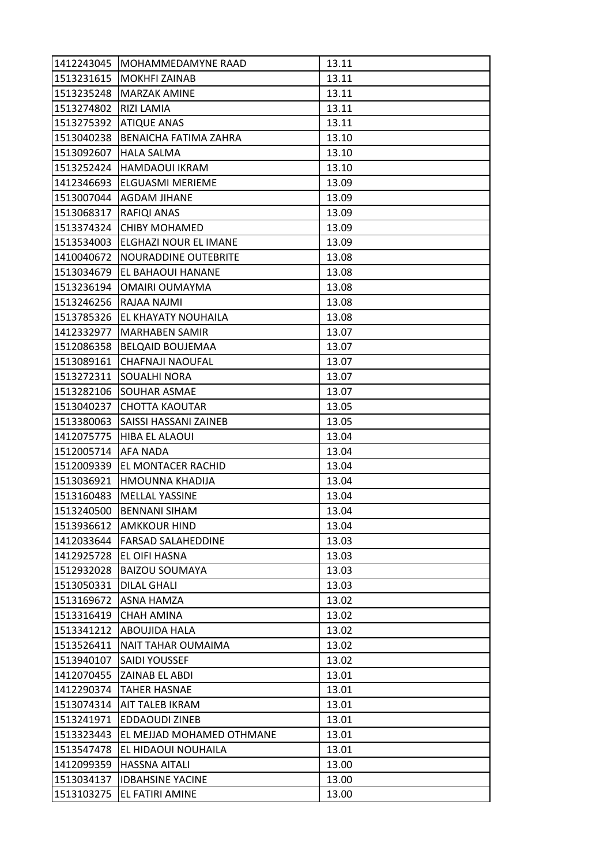| 1412243045 | IMOHAMMEDAMYNE RAAD          | 13.11 |
|------------|------------------------------|-------|
|            | 1513231615   MOKHFI ZAINAB   | 13.11 |
| 1513235248 | <b>MARZAK AMINE</b>          | 13.11 |
| 1513274802 | <b>RIZI LAMIA</b>            | 13.11 |
| 1513275392 | <b>ATIQUE ANAS</b>           | 13.11 |
| 1513040238 | <b>BENAICHA FATIMA ZAHRA</b> | 13.10 |
| 1513092607 | <b>HALA SALMA</b>            | 13.10 |
| 1513252424 | IHAMDAOUI IKRAM              | 13.10 |
| 1412346693 | <b>ELGUASMI MERIEME</b>      | 13.09 |
| 1513007044 | <b>AGDAM JIHANE</b>          | 13.09 |
| 1513068317 | <b>RAFIQI ANAS</b>           | 13.09 |
| 1513374324 | <b>CHIBY MOHAMED</b>         | 13.09 |
| 1513534003 | lELGHAZI NOUR EL IMANE       | 13.09 |
| 1410040672 | NOURADDINE OUTEBRITE         | 13.08 |
| 1513034679 | EL BAHAOUI HANANE            | 13.08 |
| 1513236194 | <b>OMAIRI OUMAYMA</b>        | 13.08 |
| 1513246256 | RAJAA NAJMI                  | 13.08 |
| 1513785326 | JEL KHAYATY NOUHAILA         | 13.08 |
| 1412332977 | MARHABEN SAMIR               | 13.07 |
| 1512086358 | <b>BELQAID BOUJEMAA</b>      | 13.07 |
| 1513089161 | <b>CHAFNAJI NAOUFAL</b>      | 13.07 |
| 1513272311 | SOUALHI NORA                 | 13.07 |
| 1513282106 | <b>SOUHAR ASMAE</b>          | 13.07 |
| 1513040237 | <b>CHOTTA KAOUTAR</b>        | 13.05 |
| 1513380063 | SAISSI HASSANI ZAINEB        | 13.05 |
| 1412075775 | <b>HIBA EL ALAOUI</b>        | 13.04 |
| 1512005714 | AFA NADA                     | 13.04 |
| 1512009339 | EL MONTACER RACHID           | 13.04 |
| 1513036921 | HMOUNNA KHADIJA              | 13.04 |
| 1513160483 | <b>MELLAL YASSINE</b>        | 13.04 |
| 1513240500 | <b>BENNANI SIHAM</b>         | 13.04 |
| 1513936612 | <b>AMKKOUR HIND</b>          | 13.04 |
| 1412033644 | <b>FARSAD SALAHEDDINE</b>    | 13.03 |
| 1412925728 | <b>EL OIFI HASNA</b>         | 13.03 |
| 1512932028 | <b>BAIZOU SOUMAYA</b>        | 13.03 |
| 1513050331 | <b>DILAL GHALI</b>           | 13.03 |
| 1513169672 | <b>ASNA HAMZA</b>            | 13.02 |
| 1513316419 | <b>CHAH AMINA</b>            | 13.02 |
| 1513341212 | <b>ABOUJIDA HALA</b>         | 13.02 |
| 1513526411 | <b>NAIT TAHAR OUMAIMA</b>    | 13.02 |
| 1513940107 | <b>SAIDI YOUSSEF</b>         | 13.02 |
| 1412070455 | <b>ZAINAB EL ABDI</b>        | 13.01 |
| 1412290374 | <b>TAHER HASNAE</b>          | 13.01 |
| 1513074314 | <b>AIT TALEB IKRAM</b>       | 13.01 |
| 1513241971 | <b>EDDAOUDI ZINEB</b>        | 13.01 |
| 1513323443 | EL MEJJAD MOHAMED OTHMANE    | 13.01 |
| 1513547478 | EL HIDAOUI NOUHAILA          | 13.01 |
| 1412099359 | <b>HASSNA AITALI</b>         | 13.00 |
| 1513034137 | <b>IDBAHSINE YACINE</b>      | 13.00 |
| 1513103275 | EL FATIRI AMINE              | 13.00 |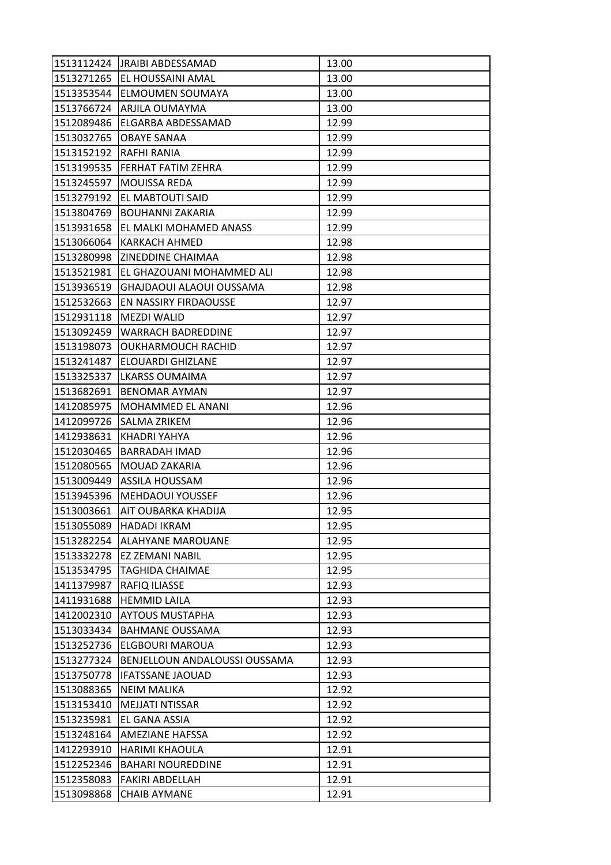|            | 1513112424 JRAIBI ABDESSAMAD         | 13.00 |
|------------|--------------------------------------|-------|
|            | 1513271265 EL HOUSSAINI AMAL         | 13.00 |
| 1513353544 | <b>JELMOUMEN SOUMAYA</b>             | 13.00 |
| 1513766724 | ARJILA OUMAYMA                       | 13.00 |
| 1512089486 | ELGARBA ABDESSAMAD                   | 12.99 |
| 1513032765 | <b>OBAYE SANAA</b>                   | 12.99 |
| 1513152192 | <b>RAFHI RANIA</b>                   | 12.99 |
| 1513199535 | IFERHAT FATIM ZEHRA                  | 12.99 |
| 1513245597 | <b>MOUISSA REDA</b>                  | 12.99 |
| 1513279192 | EL MABTOUTI SAID                     | 12.99 |
| 1513804769 | <b>BOUHANNI ZAKARIA</b>              | 12.99 |
| 1513931658 | EL MALKI MOHAMED ANASS               | 12.99 |
| 1513066064 | <b>KARKACH AHMED</b>                 | 12.98 |
| 1513280998 | <b>ZINEDDINE CHAIMAA</b>             | 12.98 |
| 1513521981 | EL GHAZOUANI MOHAMMED ALI            | 12.98 |
| 1513936519 | GHAJDAOUI ALAOUI OUSSAMA             | 12.98 |
| 1512532663 | <b>EN NASSIRY FIRDAOUSSE</b>         | 12.97 |
| 1512931118 | <b>MEZDI WALID</b>                   | 12.97 |
| 1513092459 | <b>WARRACH BADREDDINE</b>            | 12.97 |
| 1513198073 | <b>OUKHARMOUCH RACHID</b>            | 12.97 |
| 1513241487 | <b>ELOUARDI GHIZLANE</b>             | 12.97 |
| 1513325337 | LKARSS OUMAIMA                       | 12.97 |
| 1513682691 | BENOMAR AYMAN                        | 12.97 |
| 1412085975 | MOHAMMED EL ANANI                    | 12.96 |
| 1412099726 | ISALMA ZRIKEM                        | 12.96 |
| 1412938631 | KHADRI YAHYA                         | 12.96 |
| 1512030465 | BARRADAH IMAD                        | 12.96 |
| 1512080565 | <b>MOUAD ZAKARIA</b>                 | 12.96 |
| 1513009449 | <b>ASSILA HOUSSAM</b>                | 12.96 |
| 1513945396 | <b>MEHDAOUI YOUSSEF</b>              | 12.96 |
| 1513003661 | <b>JAIT OUBARKA KHADIJA</b>          | 12.95 |
| 1513055089 | <b>HADADI IKRAM</b>                  | 12.95 |
| 1513282254 | <b>ALAHYANE MAROUANE</b>             | 12.95 |
| 1513332278 | EZ ZEMANI NABIL                      | 12.95 |
| 1513534795 | <b>TAGHIDA CHAIMAE</b>               | 12.95 |
| 1411379987 | <b>RAFIQ ILIASSE</b>                 | 12.93 |
| 1411931688 | <b>HEMMID LAILA</b>                  | 12.93 |
| 1412002310 | <b>AYTOUS MUSTAPHA</b>               | 12.93 |
| 1513033434 | <b>BAHMANE OUSSAMA</b>               | 12.93 |
| 1513252736 | <b>ELGBOURI MAROUA</b>               | 12.93 |
| 1513277324 | <b>BENJELLOUN ANDALOUSSI OUSSAMA</b> | 12.93 |
| 1513750778 | <b>IFATSSANE JAOUAD</b>              | 12.93 |
| 1513088365 | <b>NEIM MALIKA</b>                   | 12.92 |
| 1513153410 | <b>MEJJATI NTISSAR</b>               | 12.92 |
| 1513235981 | EL GANA ASSIA                        | 12.92 |
| 1513248164 | <b>AMEZIANE HAFSSA</b>               | 12.92 |
| 1412293910 | <b>HARIMI KHAOULA</b>                | 12.91 |
| 1512252346 | <b>BAHARI NOUREDDINE</b>             | 12.91 |
| 1512358083 | <b>FAKIRI ABDELLAH</b>               | 12.91 |
| 1513098868 | <b>CHAIB AYMANE</b>                  | 12.91 |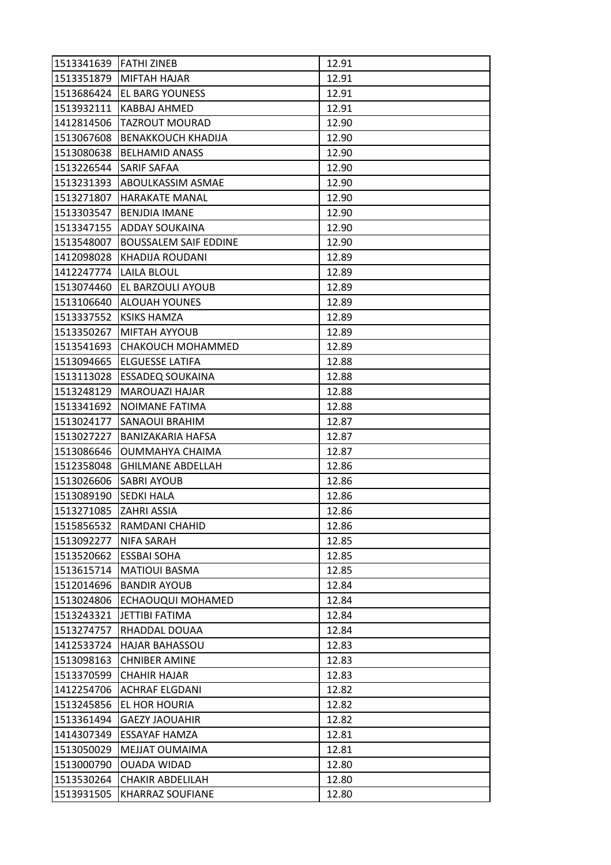| 1513341639 FATHI ZINEB |                              | 12.91 |
|------------------------|------------------------------|-------|
|                        | 1513351879 MIFTAH HAJAR      | 12.91 |
| 1513686424             | <b>IEL BARG YOUNESS</b>      | 12.91 |
| 1513932111             | KABBAJ AHMED                 | 12.91 |
| 1412814506             | <b>TAZROUT MOURAD</b>        | 12.90 |
| 1513067608             | BENAKKOUCH KHADIJA           | 12.90 |
| 1513080638             | <b>BELHAMID ANASS</b>        | 12.90 |
| 1513226544             | <b>SARIF SAFAA</b>           | 12.90 |
| 1513231393             | <b>ABOULKASSIM ASMAE</b>     | 12.90 |
| 1513271807             | <b>HARAKATE MANAL</b>        | 12.90 |
| 1513303547             | <b>IBENJDIA IMANE</b>        | 12.90 |
| 1513347155             | <b>ADDAY SOUKAINA</b>        | 12.90 |
| 1513548007             | <b>BOUSSALEM SAIF EDDINE</b> | 12.90 |
| 1412098028             | KHADIJA ROUDANI              | 12.89 |
| 1412247774             | <b>LAILA BLOUL</b>           | 12.89 |
| 1513074460             | <b>EL BARZOULI AYOUB</b>     | 12.89 |
| 1513106640             | <b>ALOUAH YOUNES</b>         | 12.89 |
| 1513337552             | <b>KSIKS HAMZA</b>           | 12.89 |
| 1513350267             | <b>MIFTAH AYYOUB</b>         | 12.89 |
| 1513541693             | <b>CHAKOUCH MOHAMMED</b>     | 12.89 |
| 1513094665             | <b>ELGUESSE LATIFA</b>       | 12.88 |
| 1513113028             | <b>ESSADEQ SOUKAINA</b>      | 12.88 |
| 1513248129             | MAROUAZI HAJAR               | 12.88 |
| 1513341692             | NOIMANE FATIMA               | 12.88 |
| 1513024177             | <b>SANAOUI BRAHIM</b>        | 12.87 |
| 1513027227             | BANIZAKARIA HAFSA            | 12.87 |
| 1513086646             | OUMMAHYA CHAIMA              | 12.87 |
| 1512358048             | <b>GHILMANE ABDELLAH</b>     | 12.86 |
| 1513026606             | SABRI AYOUB                  | 12.86 |
| 1513089190             | <b>SEDKI HALA</b>            | 12.86 |
| 1513271085             | <b>ZAHRI ASSIA</b>           | 12.86 |
| 1515856532             | <b>RAMDANI CHAHID</b>        | 12.86 |
| 1513092277             | <b>NIFA SARAH</b>            | 12.85 |
| 1513520662             | <b>ESSBAI SOHA</b>           | 12.85 |
| 1513615714             | <b>MATIOUI BASMA</b>         | 12.85 |
| 1512014696             | <b>BANDIR AYOUB</b>          | 12.84 |
| 1513024806             | <b>ECHAOUQUI MOHAMED</b>     | 12.84 |
| 1513243321             | JETTIBI FATIMA               | 12.84 |
| 1513274757             | RHADDAL DOUAA                | 12.84 |
| 1412533724             | <b>HAJAR BAHASSOU</b>        | 12.83 |
| 1513098163             | <b>CHNIBER AMINE</b>         | 12.83 |
| 1513370599             | <b>CHAHIR HAJAR</b>          | 12.83 |
| 1412254706             | <b>ACHRAF ELGDANI</b>        | 12.82 |
| 1513245856             | EL HOR HOURIA                | 12.82 |
| 1513361494             | <b>GAEZY JAOUAHIR</b>        | 12.82 |
| 1414307349             | <b>ESSAYAF HAMZA</b>         | 12.81 |
| 1513050029             | MEJJAT OUMAIMA               | 12.81 |
| 1513000790             | <b>OUADA WIDAD</b>           | 12.80 |
| 1513530264             | <b>CHAKIR ABDELILAH</b>      | 12.80 |
| 1513931505             | <b>KHARRAZ SOUFIANE</b>      | 12.80 |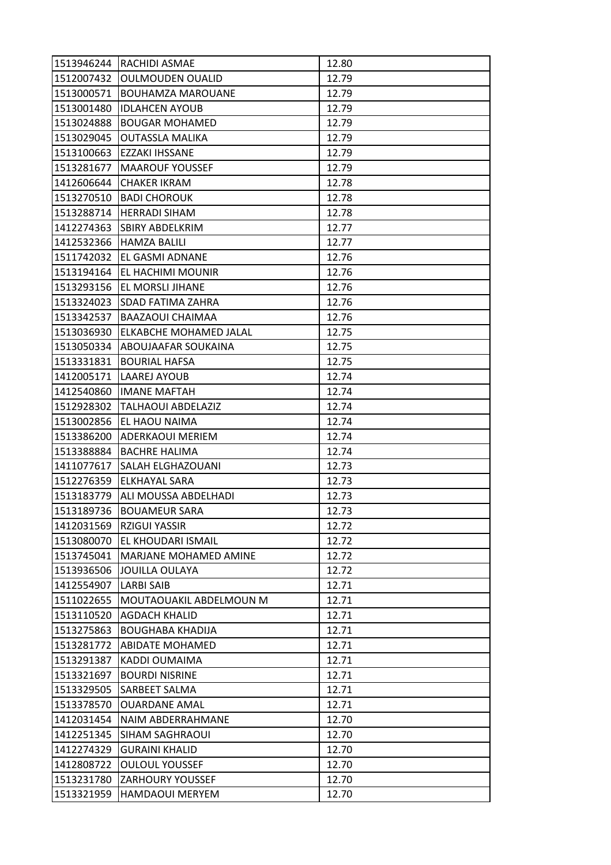|            | 1513946244 RACHIDI ASMAE      | 12.80 |
|------------|-------------------------------|-------|
| 1512007432 | <b>OULMOUDEN OUALID</b>       | 12.79 |
| 1513000571 | <b>BOUHAMZA MAROUANE</b>      | 12.79 |
| 1513001480 | <b>IDLAHCEN AYOUB</b>         | 12.79 |
| 1513024888 | <b>BOUGAR MOHAMED</b>         | 12.79 |
| 1513029045 | <b>OUTASSLA MALIKA</b>        | 12.79 |
| 1513100663 | <b>EZZAKI IHSSANE</b>         | 12.79 |
| 1513281677 | IMAAROUF YOUSSEF              | 12.79 |
| 1412606644 | <b>CHAKER IKRAM</b>           | 12.78 |
| 1513270510 | <b>BADI CHOROUK</b>           | 12.78 |
|            | 1513288714  HERRADI SIHAM     | 12.78 |
| 1412274363 | SBIRY ABDELKRIM               | 12.77 |
| 1412532366 | <b>HAMZA BALILI</b>           | 12.77 |
| 1511742032 | EL GASMI ADNANE               | 12.76 |
| 1513194164 | <b>EL HACHIMI MOUNIR</b>      | 12.76 |
|            | 1513293156   EL MORSLI JIHANE | 12.76 |
| 1513324023 | <b>SDAD FATIMA ZAHRA</b>      | 12.76 |
| 1513342537 | <b>BAAZAOUI CHAIMAA</b>       | 12.76 |
| 1513036930 | <b>ELKABCHE MOHAMED JALAL</b> | 12.75 |
| 1513050334 | <b>ABOUJAAFAR SOUKAINA</b>    | 12.75 |
|            | 1513331831  BOURIAL HAFSA     | 12.75 |
| 1412005171 | LAAREJ AYOUB                  | 12.74 |
| 1412540860 | <b>IMANE MAFTAH</b>           | 12.74 |
| 1512928302 | TALHAOUI ABDELAZIZ            | 12.74 |
| 1513002856 | <b>JEL HAOU NAIMA</b>         | 12.74 |
| 1513386200 | ADERKAOUI MERIEM              | 12.74 |
| 1513388884 | IBACHRE HALIMA                | 12.74 |
| 1411077617 | <b>SALAH ELGHAZOUANI</b>      | 12.73 |
| 1512276359 | ELKHAYAL SARA                 | 12.73 |
| 1513183779 | ALI MOUSSA ABDELHADI          | 12.73 |
| 1513189736 | BOUAMEUR SARA                 | 12.73 |
| 1412031569 | <b>RZIGUI YASSIR</b>          | 12.72 |
| 1513080070 | <b>EL KHOUDARI ISMAIL</b>     | 12.72 |
| 1513745041 | MARJANE MOHAMED AMINE         | 12.72 |
| 1513936506 | JOUILLA OULAYA                | 12.72 |
| 1412554907 | <b>LARBI SAIB</b>             | 12.71 |
| 1511022655 | MOUTAOUAKIL ABDELMOUN M       | 12.71 |
| 1513110520 | <b>AGDACH KHALID</b>          | 12.71 |
| 1513275863 | <b>BOUGHABA KHADIJA</b>       | 12.71 |
| 1513281772 | <b>ABIDATE MOHAMED</b>        | 12.71 |
| 1513291387 | KADDI OUMAIMA                 | 12.71 |
| 1513321697 | <b>BOURDI NISRINE</b>         | 12.71 |
| 1513329505 | <b>SARBEET SALMA</b>          | 12.71 |
| 1513378570 | <b>OUARDANE AMAL</b>          | 12.71 |
| 1412031454 | <b>NAIM ABDERRAHMANE</b>      | 12.70 |
| 1412251345 | <b>SIHAM SAGHRAOUI</b>        | 12.70 |
| 1412274329 | <b>GURAINI KHALID</b>         | 12.70 |
| 1412808722 | <b>OULOUL YOUSSEF</b>         | 12.70 |
| 1513231780 | <b>ZARHOURY YOUSSEF</b>       | 12.70 |
| 1513321959 | HAMDAOUI MERYEM               | 12.70 |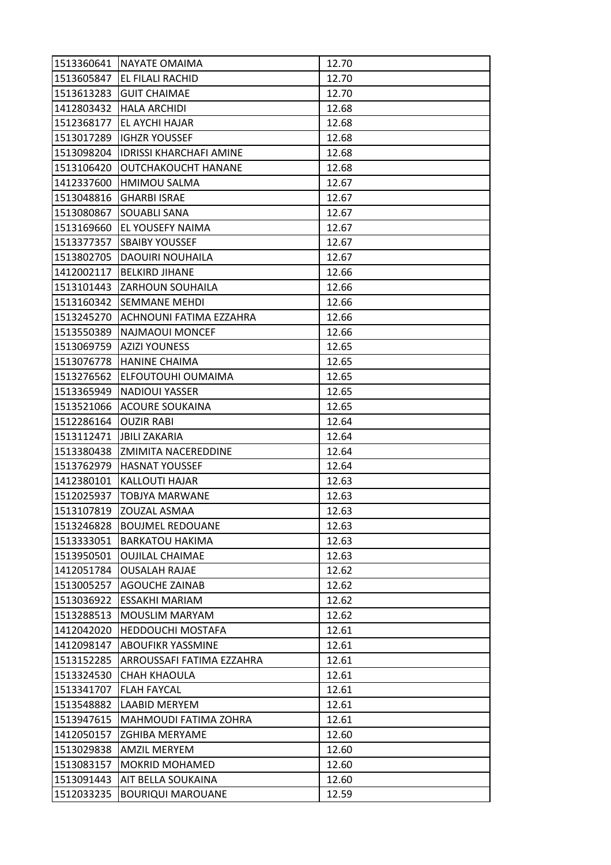|            | 1513360641 NAYATE OMAIMA       | 12.70 |
|------------|--------------------------------|-------|
| 1513605847 | <b>EL FILALI RACHID</b>        | 12.70 |
| 1513613283 | <b>GUIT CHAIMAE</b>            | 12.70 |
| 1412803432 | <b>HALA ARCHIDI</b>            | 12.68 |
| 1512368177 | EL AYCHI HAJAR                 | 12.68 |
| 1513017289 | <b>IGHZR YOUSSEF</b>           | 12.68 |
| 1513098204 | <b>IDRISSI KHARCHAFI AMINE</b> | 12.68 |
| 1513106420 | <b>OUTCHAKOUCHT HANANE</b>     | 12.68 |
| 1412337600 | HMIMOU SALMA                   | 12.67 |
| 1513048816 | <b>GHARBI ISRAE</b>            | 12.67 |
| 1513080867 | <b>SOUABLI SANA</b>            | 12.67 |
| 1513169660 | <b>EL YOUSEFY NAIMA</b>        | 12.67 |
| 1513377357 | <b>SBAIBY YOUSSEF</b>          | 12.67 |
| 1513802705 | <b>DAOUIRI NOUHAILA</b>        | 12.67 |
| 1412002117 | <b>BELKIRD JIHANE</b>          | 12.66 |
| 1513101443 | <b>ZARHOUN SOUHAILA</b>        | 12.66 |
| 1513160342 | <b>SEMMANE MEHDI</b>           | 12.66 |
| 1513245270 | ACHNOUNI FATIMA EZZAHRA        | 12.66 |
| 1513550389 | <b>NAJMAOUI MONCEF</b>         | 12.66 |
| 1513069759 | <b>AZIZI YOUNESS</b>           | 12.65 |
| 1513076778 | <b>HANINE CHAIMA</b>           | 12.65 |
| 1513276562 | ELFOUTOUHI OUMAIMA             | 12.65 |
| 1513365949 | <b>NADIOUI YASSER</b>          | 12.65 |
| 1513521066 | <b>ACOURE SOUKAINA</b>         | 12.65 |
| 1512286164 | <b>OUZIR RABI</b>              | 12.64 |
| 1513112471 | <b>JBILI ZAKARIA</b>           | 12.64 |
| 1513380438 | <b>ZMIMITA NACEREDDINE</b>     | 12.64 |
| 1513762979 | <b>HASNAT YOUSSEF</b>          | 12.64 |
| 1412380101 | <b>KALLOUTI HAJAR</b>          | 12.63 |
| 1512025937 | <b>TOBJYA MARWANE</b>          | 12.63 |
| 1513107819 | <b>ZOUZAL ASMAA</b>            | 12.63 |
| 1513246828 | <b>BOUJMEL REDOUANE</b>        | 12.63 |
| 1513333051 | <b>BARKATOU HAKIMA</b>         | 12.63 |
| 1513950501 | <b>OUJILAL CHAIMAE</b>         | 12.63 |
| 1412051784 | <b>OUSALAH RAJAE</b>           | 12.62 |
| 1513005257 | <b>AGOUCHE ZAINAB</b>          | 12.62 |
| 1513036922 | <b>ESSAKHI MARIAM</b>          | 12.62 |
| 1513288513 | <b>MOUSLIM MARYAM</b>          | 12.62 |
| 1412042020 | <b>HEDDOUCHI MOSTAFA</b>       | 12.61 |
| 1412098147 | <b>ABOUFIKR YASSMINE</b>       | 12.61 |
| 1513152285 | ARROUSSAFI FATIMA EZZAHRA      | 12.61 |
| 1513324530 | CHAH KHAOULA                   | 12.61 |
| 1513341707 | <b>FLAH FAYCAL</b>             | 12.61 |
| 1513548882 | LAABID MERYEM                  | 12.61 |
| 1513947615 | <b>MAHMOUDI FATIMA ZOHRA</b>   | 12.61 |
| 1412050157 | <b>ZGHIBA MERYAME</b>          | 12.60 |
| 1513029838 | <b>AMZIL MERYEM</b>            | 12.60 |
| 1513083157 | <b>MOKRID MOHAMED</b>          | 12.60 |
| 1513091443 | AIT BELLA SOUKAINA             | 12.60 |
|            |                                |       |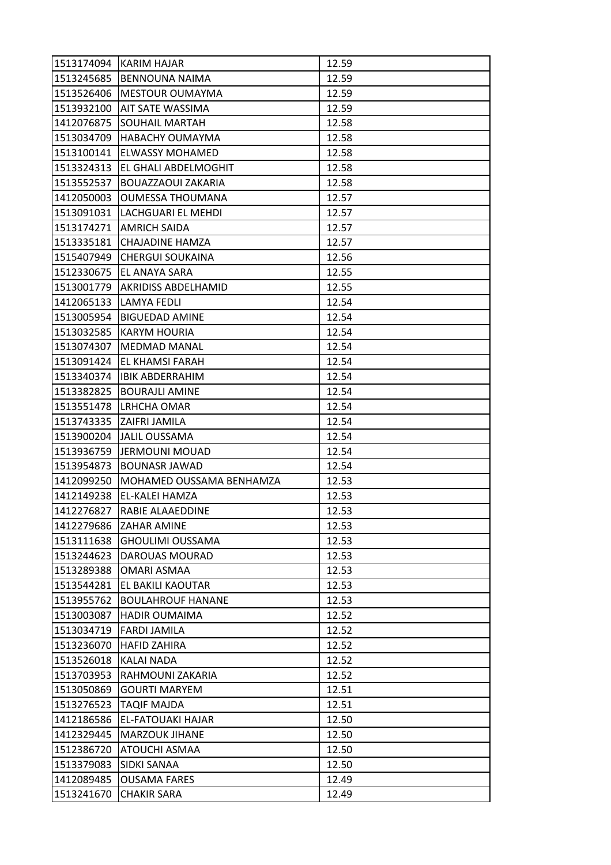| 1513174094 | KARIM HAJAR                      | 12.59 |
|------------|----------------------------------|-------|
| 1513245685 | <b>BENNOUNA NAIMA</b>            | 12.59 |
| 1513526406 | <b>IMESTOUR OUMAYMA</b>          | 12.59 |
| 1513932100 | <b>AIT SATE WASSIMA</b>          | 12.59 |
| 1412076875 | SOUHAIL MARTAH                   | 12.58 |
| 1513034709 | HABACHY OUMAYMA                  | 12.58 |
| 1513100141 | <b>ELWASSY MOHAMED</b>           | 12.58 |
| 1513324313 | <b>EL GHALI ABDELMOGHIT</b>      | 12.58 |
| 1513552537 | <b>BOUAZZAOUI ZAKARIA</b>        | 12.58 |
| 1412050003 | <b>OUMESSA THOUMANA</b>          | 12.57 |
|            | 1513091031 LACHGUARI EL MEHDI    | 12.57 |
| 1513174271 | <b>AMRICH SAIDA</b>              | 12.57 |
| 1513335181 | CHAJADINE HAMZA                  | 12.57 |
| 1515407949 | <b>CHERGUI SOUKAINA</b>          | 12.56 |
|            | 1512330675 EL ANAYA SARA         | 12.55 |
|            | 1513001779   AKRIDISS ABDELHAMID | 12.55 |
| 1412065133 | LAMYA FEDLI                      | 12.54 |
| 1513005954 | <b>BIGUEDAD AMINE</b>            | 12.54 |
| 1513032585 | <b>KARYM HOURIA</b>              | 12.54 |
| 1513074307 | lMEDMAD MANAL                    | 12.54 |
|            | 1513091424 EL KHAMSI FARAH       | 12.54 |
| 1513340374 | <b>IBIK ABDERRAHIM</b>           | 12.54 |
| 1513382825 | <b>BOURAJLI AMINE</b>            | 12.54 |
| 1513551478 | <b>LRHCHA OMAR</b>               | 12.54 |
|            | 1513743335  ZAIFRI JAMILA        | 12.54 |
| 1513900204 | JALIL OUSSAMA                    | 12.54 |
| 1513936759 | <b>JERMOUNI MOUAD</b>            | 12.54 |
| 1513954873 | <b>BOUNASR JAWAD</b>             | 12.54 |
| 1412099250 | MOHAMED OUSSAMA BENHAMZA         | 12.53 |
| 1412149238 | EL-KALEI HAMZA                   | 12.53 |
| 1412276827 | IRABIE ALAAEDDINE                | 12.53 |
| 1412279686 | <b>ZAHAR AMINE</b>               | 12.53 |
| 1513111638 | <b>GHOULIMI OUSSAMA</b>          | 12.53 |
| 1513244623 | DAROUAS MOURAD                   | 12.53 |
| 1513289388 | <b>OMARI ASMAA</b>               | 12.53 |
| 1513544281 | EL BAKILI KAOUTAR                | 12.53 |
| 1513955762 | <b>BOULAHROUF HANANE</b>         | 12.53 |
| 1513003087 | <b>HADIR OUMAIMA</b>             | 12.52 |
| 1513034719 | <b>FARDI JAMILA</b>              | 12.52 |
| 1513236070 | <b>HAFID ZAHIRA</b>              | 12.52 |
| 1513526018 | KALAI NADA                       | 12.52 |
| 1513703953 | RAHMOUNI ZAKARIA                 | 12.52 |
| 1513050869 | <b>GOURTI MARYEM</b>             | 12.51 |
| 1513276523 | <b>TAQIF MAJDA</b>               | 12.51 |
| 1412186586 | <b>EL-FATOUAKI HAJAR</b>         | 12.50 |
| 1412329445 | <b>MARZOUK JIHANE</b>            | 12.50 |
| 1512386720 | <b>ATOUCHI ASMAA</b>             | 12.50 |
| 1513379083 | <b>SIDKI SANAA</b>               | 12.50 |
| 1412089485 | <b>OUSAMA FARES</b>              | 12.49 |
| 1513241670 | <b>CHAKIR SARA</b>               | 12.49 |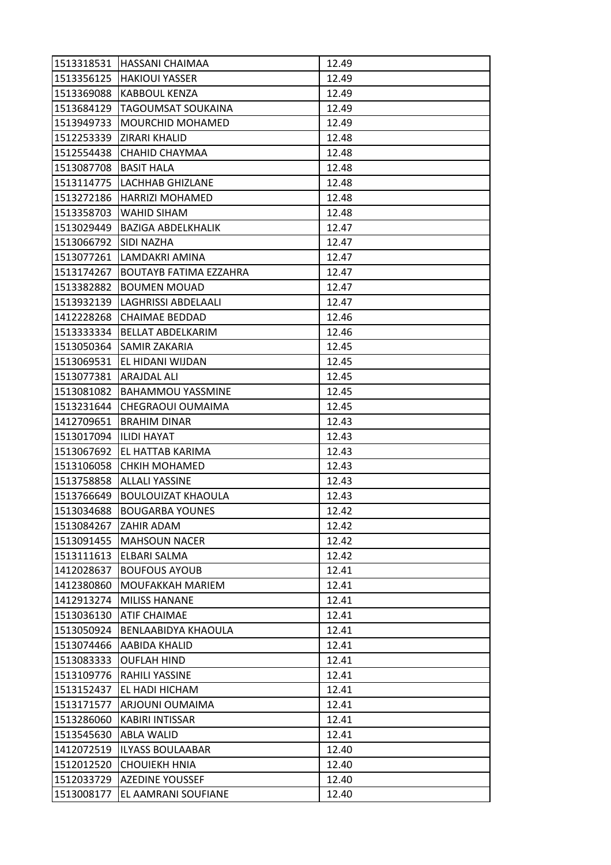|                         | 1513318531 HASSANI CHAIMAA    | 12.49 |
|-------------------------|-------------------------------|-------|
|                         | 1513356125 HAKIOUI YASSER     | 12.49 |
| 1513369088              | <b>KABBOUL KENZA</b>          | 12.49 |
| 1513684129              | <b>TAGOUMSAT SOUKAINA</b>     | 12.49 |
| 1513949733              | <b>MOURCHID MOHAMED</b>       | 12.49 |
|                         | 1512253339 ZIRARI KHALID      | 12.48 |
|                         | 1512554438  CHAHID CHAYMAA    | 12.48 |
| 1513087708              | <b>BASIT HALA</b>             | 12.48 |
|                         | 1513114775 LACHHAB GHIZLANE   | 12.48 |
| 1513272186              | HARRIZI MOHAMED               | 12.48 |
|                         | 1513358703   WAHID SIHAM      | 12.48 |
| 1513029449              | BAZIGA ABDELKHALIK            | 12.47 |
| 1513066792              | ISIDI NAZHA                   | 12.47 |
|                         | 1513077261  LAMDAKRI AMINA    | 12.47 |
| 1513174267              | <b>BOUTAYB FATIMA EZZAHRA</b> | 12.47 |
| 1513382882              | <b>BOUMEN MOUAD</b>           | 12.47 |
| 1513932139              | LAGHRISSI ABDELAALI           | 12.47 |
| 1412228268              | <b>CHAIMAE BEDDAD</b>         | 12.46 |
| 1513333334              | <b>BELLAT ABDELKARIM</b>      | 12.46 |
|                         | 1513050364 SAMIR ZAKARIA      | 12.45 |
|                         | 1513069531 EL HIDANI WIJDAN   | 12.45 |
| 1513077381              | ARAJDAL ALI                   | 12.45 |
| 1513081082              | <b>BAHAMMOU YASSMINE</b>      | 12.45 |
| 1513231644              | <b>CHEGRAOUI OUMAIMA</b>      | 12.45 |
|                         | 1412709651  BRAHIM DINAR      | 12.43 |
| 1513017094  ILIDI HAYAT |                               | 12.43 |
| 1513067692              | EL HATTAB KARIMA              | 12.43 |
| 1513106058              | <b>CHKIH MOHAMED</b>          | 12.43 |
| 1513758858              | <b>ALLALI YASSINE</b>         | 12.43 |
| 1513766649              | <b>BOULOUIZAT KHAOULA</b>     | 12.43 |
| 1513034688              | BOUGARBA YOUNES               | 12.42 |
| 1513084267              | <b>ZAHIR ADAM</b>             | 12.42 |
| 1513091455              | <b>MAHSOUN NACER</b>          | 12.42 |
| 1513111613              | <b>ELBARI SALMA</b>           | 12.42 |
| 1412028637              | <b>BOUFOUS AYOUB</b>          | 12.41 |
| 1412380860              | IMOUFAKKAH MARIEM             | 12.41 |
| 1412913274              | <b>MILISS HANANE</b>          | 12.41 |
| 1513036130              | <b>ATIF CHAIMAE</b>           | 12.41 |
| 1513050924              | <b>BENLAABIDYA KHAOULA</b>    | 12.41 |
| 1513074466              | <b>AABIDA KHALID</b>          | 12.41 |
| 1513083333              | <b>OUFLAH HIND</b>            | 12.41 |
| 1513109776              | <b>RAHILI YASSINE</b>         | 12.41 |
| 1513152437              | EL HADI HICHAM                | 12.41 |
| 1513171577              | ARJOUNI OUMAIMA               | 12.41 |
| 1513286060              | <b>KABIRI INTISSAR</b>        | 12.41 |
| 1513545630              | <b>ABLA WALID</b>             | 12.41 |
| 1412072519              | <b>ILYASS BOULAABAR</b>       | 12.40 |
| 1512012520              | <b>CHOUIEKH HNIA</b>          | 12.40 |
| 1512033729              | <b>AZEDINE YOUSSEF</b>        | 12.40 |
| 1513008177              | EL AAMRANI SOUFIANE           | 12.40 |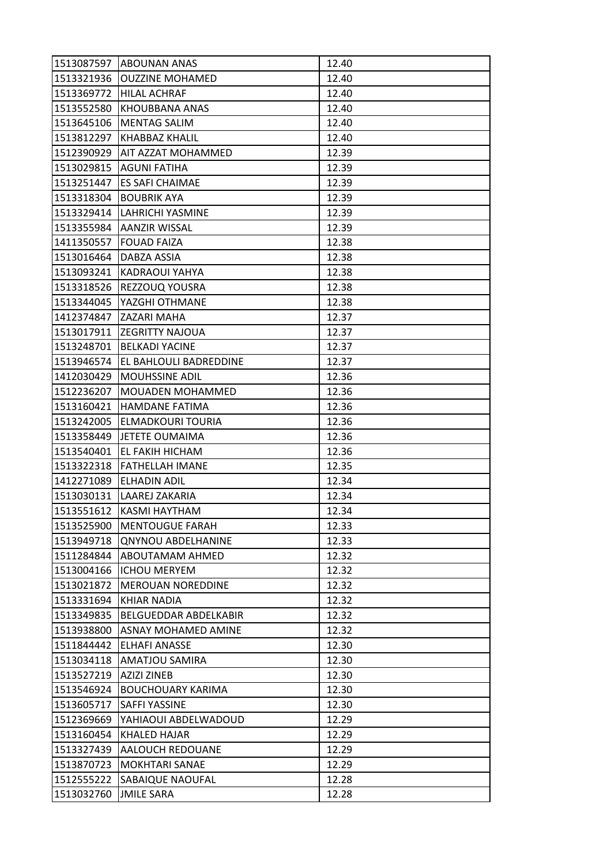| 1513087597 | <b>ABOUNAN ANAS</b>           | 12.40 |
|------------|-------------------------------|-------|
| 1513321936 | <b>OUZZINE MOHAMED</b>        | 12.40 |
| 1513369772 | <b>HILAL ACHRAF</b>           | 12.40 |
| 1513552580 | KHOUBBANA ANAS                | 12.40 |
| 1513645106 | <b>MENTAG SALIM</b>           | 12.40 |
| 1513812297 | KHABBAZ KHALIL                | 12.40 |
| 1512390929 | <b>AIT AZZAT MOHAMMED</b>     | 12.39 |
| 1513029815 | <b>AGUNI FATIHA</b>           | 12.39 |
| 1513251447 | <b>ES SAFI CHAIMAE</b>        | 12.39 |
| 1513318304 | <b>BOUBRIK AYA</b>            | 12.39 |
| 1513329414 | LAHRICHI YASMINE              | 12.39 |
| 1513355984 | <b>AANZIR WISSAL</b>          | 12.39 |
| 1411350557 | <b>FOUAD FAIZA</b>            | 12.38 |
| 1513016464 | DABZA ASSIA                   | 12.38 |
| 1513093241 | <b>KADRAOUI YAHYA</b>         | 12.38 |
| 1513318526 | REZZOUQ YOUSRA                | 12.38 |
| 1513344045 | YAZGHI OTHMANE                | 12.38 |
| 1412374847 | <b>ZAZARI MAHA</b>            | 12.37 |
| 1513017911 | <b>ZEGRITTY NAJOUA</b>        | 12.37 |
| 1513248701 | <b>BELKADI YACINE</b>         | 12.37 |
| 1513946574 | <b>EL BAHLOULI BADREDDINE</b> | 12.37 |
| 1412030429 | <b>MOUHSSINE ADIL</b>         | 12.36 |
| 1512236207 | <b>MOUADEN MOHAMMED</b>       | 12.36 |
| 1513160421 | <b>HAMDANE FATIMA</b>         | 12.36 |
| 1513242005 | <b>ELMADKOURI TOURIA</b>      | 12.36 |
| 1513358449 | <b>JETETE OUMAIMA</b>         | 12.36 |
| 1513540401 | <b>EL FAKIH HICHAM</b>        | 12.36 |
| 1513322318 | <b>FATHELLAH IMANE</b>        | 12.35 |
| 1412271089 | <b>ELHADIN ADIL</b>           | 12.34 |
| 1513030131 | LAAREJ ZAKARIA                | 12.34 |
| 1513551612 | <b>KASMI HAYTHAM</b>          | 12.34 |
| 1513525900 | <b>MENTOUGUE FARAH</b>        | 12.33 |
| 1513949718 | <b>QNYNOU ABDELHANINE</b>     | 12.33 |
| 1511284844 | <b>ABOUTAMAM AHMED</b>        | 12.32 |
| 1513004166 | <b>ICHOU MERYEM</b>           | 12.32 |
| 1513021872 | <b>MEROUAN NOREDDINE</b>      | 12.32 |
| 1513331694 | <b>KHIAR NADIA</b>            | 12.32 |
| 1513349835 | <b>BELGUEDDAR ABDELKABIR</b>  | 12.32 |
| 1513938800 | ASNAY MOHAMED AMINE           | 12.32 |
| 1511844442 | <b>ELHAFI ANASSE</b>          | 12.30 |
| 1513034118 | <b>AMATJOU SAMIRA</b>         | 12.30 |
| 1513527219 | <b>AZIZI ZINEB</b>            | 12.30 |
| 1513546924 | <b>BOUCHOUARY KARIMA</b>      | 12.30 |
| 1513605717 | <b>SAFFI YASSINE</b>          | 12.30 |
| 1512369669 | YAHIAOUI ABDELWADOUD          | 12.29 |
| 1513160454 | KHALED HAJAR                  | 12.29 |
| 1513327439 | <b>AALOUCH REDOUANE</b>       | 12.29 |
| 1513870723 | <b>MOKHTARI SANAE</b>         | 12.29 |
| 1512555222 | SABAIQUE NAOUFAL              | 12.28 |
| 1513032760 | <b>JMILE SARA</b>             | 12.28 |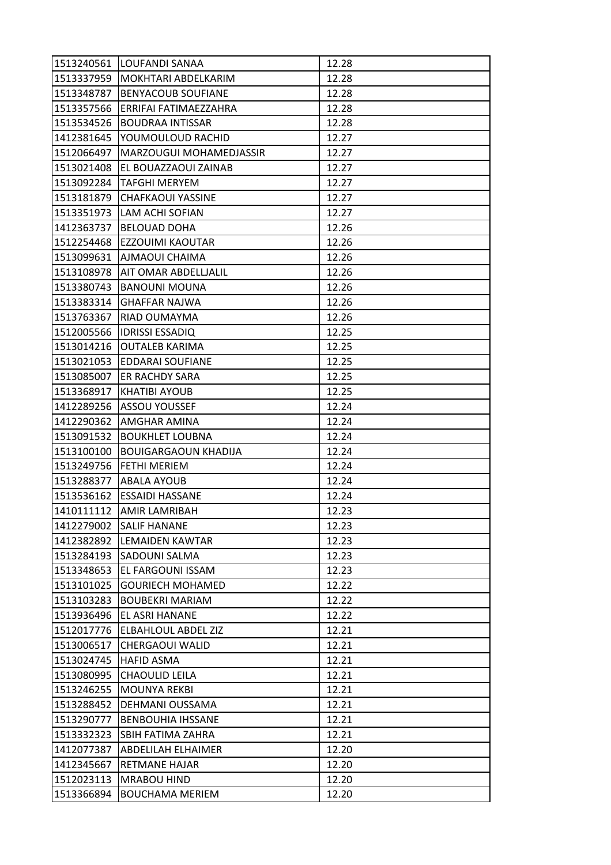|            | 1513240561 LOUFANDI SANAA   | 12.28 |
|------------|-----------------------------|-------|
| 1513337959 | MOKHTARI ABDELKARIM         | 12.28 |
| 1513348787 | <b>BENYACOUB SOUFIANE</b>   | 12.28 |
| 1513357566 | ERRIFAI FATIMAEZZAHRA       | 12.28 |
| 1513534526 | <b>BOUDRAA INTISSAR</b>     | 12.28 |
| 1412381645 | YOUMOULOUD RACHID           | 12.27 |
| 1512066497 | MARZOUGUI MOHAMEDJASSIR     | 12.27 |
| 1513021408 | EL BOUAZZAOUI ZAINAB        | 12.27 |
| 1513092284 | <b>TAFGHI MERYEM</b>        | 12.27 |
| 1513181879 | <b>CHAFKAOUI YASSINE</b>    | 12.27 |
|            | 1513351973 LAM ACHI SOFIAN  | 12.27 |
| 1412363737 | <b>BELOUAD DOHA</b>         | 12.26 |
| 1512254468 | EZZOUIMI KAOUTAR            | 12.26 |
| 1513099631 | <b>AJMAOUI CHAIMA</b>       | 12.26 |
| 1513108978 | AIT OMAR ABDELLJALIL        | 12.26 |
| 1513380743 | <b>BANOUNI MOUNA</b>        | 12.26 |
| 1513383314 | <b>GHAFFAR NAJWA</b>        | 12.26 |
| 1513763367 | RIAD OUMAYMA                | 12.26 |
| 1512005566 | <b>IDRISSI ESSADIQ</b>      | 12.25 |
|            | 1513014216   OUTALEB KARIMA | 12.25 |
| 1513021053 | <b>EDDARAI SOUFIANE</b>     | 12.25 |
| 1513085007 | <b>ER RACHDY SARA</b>       | 12.25 |
| 1513368917 | <b>KHATIBI AYOUB</b>        | 12.25 |
| 1412289256 | <b>ASSOU YOUSSEF</b>        | 12.24 |
| 1412290362 | <b>JAMGHAR AMINA</b>        | 12.24 |
| 1513091532 | <b>BOUKHLET LOUBNA</b>      | 12.24 |
| 1513100100 | <b>BOUIGARGAOUN KHADIJA</b> | 12.24 |
| 1513249756 | <b>FETHI MERIEM</b>         | 12.24 |
| 1513288377 | <b>ABALA AYOUB</b>          | 12.24 |
| 1513536162 | <b>ESSAIDI HASSANE</b>      | 12.24 |
| 1410111112 | <b>JAMIR LAMRIBAH</b>       | 12.23 |
| 1412279002 | <b>SALIF HANANE</b>         | 12.23 |
| 1412382892 | <b>LEMAIDEN KAWTAR</b>      | 12.23 |
| 1513284193 | <b>SADOUNI SALMA</b>        | 12.23 |
| 1513348653 | EL FARGOUNI ISSAM           | 12.23 |
| 1513101025 | <b>GOURIECH MOHAMED</b>     | 12.22 |
| 1513103283 | <b>BOUBEKRI MARIAM</b>      | 12.22 |
| 1513936496 | EL ASRI HANANE              | 12.22 |
| 1512017776 | <b>ELBAHLOUL ABDEL ZIZ</b>  | 12.21 |
| 1513006517 | <b>CHERGAOUI WALID</b>      | 12.21 |
| 1513024745 | <b>HAFID ASMA</b>           | 12.21 |
| 1513080995 | <b>CHAOULID LEILA</b>       | 12.21 |
| 1513246255 | <b>MOUNYA REKBI</b>         | 12.21 |
| 1513288452 | DEHMANI OUSSAMA             | 12.21 |
| 1513290777 | <b>BENBOUHIA IHSSANE</b>    | 12.21 |
| 1513332323 | SBIH FATIMA ZAHRA           | 12.21 |
| 1412077387 | <b>ABDELILAH ELHAIMER</b>   | 12.20 |
| 1412345667 | <b>RETMANE HAJAR</b>        | 12.20 |
| 1512023113 | <b>MRABOU HIND</b>          | 12.20 |
| 1513366894 | <b>BOUCHAMA MERIEM</b>      | 12.20 |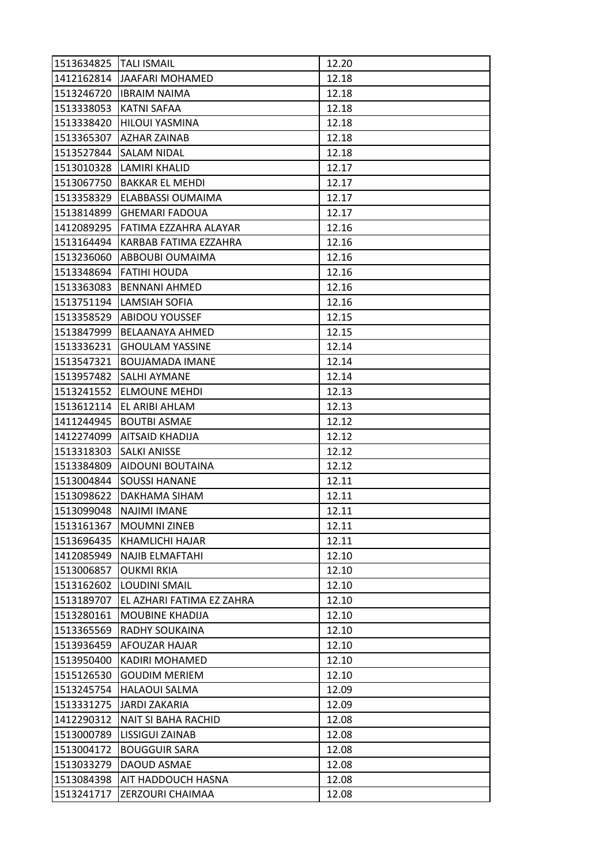| 1513634825   TALI ISMAIL |                              | 12.20 |
|--------------------------|------------------------------|-------|
|                          | 1412162814 JJAAFARI MOHAMED  | 12.18 |
| 1513246720               | <b>IBRAIM NAIMA</b>          | 12.18 |
| 1513338053               | <b>KATNI SAFAA</b>           | 12.18 |
| 1513338420               | <b>HILOUI YASMINA</b>        | 12.18 |
| 1513365307               | AZHAR ZAINAB                 | 12.18 |
| 1513527844               | <b>SALAM NIDAL</b>           | 12.18 |
| 1513010328               | ILAMIRI KHALID               | 12.17 |
| 1513067750               | <b>BAKKAR EL MEHDI</b>       | 12.17 |
| 1513358329               | <b>ELABBASSI OUMAIMA</b>     | 12.17 |
| 1513814899               | <b>GHEMARI FADOUA</b>        | 12.17 |
| 1412089295               | <b>FATIMA EZZAHRA ALAYAR</b> | 12.16 |
| 1513164494               | KARBAB FATIMA EZZAHRA        | 12.16 |
| 1513236060               | <b>ABBOUBI OUMAIMA</b>       | 12.16 |
|                          | 1513348694 FATIHI HOUDA      | 12.16 |
| 1513363083               | BENNANI AHMED                | 12.16 |
| 1513751194               | LAMSIAH SOFIA                | 12.16 |
| 1513358529               | <b>ABIDOU YOUSSEF</b>        | 12.15 |
| 1513847999               | <b>BELAANAYA AHMED</b>       | 12.15 |
| 1513336231               | <b>GHOULAM YASSINE</b>       | 12.14 |
| 1513547321               | <b>BOUJAMADA IMANE</b>       | 12.14 |
| 1513957482               | <b>SALHI AYMANE</b>          | 12.14 |
| 1513241552               | <b>ELMOUNE MEHDI</b>         | 12.13 |
| 1513612114               | EL ARIBI AHLAM               | 12.13 |
| 1411244945               | <b>BOUTBI ASMAE</b>          | 12.12 |
| 1412274099               | <b>AITSAID KHADIJA</b>       | 12.12 |
| 1513318303               | <b>SALKI ANISSE</b>          | 12.12 |
| 1513384809               | <b>AIDOUNI BOUTAINA</b>      | 12.12 |
| 1513004844               | <b>SOUSSI HANANE</b>         | 12.11 |
| 1513098622               | DAKHAMA SIHAM                | 12.11 |
| 1513099048               | NAJIMI IMANE                 | 12.11 |
| 1513161367               | <b>MOUMNI ZINEB</b>          | 12.11 |
| 1513696435               | <b>KHAMLICHI HAJAR</b>       | 12.11 |
| 1412085949               | <b>NAJIB ELMAFTAHI</b>       | 12.10 |
| 1513006857               | <b>OUKMI RKIA</b>            | 12.10 |
| 1513162602               | <b>LOUDINI SMAIL</b>         | 12.10 |
| 1513189707               | EL AZHARI FATIMA EZ ZAHRA    | 12.10 |
| 1513280161               | <b>MOUBINE KHADIJA</b>       | 12.10 |
| 1513365569               | <b>RADHY SOUKAINA</b>        | 12.10 |
| 1513936459               | <b>AFOUZAR HAJAR</b>         | 12.10 |
| 1513950400               | <b>KADIRI MOHAMED</b>        | 12.10 |
| 1515126530               | <b>GOUDIM MERIEM</b>         | 12.10 |
| 1513245754               | <b>HALAOUI SALMA</b>         | 12.09 |
| 1513331275               | JARDI ZAKARIA                | 12.09 |
| 1412290312               | <b>NAIT SI BAHA RACHID</b>   | 12.08 |
| 1513000789               | <b>LISSIGUI ZAINAB</b>       | 12.08 |
| 1513004172               | <b>BOUGGUIR SARA</b>         | 12.08 |
| 1513033279               | DAOUD ASMAE                  | 12.08 |
| 1513084398               | AIT HADDOUCH HASNA           | 12.08 |
| 1513241717               | ZERZOURI CHAIMAA             | 12.08 |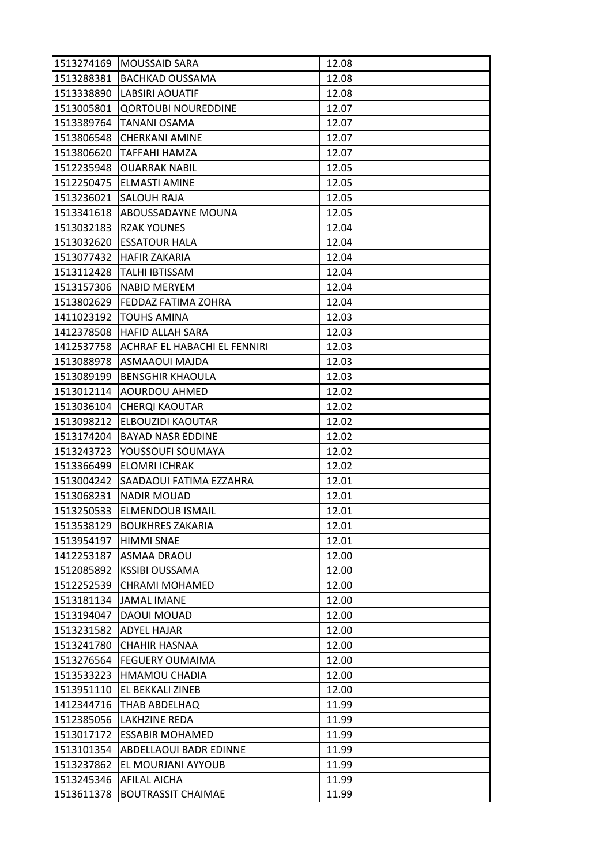| 1513274169 | MOUSSAID SARA                 | 12.08 |
|------------|-------------------------------|-------|
| 1513288381 | <b>BACHKAD OUSSAMA</b>        | 12.08 |
| 1513338890 | LABSIRI AOUATIF               | 12.08 |
| 1513005801 | <b>QORTOUBI NOUREDDINE</b>    | 12.07 |
| 1513389764 | TANANI OSAMA                  | 12.07 |
| 1513806548 | <b>CHERKANI AMINE</b>         | 12.07 |
| 1513806620 | <b>TAFFAHI HAMZA</b>          | 12.07 |
| 1512235948 | <b>OUARRAK NABIL</b>          | 12.05 |
| 1512250475 | <b>ELMASTI AMINE</b>          | 12.05 |
| 1513236021 | <b>SALOUH RAJA</b>            | 12.05 |
| 1513341618 | <b>ABOUSSADAYNE MOUNA</b>     | 12.05 |
| 1513032183 | <b>RZAK YOUNES</b>            | 12.04 |
| 1513032620 | IESSATOUR HALA                | 12.04 |
| 1513077432 | <b>HAFIR ZAKARIA</b>          | 12.04 |
| 1513112428 | TALHI IBTISSAM                | 12.04 |
| 1513157306 | NABID MERYEM                  | 12.04 |
| 1513802629 | <b>FEDDAZ FATIMA ZOHRA</b>    | 12.04 |
| 1411023192 | <b>TOUHS AMINA</b>            | 12.03 |
| 1412378508 | <b>HAFID ALLAH SARA</b>       | 12.03 |
| 1412537758 | ACHRAF EL HABACHI EL FENNIRI  | 12.03 |
| 1513088978 | ASMAAOUI MAJDA                | 12.03 |
| 1513089199 | <b>BENSGHIR KHAOULA</b>       | 12.03 |
| 1513012114 | <b>AOURDOU AHMED</b>          | 12.02 |
| 1513036104 | <b>CHERQI KAOUTAR</b>         | 12.02 |
| 1513098212 | ELBOUZIDI KAOUTAR             | 12.02 |
| 1513174204 | <b>BAYAD NASR EDDINE</b>      | 12.02 |
| 1513243723 | YOUSSOUFI SOUMAYA             | 12.02 |
| 1513366499 | <b>ELOMRI ICHRAK</b>          | 12.02 |
| 1513004242 | SAADAOUI FATIMA EZZAHRA       | 12.01 |
| 1513068231 | <b>NADIR MOUAD</b>            | 12.01 |
| 1513250533 | <b>ELMENDOUB ISMAIL</b>       | 12.01 |
| 1513538129 | <b>BOUKHRES ZAKARIA</b>       | 12.01 |
| 1513954197 | <b>HIMMI SNAE</b>             | 12.01 |
| 1412253187 | <b>ASMAA DRAOU</b>            | 12.00 |
| 1512085892 | <b>KSSIBI OUSSAMA</b>         | 12.00 |
| 1512252539 | <b>CHRAMI MOHAMED</b>         | 12.00 |
| 1513181134 | JAMAL IMANE                   | 12.00 |
| 1513194047 | DAOUI MOUAD                   | 12.00 |
| 1513231582 | <b>ADYEL HAJAR</b>            | 12.00 |
| 1513241780 | <b>CHAHIR HASNAA</b>          | 12.00 |
| 1513276564 | <b>FEGUERY OUMAIMA</b>        | 12.00 |
| 1513533223 | <b>HMAMOU CHADIA</b>          | 12.00 |
| 1513951110 | <b>EL BEKKALI ZINEB</b>       | 12.00 |
| 1412344716 | <b>THAB ABDELHAQ</b>          | 11.99 |
| 1512385056 | <b>LAKHZINE REDA</b>          | 11.99 |
| 1513017172 | <b>ESSABIR MOHAMED</b>        | 11.99 |
| 1513101354 | <b>ABDELLAOUI BADR EDINNE</b> | 11.99 |
| 1513237862 | EL MOURJANI AYYOUB            | 11.99 |
| 1513245346 | <b>AFILAL AICHA</b>           | 11.99 |
| 1513611378 | <b>BOUTRASSIT CHAIMAE</b>     | 11.99 |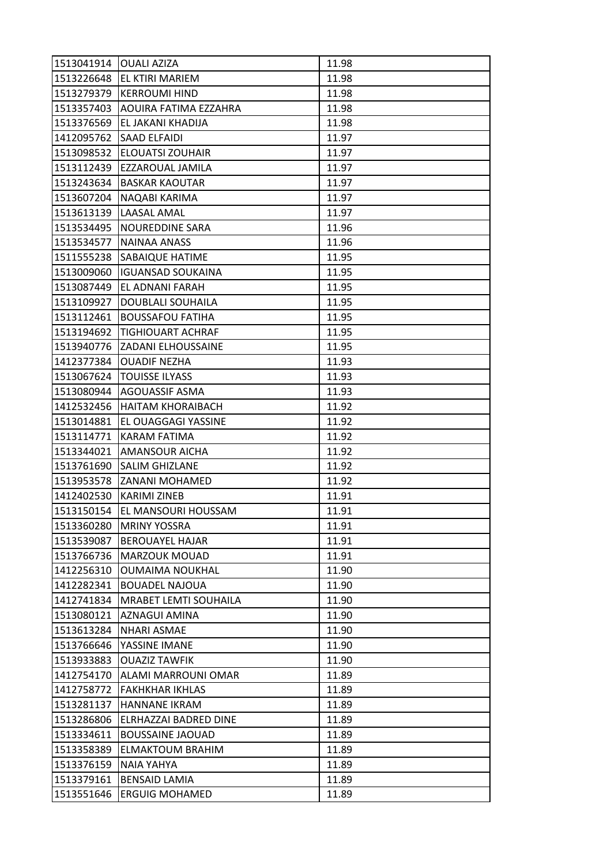| 1513041914 | <b>OUALI AZIZA</b>           | 11.98 |
|------------|------------------------------|-------|
| 1513226648 | <b>EL KTIRI MARIEM</b>       | 11.98 |
| 1513279379 | <b>KERROUMI HIND</b>         | 11.98 |
| 1513357403 | <b>AOUIRA FATIMA EZZAHRA</b> | 11.98 |
| 1513376569 | EL JAKANI KHADIJA            | 11.98 |
| 1412095762 | <b>SAAD ELFAIDI</b>          | 11.97 |
| 1513098532 | <b>ELOUATSI ZOUHAIR</b>      | 11.97 |
| 1513112439 | EZZAROUAL JAMILA             | 11.97 |
| 1513243634 | <b>BASKAR KAOUTAR</b>        | 11.97 |
| 1513607204 | NAQABI KARIMA                | 11.97 |
| 1513613139 | <b>LAASAL AMAL</b>           | 11.97 |
| 1513534495 | NOUREDDINE SARA              | 11.96 |
| 1513534577 | NAINAA ANASS                 | 11.96 |
| 1511555238 | <b>SABAIQUE HATIME</b>       | 11.95 |
| 1513009060 | <b>IGUANSAD SOUKAINA</b>     | 11.95 |
| 1513087449 | <b>EL ADNANI FARAH</b>       | 11.95 |
| 1513109927 | DOUBLALI SOUHAILA            | 11.95 |
| 1513112461 | <b>BOUSSAFOU FATIHA</b>      | 11.95 |
| 1513194692 | <b>TIGHIOUART ACHRAF</b>     | 11.95 |
| 1513940776 | <b>ZADANI ELHOUSSAINE</b>    | 11.95 |
| 1412377384 | <b>OUADIF NEZHA</b>          | 11.93 |
| 1513067624 | <b>TOUISSE ILYASS</b>        | 11.93 |
| 1513080944 | <b>AGOUASSIF ASMA</b>        | 11.93 |
| 1412532456 | <b>HAITAM KHORAIBACH</b>     | 11.92 |
| 1513014881 | <b>EL OUAGGAGI YASSINE</b>   | 11.92 |
| 1513114771 | <b>KARAM FATIMA</b>          | 11.92 |
| 1513344021 | <b>AMANSOUR AICHA</b>        | 11.92 |
| 1513761690 | <b>SALIM GHIZLANE</b>        | 11.92 |
| 1513953578 | <b>ZANANI MOHAMED</b>        | 11.92 |
| 1412402530 | <b>KARIMI ZINEB</b>          | 11.91 |
| 1513150154 | <b>EL MANSOURI HOUSSAM</b>   | 11.91 |
| 1513360280 | <b>MRINY YOSSRA</b>          | 11.91 |
| 1513539087 | <b>BEROUAYEL HAJAR</b>       | 11.91 |
| 1513766736 | <b>MARZOUK MOUAD</b>         | 11.91 |
| 1412256310 | <b>OUMAIMA NOUKHAL</b>       | 11.90 |
| 1412282341 | <b>BOUADEL NAJOUA</b>        | 11.90 |
| 1412741834 | <b>MRABET LEMTI SOUHAILA</b> | 11.90 |
| 1513080121 | AZNAGUI AMINA                | 11.90 |
| 1513613284 | <b>NHARI ASMAE</b>           | 11.90 |
| 1513766646 | YASSINE IMANE                | 11.90 |
| 1513933883 | <b>OUAZIZ TAWFIK</b>         | 11.90 |
| 1412754170 | ALAMI MARROUNI OMAR          | 11.89 |
| 1412758772 | <b>FAKHKHAR IKHLAS</b>       | 11.89 |
| 1513281137 | <b>HANNANE IKRAM</b>         | 11.89 |
| 1513286806 | <b>ELRHAZZAI BADRED DINE</b> | 11.89 |
| 1513334611 | <b>BOUSSAINE JAOUAD</b>      | 11.89 |
| 1513358389 | <b>ELMAKTOUM BRAHIM</b>      | 11.89 |
| 1513376159 | NAIA YAHYA                   | 11.89 |
| 1513379161 | <b>BENSAID LAMIA</b>         | 11.89 |
| 1513551646 | <b>ERGUIG MOHAMED</b>        | 11.89 |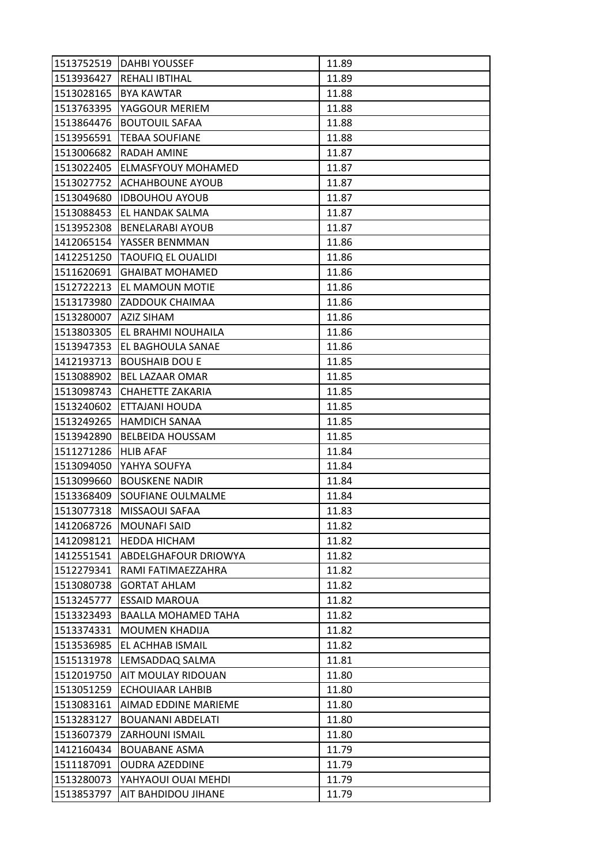| 1513752519 | <b>DAHBI YOUSSEF</b>       | 11.89 |
|------------|----------------------------|-------|
| 1513936427 | <b>REHALI IBTIHAL</b>      | 11.89 |
| 1513028165 | <b>BYA KAWTAR</b>          | 11.88 |
| 1513763395 | YAGGOUR MERIEM             | 11.88 |
| 1513864476 | <b>BOUTOUIL SAFAA</b>      | 11.88 |
| 1513956591 | <b>TEBAA SOUFIANE</b>      | 11.88 |
| 1513006682 | <b>RADAH AMINE</b>         | 11.87 |
| 1513022405 | <b>ELMASFYOUY MOHAMED</b>  | 11.87 |
| 1513027752 | <b>ACHAHBOUNE AYOUB</b>    | 11.87 |
| 1513049680 | <b>IDBOUHOU AYOUB</b>      | 11.87 |
| 1513088453 | <b>EL HANDAK SALMA</b>     | 11.87 |
| 1513952308 | <b>BENELARABI AYOUB</b>    | 11.87 |
| 1412065154 | YASSER BENMMAN             | 11.86 |
| 1412251250 | <b>TAOUFIQ EL OUALIDI</b>  | 11.86 |
| 1511620691 | <b>GHAIBAT MOHAMED</b>     | 11.86 |
| 1512722213 | <b>EL MAMOUN MOTIE</b>     | 11.86 |
| 1513173980 | <b>ZADDOUK CHAIMAA</b>     | 11.86 |
| 1513280007 | <b>AZIZ SIHAM</b>          | 11.86 |
| 1513803305 | <b>EL BRAHMI NOUHAILA</b>  | 11.86 |
| 1513947353 | EL BAGHOULA SANAE          | 11.86 |
| 1412193713 | <b>BOUSHAIB DOU E</b>      | 11.85 |
| 1513088902 | <b>BEL LAZAAR OMAR</b>     | 11.85 |
| 1513098743 | <b>CHAHETTE ZAKARIA</b>    | 11.85 |
| 1513240602 | <b>ETTAJANI HOUDA</b>      | 11.85 |
| 1513249265 | <b>HAMDICH SANAA</b>       | 11.85 |
| 1513942890 | <b>BELBEIDA HOUSSAM</b>    | 11.85 |
| 1511271286 | <b>HLIB AFAF</b>           | 11.84 |
| 1513094050 | YAHYA SOUFYA               | 11.84 |
| 1513099660 | <b>BOUSKENE NADIR</b>      | 11.84 |
| 1513368409 | <b>SOUFIANE OULMALME</b>   | 11.84 |
| 1513077318 | <b>MISSAOUI SAFAA</b>      | 11.83 |
| 1412068726 | <b>MOUNAFI SAID</b>        | 11.82 |
| 1412098121 | <b>HEDDA HICHAM</b>        | 11.82 |
| 1412551541 | ABDELGHAFOUR DRIOWYA       | 11.82 |
| 1512279341 | RAMI FATIMAEZZAHRA         | 11.82 |
| 1513080738 | <b>GORTAT AHLAM</b>        | 11.82 |
| 1513245777 | <b>ESSAID MAROUA</b>       | 11.82 |
| 1513323493 | <b>BAALLA MOHAMED TAHA</b> | 11.82 |
| 1513374331 | <b>MOUMEN KHADIJA</b>      | 11.82 |
| 1513536985 | <b>EL ACHHAB ISMAIL</b>    | 11.82 |
| 1515131978 | LEMSADDAQ SALMA            | 11.81 |
| 1512019750 | AIT MOULAY RIDOUAN         | 11.80 |
| 1513051259 | <b>ECHOUIAAR LAHBIB</b>    | 11.80 |
| 1513083161 | AIMAD EDDINE MARIEME       | 11.80 |
| 1513283127 | <b>BOUANANI ABDELATI</b>   | 11.80 |
| 1513607379 | <b>ZARHOUNI ISMAIL</b>     | 11.80 |
| 1412160434 | <b>BOUABANE ASMA</b>       | 11.79 |
| 1511187091 | <b>OUDRA AZEDDINE</b>      | 11.79 |
| 1513280073 | YAHYAOUI OUAI MEHDI        | 11.79 |
| 1513853797 | <b>AIT BAHDIDOU JIHANE</b> | 11.79 |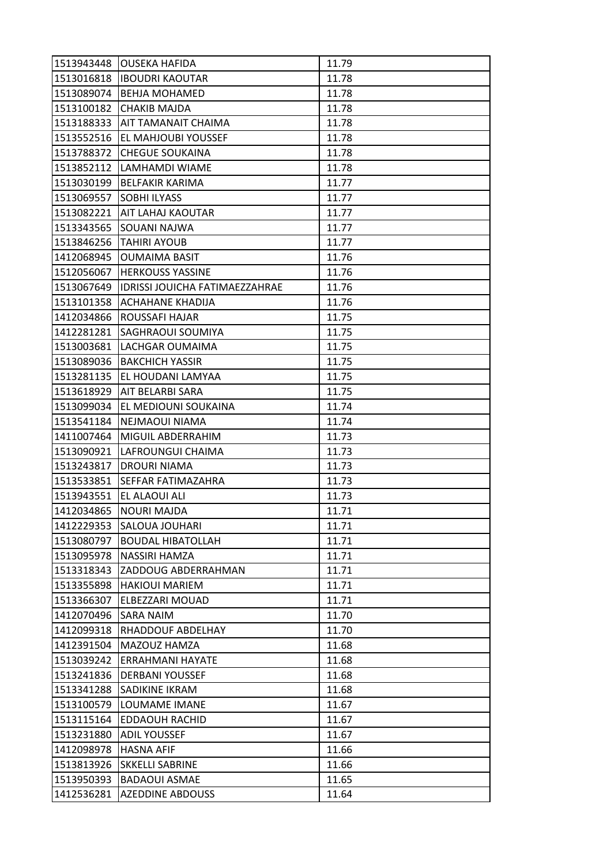| 1513943448 | JOUSEKA HAFIDA                        | 11.79 |
|------------|---------------------------------------|-------|
|            | 1513016818  IBOUDRI KAOUTAR           | 11.78 |
| 1513089074 | <b>BEHJA MOHAMED</b>                  | 11.78 |
| 1513100182 | <b>CHAKIB MAJDA</b>                   | 11.78 |
| 1513188333 | <b>AIT TAMANAIT CHAIMA</b>            | 11.78 |
| 1513552516 | <b>JEL MAHJOUBI YOUSSEF</b>           | 11.78 |
| 1513788372 | <b>CHEGUE SOUKAINA</b>                | 11.78 |
| 1513852112 | ILAMHAMDI WIAME                       | 11.78 |
| 1513030199 | <b>BELFAKIR KARIMA</b>                | 11.77 |
| 1513069557 | <b>SOBHI ILYASS</b>                   | 11.77 |
|            | 1513082221 AIT LAHAJ KAOUTAR          | 11.77 |
| 1513343565 | <b>SOUANI NAJWA</b>                   | 11.77 |
| 1513846256 | <b>TAHIRI AYOUB</b>                   | 11.77 |
| 1412068945 | <b>OUMAIMA BASIT</b>                  | 11.76 |
| 1512056067 | <b>HERKOUSS YASSINE</b>               | 11.76 |
| 1513067649 | <b>IDRISSI JOUICHA FATIMAEZZAHRAE</b> | 11.76 |
| 1513101358 | <b>ACHAHANE KHADIJA</b>               | 11.76 |
| 1412034866 | <b>ROUSSAFI HAJAR</b>                 | 11.75 |
| 1412281281 | <b>SAGHRAOUI SOUMIYA</b>              | 11.75 |
| 1513003681 | LACHGAR OUMAIMA                       | 11.75 |
|            | 1513089036 BAKCHICH YASSIR            | 11.75 |
| 1513281135 | <b>EL HOUDANI LAMYAA</b>              | 11.75 |
| 1513618929 | <b>AIT BELARBI SARA</b>               | 11.75 |
| 1513099034 | <b>JEL MEDIOUNI SOUKAINA</b>          | 11.74 |
|            | 1513541184  NEJMAOUI NIAMA            | 11.74 |
| 1411007464 | <b>MIGUIL ABDERRAHIM</b>              | 11.73 |
| 1513090921 | LAFROUNGUI CHAIMA                     | 11.73 |
| 1513243817 | <b>DROURI NIAMA</b>                   | 11.73 |
| 1513533851 | ISEFFAR FATIMAZAHRA                   | 11.73 |
| 1513943551 | <b>EL ALAOUI ALI</b>                  | 11.73 |
| 1412034865 | <b>NOURI MAJDA</b>                    | 11.71 |
| 1412229353 | <b>SALOUA JOUHARI</b>                 | 11.71 |
| 1513080797 | <b>BOUDAL HIBATOLLAH</b>              | 11.71 |
| 1513095978 | NASSIRI HAMZA                         | 11.71 |
| 1513318343 | <b>ZADDOUG ABDERRAHMAN</b>            | 11.71 |
| 1513355898 | <b>HAKIOUI MARIEM</b>                 | 11.71 |
| 1513366307 | <b>ELBEZZARI MOUAD</b>                | 11.71 |
| 1412070496 | <b>SARA NAIM</b>                      | 11.70 |
| 1412099318 | <b>RHADDOUF ABDELHAY</b>              | 11.70 |
| 1412391504 | MAZOUZ HAMZA                          | 11.68 |
| 1513039242 | <b>ERRAHMANI HAYATE</b>               | 11.68 |
| 1513241836 | <b>DERBANI YOUSSEF</b>                | 11.68 |
| 1513341288 | SADIKINE IKRAM                        | 11.68 |
| 1513100579 | LOUMAME IMANE                         | 11.67 |
| 1513115164 | <b>EDDAOUH RACHID</b>                 | 11.67 |
| 1513231880 | <b>ADIL YOUSSEF</b>                   | 11.67 |
| 1412098978 | <b>HASNA AFIF</b>                     | 11.66 |
| 1513813926 | <b>SKKELLI SABRINE</b>                | 11.66 |
| 1513950393 | <b>BADAOUI ASMAE</b>                  | 11.65 |
| 1412536281 | <b>AZEDDINE ABDOUSS</b>               | 11.64 |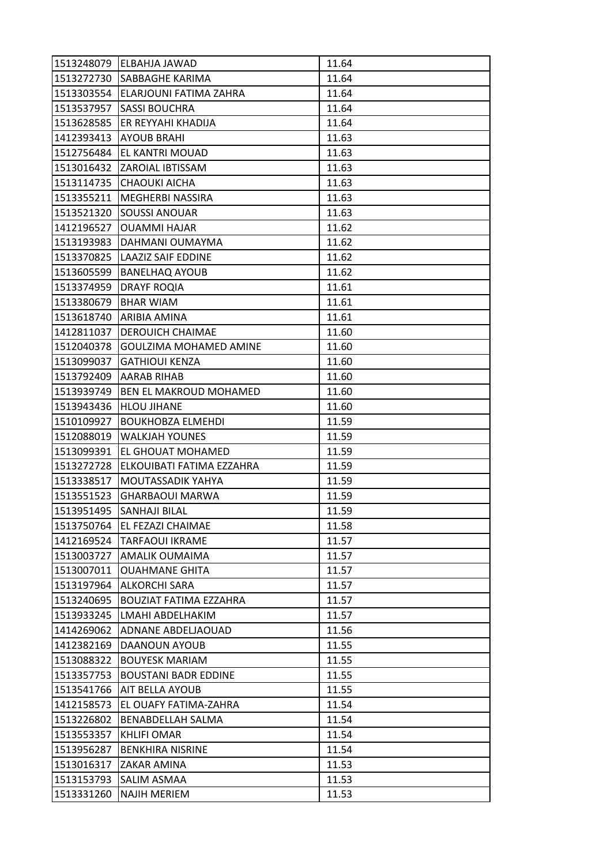|            | 1513248079 ELBAHJA JAWAD       | 11.64 |
|------------|--------------------------------|-------|
| 1513272730 | <b>SABBAGHE KARIMA</b>         | 11.64 |
| 1513303554 | <b>IELARJOUNI FATIMA ZAHRA</b> | 11.64 |
| 1513537957 | <b>SASSI BOUCHRA</b>           | 11.64 |
| 1513628585 | ER REYYAHI KHADIJA             | 11.64 |
| 1412393413 | <b>AYOUB BRAHI</b>             | 11.63 |
| 1512756484 | <b>JEL KANTRI MOUAD</b>        | 11.63 |
| 1513016432 | <b>ZAROIAL IBTISSAM</b>        | 11.63 |
|            | 1513114735 CHAOUKI AICHA       | 11.63 |
| 1513355211 | MEGHERBI NASSIRA               | 11.63 |
| 1513521320 | <b>SOUSSI ANOUAR</b>           | 11.63 |
| 1412196527 | <b>OUAMMI HAJAR</b>            | 11.62 |
| 1513193983 | DAHMANI OUMAYMA                | 11.62 |
| 1513370825 | <b>LAAZIZ SAIF EDDINE</b>      | 11.62 |
| 1513605599 | <b>BANELHAQ AYOUB</b>          | 11.62 |
| 1513374959 | <b>DRAYF ROQIA</b>             | 11.61 |
| 1513380679 | <b>BHAR WIAM</b>               | 11.61 |
| 1513618740 | ARIBIA AMINA                   | 11.61 |
| 1412811037 | <b>DEROUICH CHAIMAE</b>        | 11.60 |
| 1512040378 | GOULZIMA MOHAMED AMINE         | 11.60 |
| 1513099037 | <b>GATHIOUI KENZA</b>          | 11.60 |
| 1513792409 | IAARAB RIHAB                   | 11.60 |
| 1513939749 | <b>BEN EL MAKROUD MOHAMED</b>  | 11.60 |
| 1513943436 | <b>HLOU JIHANE</b>             | 11.60 |
| 1510109927 | <b>BOUKHOBZA ELMEHDI</b>       | 11.59 |
| 1512088019 | <b>WALKJAH YOUNES</b>          | 11.59 |
| 1513099391 | EL GHOUAT MOHAMED              | 11.59 |
| 1513272728 | ELKOUIBATI FATIMA EZZAHRA      | 11.59 |
| 1513338517 | <b>MOUTASSADIK YAHYA</b>       | 11.59 |
| 1513551523 | <b>GHARBAOUI MARWA</b>         | 11.59 |
| 1513951495 | <b>SANHAJI BILAL</b>           | 11.59 |
| 1513750764 | <b>EL FEZAZI CHAIMAE</b>       | 11.58 |
| 1412169524 | <b>TARFAOUI IKRAME</b>         | 11.57 |
| 1513003727 | <b>AMALIK OUMAIMA</b>          | 11.57 |
| 1513007011 | <b>OUAHMANE GHITA</b>          | 11.57 |
| 1513197964 | ALKORCHI SARA                  | 11.57 |
| 1513240695 | <b>BOUZIAT FATIMA EZZAHRA</b>  | 11.57 |
| 1513933245 | LMAHI ABDELHAKIM               | 11.57 |
| 1414269062 | <b>ADNANE ABDELJAOUAD</b>      | 11.56 |
| 1412382169 | <b>DAANOUN AYOUB</b>           | 11.55 |
| 1513088322 | <b>BOUYESK MARIAM</b>          | 11.55 |
| 1513357753 | <b>BOUSTANI BADR EDDINE</b>    | 11.55 |
| 1513541766 | <b>AIT BELLA AYOUB</b>         | 11.55 |
| 1412158573 | EL OUAFY FATIMA-ZAHRA          | 11.54 |
| 1513226802 | <b>BENABDELLAH SALMA</b>       | 11.54 |
| 1513553357 | <b>KHLIFI OMAR</b>             | 11.54 |
| 1513956287 | <b>BENKHIRA NISRINE</b>        | 11.54 |
| 1513016317 | ZAKAR AMINA                    | 11.53 |
| 1513153793 | <b>SALIM ASMAA</b>             | 11.53 |
| 1513331260 | <b>NAJIH MERIEM</b>            | 11.53 |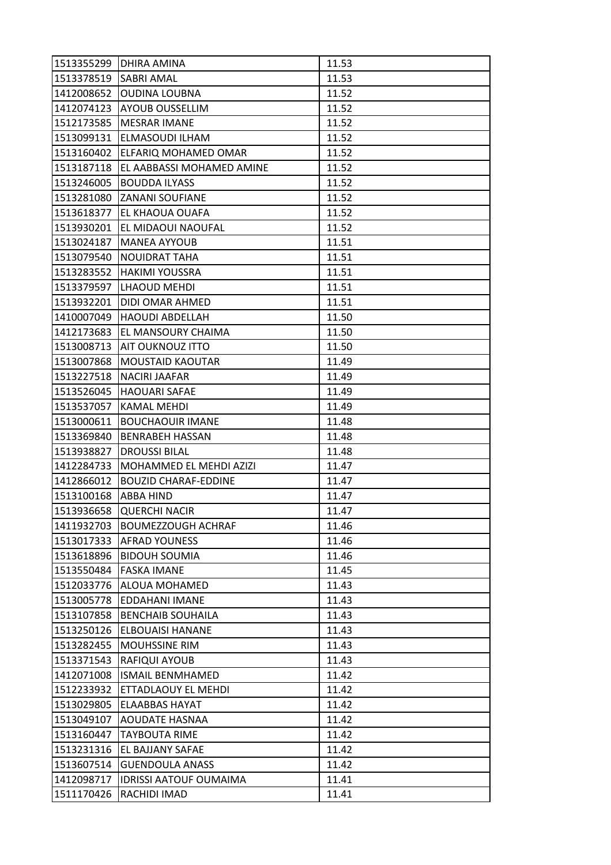| 1513355299 | <b>DHIRA AMINA</b>            | 11.53 |
|------------|-------------------------------|-------|
| 1513378519 | <b>SABRI AMAL</b>             | 11.53 |
| 1412008652 | <b>OUDINA LOUBNA</b>          | 11.52 |
| 1412074123 | <b>AYOUB OUSSELLIM</b>        | 11.52 |
| 1512173585 | <b>MESRAR IMANE</b>           | 11.52 |
| 1513099131 | ELMASOUDI ILHAM               | 11.52 |
| 1513160402 | <b>ELFARIQ MOHAMED OMAR</b>   | 11.52 |
| 1513187118 | EL AABBASSI MOHAMED AMINE     | 11.52 |
| 1513246005 | <b>BOUDDA ILYASS</b>          | 11.52 |
| 1513281080 | <b>ZANANI SOUFIANE</b>        | 11.52 |
|            | 1513618377 EL KHAOUA OUAFA    | 11.52 |
| 1513930201 | <b>EL MIDAOUI NAOUFAL</b>     | 11.52 |
| 1513024187 | lMANEA AYYOUB                 | 11.51 |
| 1513079540 | <b>INOUIDRAT TAHA</b>         | 11.51 |
| 1513283552 | HAKIMI YOUSSRA                | 11.51 |
|            | 1513379597   LHAOUD MEHDI     | 11.51 |
| 1513932201 | <b>IDIDI OMAR AHMED</b>       | 11.51 |
| 1410007049 | HAOUDI ABDELLAH               | 11.50 |
| 1412173683 | <b>EL MANSOURY CHAIMA</b>     | 11.50 |
| 1513008713 | <b>AIT OUKNOUZ ITTO</b>       | 11.50 |
| 1513007868 | <b>MOUSTAID KAOUTAR</b>       | 11.49 |
| 1513227518 | <b>NACIRI JAAFAR</b>          | 11.49 |
| 1513526045 | HAOUARI SAFAE                 | 11.49 |
| 1513537057 | <b>KAMAL MEHDI</b>            | 11.49 |
| 1513000611 | <b>BOUCHAOUIR IMANE</b>       | 11.48 |
| 1513369840 | <b>BENRABEH HASSAN</b>        | 11.48 |
| 1513938827 | <b>DROUSSI BILAL</b>          | 11.48 |
| 1412284733 | MOHAMMED EL MEHDI AZIZI       | 11.47 |
| 1412866012 | IBOUZID CHARAF-EDDINE         | 11.47 |
| 1513100168 | <b>ABBA HIND</b>              | 11.47 |
| 1513936658 | <b>QUERCHI NACIR</b>          | 11.47 |
| 1411932703 | <b>BOUMEZZOUGH ACHRAF</b>     | 11.46 |
| 1513017333 | <b>AFRAD YOUNESS</b>          | 11.46 |
| 1513618896 | <b>BIDOUH SOUMIA</b>          | 11.46 |
| 1513550484 | <b>FASKA IMANE</b>            | 11.45 |
| 1512033776 | <b>ALOUA MOHAMED</b>          | 11.43 |
| 1513005778 | <b>EDDAHANI IMANE</b>         | 11.43 |
| 1513107858 | <b>BENCHAIB SOUHAILA</b>      | 11.43 |
| 1513250126 | <b>ELBOUAISI HANANE</b>       | 11.43 |
| 1513282455 | <b>MOUHSSINE RIM</b>          | 11.43 |
| 1513371543 | <b>RAFIQUI AYOUB</b>          | 11.43 |
| 1412071008 | <b>ISMAIL BENMHAMED</b>       | 11.42 |
| 1512233932 | ETTADLAOUY EL MEHDI           | 11.42 |
| 1513029805 | <b>ELAABBAS HAYAT</b>         | 11.42 |
| 1513049107 | <b>AOUDATE HASNAA</b>         | 11.42 |
| 1513160447 | <b>TAYBOUTA RIME</b>          | 11.42 |
| 1513231316 | <b>EL BAJJANY SAFAE</b>       | 11.42 |
| 1513607514 | <b>GUENDOULA ANASS</b>        | 11.42 |
| 1412098717 | <b>IDRISSI AATOUF OUMAIMA</b> | 11.41 |
| 1511170426 | RACHIDI IMAD                  | 11.41 |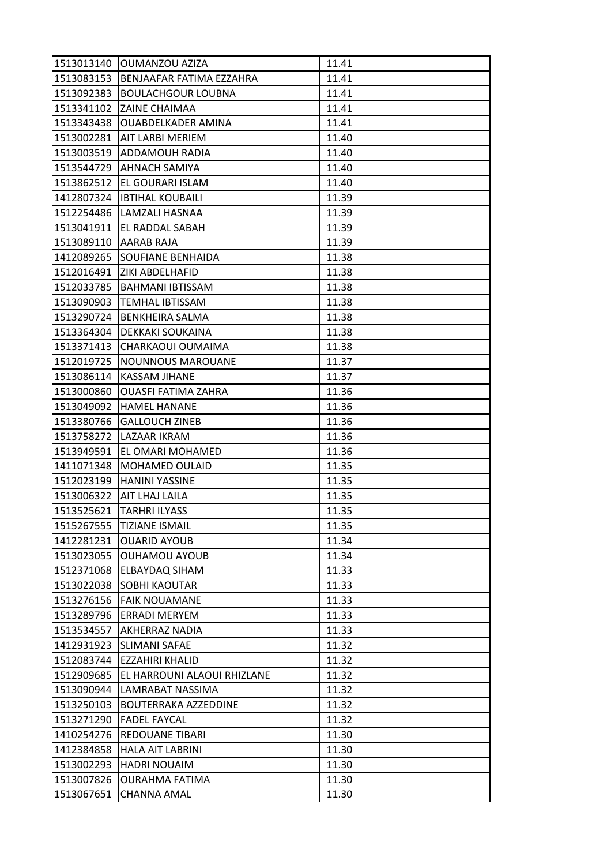|            | 1513013140 OUMANZOU AZIZA      | 11.41 |
|------------|--------------------------------|-------|
| 1513083153 | BENJAAFAR FATIMA EZZAHRA       | 11.41 |
| 1513092383 | BOULACHGOUR LOUBNA             | 11.41 |
| 1513341102 | <b>ZAINE CHAIMAA</b>           | 11.41 |
| 1513343438 | OUABDELKADER AMINA             | 11.41 |
|            | 1513002281   AIT LARBI MERIEM  | 11.40 |
| 1513003519 | <b>ADDAMOUH RADIA</b>          | 11.40 |
| 1513544729 | <b>JAHNACH SAMIYA</b>          | 11.40 |
| 1513862512 | <b>EL GOURARI ISLAM</b>        | 11.40 |
| 1412807324 | <b>IBTIHAL KOUBAILI</b>        | 11.39 |
|            | 1512254486 LAMZALI HASNAA      | 11.39 |
| 1513041911 | <b>EL RADDAL SABAH</b>         | 11.39 |
| 1513089110 | AARAB RAJA                     | 11.39 |
| 1412089265 | <b>SOUFIANE BENHAIDA</b>       | 11.38 |
|            | 1512016491 ZIKI ABDELHAFID     | 11.38 |
| 1512033785 | <b>BAHMANI IBTISSAM</b>        | 11.38 |
| 1513090903 | TEMHAL IBTISSAM                | 11.38 |
| 1513290724 | <b>BENKHEIRA SALMA</b>         | 11.38 |
| 1513364304 | <b>DEKKAKI SOUKAINA</b>        | 11.38 |
| 1513371413 | <b>CHARKAOUI OUMAIMA</b>       | 11.38 |
|            | 1512019725   NOUNNOUS MAROUANE | 11.37 |
| 1513086114 | <b>KASSAM JIHANE</b>           | 11.37 |
| 1513000860 | <b>OUASFI FATIMA ZAHRA</b>     | 11.36 |
| 1513049092 | <b>HAMEL HANANE</b>            | 11.36 |
| 1513380766 | <b>GALLOUCH ZINEB</b>          | 11.36 |
| 1513758272 | LAZAAR IKRAM                   | 11.36 |
| 1513949591 | EL OMARI MOHAMED               | 11.36 |
| 1411071348 | MOHAMED OULAID                 | 11.35 |
| 1512023199 | <b>HANINI YASSINE</b>          | 11.35 |
| 1513006322 | <b>AIT LHAJ LAILA</b>          | 11.35 |
| 1513525621 | <b>TARHRI ILYASS</b>           | 11.35 |
| 1515267555 | <b>TIZIANE ISMAIL</b>          | 11.35 |
| 1412281231 | <b>OUARID AYOUB</b>            | 11.34 |
| 1513023055 | <b>OUHAMOU AYOUB</b>           | 11.34 |
| 1512371068 | <b>ELBAYDAQ SIHAM</b>          | 11.33 |
| 1513022038 | <b>SOBHI KAOUTAR</b>           | 11.33 |
| 1513276156 | <b>FAIK NOUAMANE</b>           | 11.33 |
| 1513289796 | <b>ERRADI MERYEM</b>           | 11.33 |
| 1513534557 | <b>AKHERRAZ NADIA</b>          | 11.33 |
| 1412931923 | <b>SLIMANI SAFAE</b>           | 11.32 |
| 1512083744 | EZZAHIRI KHALID                | 11.32 |
| 1512909685 | EL HARROUNI ALAOUI RHIZLANE    | 11.32 |
| 1513090944 | LAMRABAT NASSIMA               | 11.32 |
| 1513250103 | <b>BOUTERRAKA AZZEDDINE</b>    | 11.32 |
| 1513271290 | <b>FADEL FAYCAL</b>            | 11.32 |
| 1410254276 | <b>REDOUANE TIBARI</b>         | 11.30 |
| 1412384858 | <b>HALA AIT LABRINI</b>        | 11.30 |
| 1513002293 | <b>HADRI NOUAIM</b>            | 11.30 |
| 1513007826 | <b>OURAHMA FATIMA</b>          | 11.30 |
| 1513067651 | <b>CHANNA AMAL</b>             | 11.30 |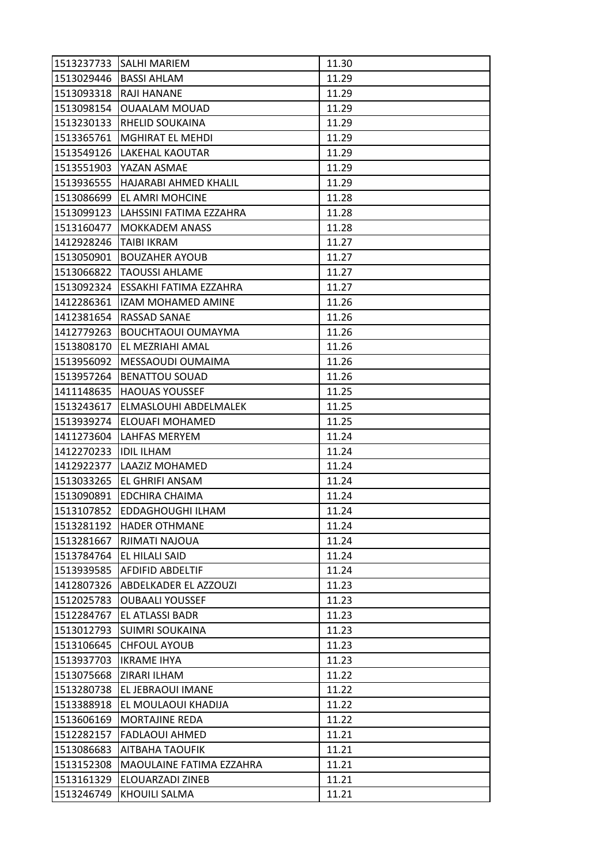| 1513237733 | <b>SALHI MARIEM</b>          | 11.30 |
|------------|------------------------------|-------|
| 1513029446 | <b>BASSI AHLAM</b>           | 11.29 |
| 1513093318 | <b>RAJI HANANE</b>           | 11.29 |
| 1513098154 | <b>OUAALAM MOUAD</b>         | 11.29 |
| 1513230133 | RHELID SOUKAINA              | 11.29 |
| 1513365761 | MGHIRAT EL MEHDI             | 11.29 |
| 1513549126 | <b>LAKEHAL KAOUTAR</b>       | 11.29 |
| 1513551903 | lYAZAN ASMAE                 | 11.29 |
| 1513936555 | HAJARABI AHMED KHALIL        | 11.29 |
| 1513086699 | <b>EL AMRI MOHCINE</b>       | 11.28 |
| 1513099123 | LAHSSINI FATIMA EZZAHRA      | 11.28 |
| 1513160477 | <b>MOKKADEM ANASS</b>        | 11.28 |
| 1412928246 | ITAIBI IKRAM                 | 11.27 |
| 1513050901 | <b>BOUZAHER AYOUB</b>        | 11.27 |
| 1513066822 | <b>TAOUSSI AHLAME</b>        | 11.27 |
| 1513092324 | ESSAKHI FATIMA EZZAHRA       | 11.27 |
| 1412286361 | lizam mohamed amine          | 11.26 |
| 1412381654 | <b>RASSAD SANAE</b>          | 11.26 |
| 1412779263 | <b>BOUCHTAOUI OUMAYMA</b>    | 11.26 |
| 1513808170 | <b>EL MEZRIAHI AMAL</b>      | 11.26 |
| 1513956092 | MESSAOUDI OUMAIMA            | 11.26 |
| 1513957264 | <b>BENATTOU SOUAD</b>        | 11.26 |
| 1411148635 | <b>HAOUAS YOUSSEF</b>        | 11.25 |
| 1513243617 | <b>ELMASLOUHI ABDELMALEK</b> | 11.25 |
| 1513939274 | <b>ELOUAFI MOHAMED</b>       | 11.25 |
| 1411273604 | <b>LAHFAS MERYEM</b>         | 11.24 |
| 1412270233 | <b>IDIL ILHAM</b>            | 11.24 |
| 1412922377 | LAAZIZ MOHAMED               | 11.24 |
| 1513033265 | EL GHRIFI ANSAM              | 11.24 |
| 1513090891 | <b>EDCHIRA CHAIMA</b>        | 11.24 |
| 1513107852 | <b>EDDAGHOUGHI ILHAM</b>     | 11.24 |
| 1513281192 | <b>HADER OTHMANE</b>         | 11.24 |
| 1513281667 | RJIMATI NAJOUA               | 11.24 |
| 1513784764 | EL HILALI SAID               | 11.24 |
| 1513939585 | <b>AFDIFID ABDELTIF</b>      | 11.24 |
| 1412807326 | <b>ABDELKADER EL AZZOUZI</b> | 11.23 |
| 1512025783 | <b>OUBAALI YOUSSEF</b>       | 11.23 |
| 1512284767 | EL ATLASSI BADR              | 11.23 |
| 1513012793 | <b>SUIMRI SOUKAINA</b>       | 11.23 |
| 1513106645 | <b>CHFOUL AYOUB</b>          | 11.23 |
| 1513937703 | <b>IKRAME IHYA</b>           | 11.23 |
| 1513075668 | ZIRARI ILHAM                 | 11.22 |
| 1513280738 | EL JEBRAOUI IMANE            | 11.22 |
| 1513388918 | EL MOULAOUI KHADIJA          | 11.22 |
| 1513606169 | <b>MORTAJINE REDA</b>        | 11.22 |
| 1512282157 | FADLAOUI AHMED               | 11.21 |
|            |                              |       |
| 1513086683 | <b>AITBAHA TAOUFIK</b>       | 11.21 |
| 1513152308 | MAOULAINE FATIMA EZZAHRA     | 11.21 |
| 1513161329 | ELOUARZADI ZINEB             | 11.21 |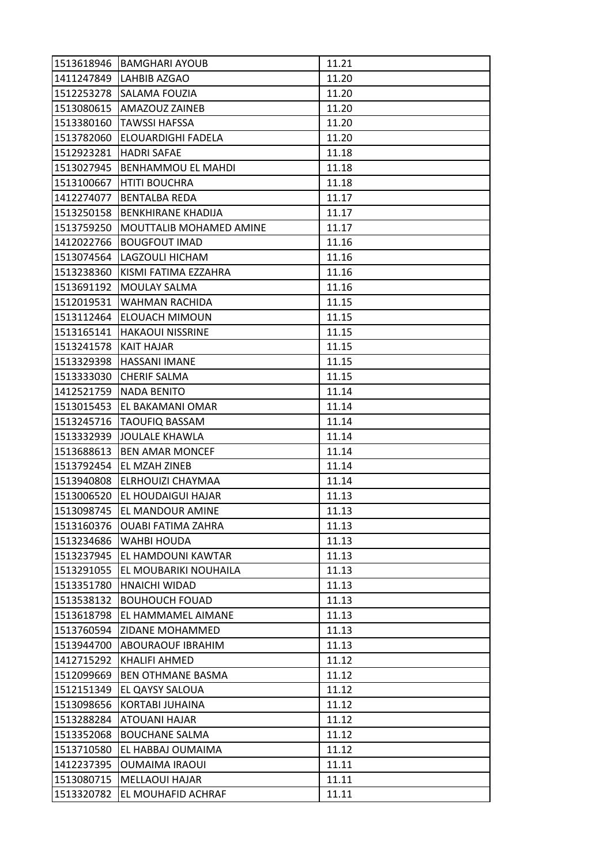|            | 1513618946   BAMGHARI AYOUB | 11.21 |
|------------|-----------------------------|-------|
|            | 1411247849 LAHBIB AZGAO     | 11.20 |
| 1512253278 | <b>SALAMA FOUZIA</b>        | 11.20 |
| 1513080615 | <b>AMAZOUZ ZAINEB</b>       | 11.20 |
| 1513380160 | <b>TAWSSI HAFSSA</b>        | 11.20 |
| 1513782060 | <b>ELOUARDIGHI FADELA</b>   | 11.20 |
| 1512923281 | <b>HADRI SAFAE</b>          | 11.18 |
| 1513027945 | <b>BENHAMMOU EL MAHDI</b>   | 11.18 |
| 1513100667 | <b>HTITI BOUCHRA</b>        | 11.18 |
| 1412274077 | <b>BENTALBA REDA</b>        | 11.17 |
| 1513250158 | <b>BENKHIRANE KHADIJA</b>   | 11.17 |
| 1513759250 | MOUTTALIB MOHAMED AMINE     | 11.17 |
| 1412022766 | <b>BOUGFOUT IMAD</b>        | 11.16 |
| 1513074564 | LAGZOULI HICHAM             | 11.16 |
| 1513238360 | KISMI FATIMA EZZAHRA        | 11.16 |
| 1513691192 | MOULAY SALMA                | 11.16 |
| 1512019531 | <b>WAHMAN RACHIDA</b>       | 11.15 |
| 1513112464 | <b>ELOUACH MIMOUN</b>       | 11.15 |
| 1513165141 | <b>HAKAOUI NISSRINE</b>     | 11.15 |
| 1513241578 | KAIT HAJAR                  | 11.15 |
|            | 1513329398   HASSANI IMANE  | 11.15 |
| 1513333030 | <b>CHERIF SALMA</b>         | 11.15 |
| 1412521759 | <b>NADA BENITO</b>          | 11.14 |
| 1513015453 | <b>EL BAKAMANI OMAR</b>     | 11.14 |
|            | 1513245716   TAOUFIQ BASSAM | 11.14 |
| 1513332939 | JOULALE KHAWLA              | 11.14 |
| 1513688613 | <b>BEN AMAR MONCEF</b>      | 11.14 |
| 1513792454 | <b>EL MZAH ZINEB</b>        | 11.14 |
| 1513940808 | ELRHOUIZI CHAYMAA           | 11.14 |
| 1513006520 | <b>EL HOUDAIGUI HAJAR</b>   | 11.13 |
| 1513098745 | <b>EL MANDOUR AMINE</b>     | 11.13 |
| 1513160376 | <b>OUABI FATIMA ZAHRA</b>   | 11.13 |
| 1513234686 | <b>WAHBI HOUDA</b>          | 11.13 |
| 1513237945 | EL HAMDOUNI KAWTAR          | 11.13 |
| 1513291055 | EL MOUBARIKI NOUHAILA       | 11.13 |
| 1513351780 | <b>HNAICHI WIDAD</b>        | 11.13 |
| 1513538132 | <b>BOUHOUCH FOUAD</b>       | 11.13 |
| 1513618798 | <b>EL HAMMAMEL AIMANE</b>   | 11.13 |
| 1513760594 | <b>ZIDANE MOHAMMED</b>      | 11.13 |
| 1513944700 | <b>ABOURAOUF IBRAHIM</b>    | 11.13 |
| 1412715292 | <b>KHALIFI AHMED</b>        | 11.12 |
| 1512099669 | <b>BEN OTHMANE BASMA</b>    | 11.12 |
| 1512151349 | <b>EL QAYSY SALOUA</b>      | 11.12 |
| 1513098656 | <b>KORTABI JUHAINA</b>      | 11.12 |
| 1513288284 | <b>ATOUANI HAJAR</b>        | 11.12 |
| 1513352068 | <b>BOUCHANE SALMA</b>       | 11.12 |
| 1513710580 | EL HABBAJ OUMAIMA           | 11.12 |
| 1412237395 | <b>OUMAIMA IRAOUI</b>       | 11.11 |
| 1513080715 | <b>MELLAOUI HAJAR</b>       | 11.11 |
| 1513320782 | EL MOUHAFID ACHRAF          | 11.11 |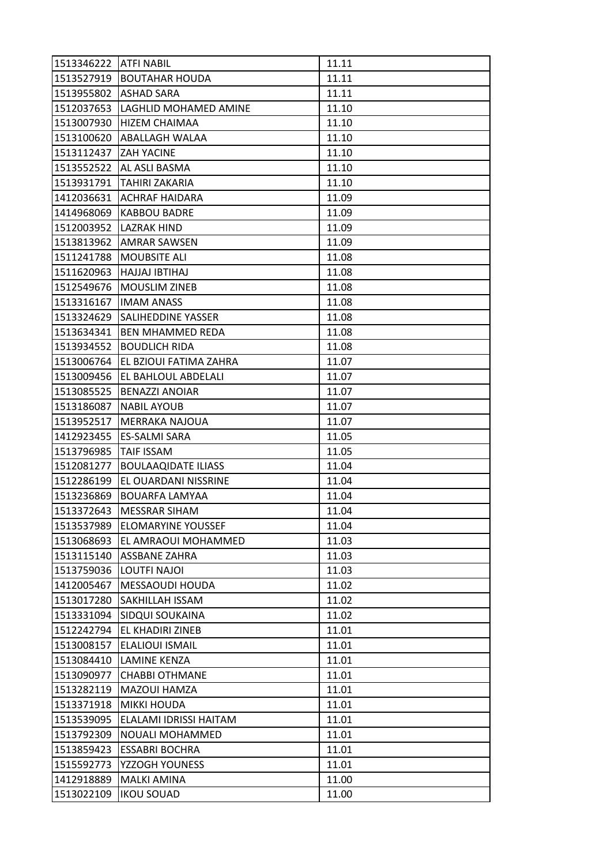| 1513346222 ATFI NABIL  |                               | 11.11 |
|------------------------|-------------------------------|-------|
|                        | 1513527919 BOUTAHAR HOUDA     | 11.11 |
| 1513955802             | <b>ASHAD SARA</b>             | 11.11 |
| 1512037653             | LAGHLID MOHAMED AMINE         | 11.10 |
| 1513007930             | <b>HIZEM CHAIMAA</b>          | 11.10 |
|                        | 1513100620  ABALLAGH WALAA    | 11.10 |
| 1513112437  ZAH YACINE |                               | 11.10 |
| 1513552522             | <b>AL ASLI BASMA</b>          | 11.10 |
|                        | 1513931791 TAHIRI ZAKARIA     | 11.10 |
| 1412036631             | IACHRAF HAIDARA               | 11.09 |
| 1414968069             | <b>KABBOU BADRE</b>           | 11.09 |
|                        | 1512003952  LAZRAK HIND       | 11.09 |
| 1513813962             | AMRAR SAWSEN                  | 11.09 |
| 1511241788             | <b>MOUBSITE ALI</b>           | 11.08 |
| 1511620963             | <b>HAJJAJ IBTIHAJ</b>         | 11.08 |
| 1512549676             | <b>MOUSLIM ZINEB</b>          | 11.08 |
| 1513316167             | <b>IMAM ANASS</b>             | 11.08 |
| 1513324629             | <b>SALIHEDDINE YASSER</b>     | 11.08 |
| 1513634341             | <b>BEN MHAMMED REDA</b>       | 11.08 |
| 1513934552             | <b>BOUDLICH RIDA</b>          | 11.08 |
| 1513006764             | <b>EL BZIOUI FATIMA ZAHRA</b> | 11.07 |
| 1513009456             | EL BAHLOUL ABDELALI           | 11.07 |
| 1513085525             | <b>BENAZZI ANOIAR</b>         | 11.07 |
| 1513186087             | <b>NABIL AYOUB</b>            | 11.07 |
| 1513952517             | <b>MERRAKA NAJOUA</b>         | 11.07 |
| 1412923455             | <b>ES-SALMI SARA</b>          | 11.05 |
| 1513796985             | <b>TAIF ISSAM</b>             | 11.05 |
| 1512081277             | <b>BOULAAQIDATE ILIASS</b>    | 11.04 |
| 1512286199             | EL OUARDANI NISSRINE          | 11.04 |
| 1513236869             | <b>BOUARFA LAMYAA</b>         | 11.04 |
| 1513372643             | <b>MESSRAR SIHAM</b>          | 11.04 |
| 1513537989             | <b>ELOMARYINE YOUSSEF</b>     | 11.04 |
| 1513068693             | EL AMRAOUI MOHAMMED           | 11.03 |
| 1513115140             | <b>ASSBANE ZAHRA</b>          | 11.03 |
| 1513759036             | LOUTFI NAJOI                  | 11.03 |
| 1412005467             | <b>MESSAOUDI HOUDA</b>        | 11.02 |
| 1513017280             | <b>SAKHILLAH ISSAM</b>        | 11.02 |
| 1513331094             | <b>SIDQUI SOUKAINA</b>        | 11.02 |
| 1512242794             | EL KHADIRI ZINEB              | 11.01 |
| 1513008157             | <b>ELALIOUI ISMAIL</b>        | 11.01 |
| 1513084410             | <b>LAMINE KENZA</b>           | 11.01 |
| 1513090977             | <b>CHABBI OTHMANE</b>         | 11.01 |
| 1513282119             | <b>MAZOUI HAMZA</b>           | 11.01 |
| 1513371918             | <b>MIKKI HOUDA</b>            | 11.01 |
| 1513539095             | ELALAMI IDRISSI HAITAM        | 11.01 |
| 1513792309             | NOUALI MOHAMMED               | 11.01 |
| 1513859423             | <b>ESSABRI BOCHRA</b>         | 11.01 |
| 1515592773             | YZZOGH YOUNESS                | 11.01 |
| 1412918889             | <b>MALKI AMINA</b>            | 11.00 |
| 1513022109             | <b>IKOU SOUAD</b>             | 11.00 |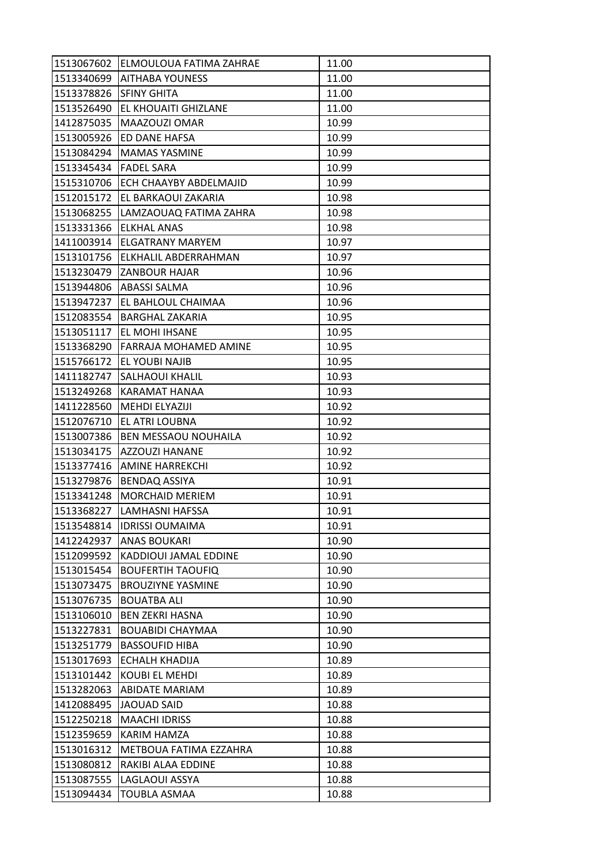|            | 1513067602 ELMOULOUA FATIMA ZAHRAE | 11.00 |
|------------|------------------------------------|-------|
| 1513340699 | <b>AITHABA YOUNESS</b>             | 11.00 |
| 1513378826 | <b>SFINY GHITA</b>                 | 11.00 |
| 1513526490 | <b>EL KHOUAITI GHIZLANE</b>        | 11.00 |
| 1412875035 | MAAZOUZI OMAR                      | 10.99 |
| 1513005926 | <b>ED DANE HAFSA</b>               | 10.99 |
| 1513084294 | MAMAS YASMINE                      | 10.99 |
| 1513345434 | <b>FADEL SARA</b>                  | 10.99 |
| 1515310706 | <b>ECH CHAAYBY ABDELMAJID</b>      | 10.99 |
| 1512015172 | EL BARKAOUI ZAKARIA                | 10.98 |
|            | 1513068255 LAMZAOUAQ FATIMA ZAHRA  | 10.98 |
| 1513331366 | <b>ELKHAL ANAS</b>                 | 10.98 |
| 1411003914 | IELGATRANY MARYEM                  | 10.97 |
|            | 1513101756 ELKHALIL ABDERRAHMAN    | 10.97 |
|            | 1513230479 ZANBOUR HAJAR           | 10.96 |
|            | 1513944806   ABASSI SALMA          | 10.96 |
|            | 1513947237  EL BAHLOUL CHAIMAA     | 10.96 |
| 1512083554 | <b>BARGHAL ZAKARIA</b>             | 10.95 |
| 1513051117 | <b>EL MOHI IHSANE</b>              | 10.95 |
| 1513368290 | <b>FARRAJA MOHAMED AMINE</b>       | 10.95 |
| 1515766172 | <b>EL YOUBI NAJIB</b>              | 10.95 |
| 1411182747 | <b>SALHAOUI KHALIL</b>             | 10.93 |
| 1513249268 | KARAMAT HANAA                      | 10.93 |
| 1411228560 | <b>MEHDI ELYAZIJI</b>              | 10.92 |
| 1512076710 | <b>JEL ATRI LOUBNA</b>             | 10.92 |
| 1513007386 | <b>BEN MESSAOU NOUHAILA</b>        | 10.92 |
| 1513034175 | <b>AZZOUZI HANANE</b>              | 10.92 |
| 1513377416 | <b>AMINE HARREKCHI</b>             | 10.92 |
| 1513279876 | <b>BENDAQ ASSIYA</b>               | 10.91 |
| 1513341248 | <b>MORCHAID MERIEM</b>             | 10.91 |
| 1513368227 | LAMHASNI HAFSSA                    | 10.91 |
| 1513548814 | <b>IDRISSI OUMAIMA</b>             | 10.91 |
| 1412242937 | <b>ANAS BOUKARI</b>                | 10.90 |
| 1512099592 | KADDIOUI JAMAL EDDINE              | 10.90 |
| 1513015454 | <b>BOUFERTIH TAOUFIQ</b>           | 10.90 |
| 1513073475 | <b>BROUZIYNE YASMINE</b>           | 10.90 |
| 1513076735 | <b>BOUATBA ALI</b>                 | 10.90 |
| 1513106010 | <b>BEN ZEKRI HASNA</b>             | 10.90 |
| 1513227831 | <b>BOUABIDI CHAYMAA</b>            | 10.90 |
| 1513251779 | <b>BASSOUFID HIBA</b>              | 10.90 |
| 1513017693 | <b>ECHALH KHADIJA</b>              | 10.89 |
| 1513101442 | <b>KOUBI EL MEHDI</b>              | 10.89 |
| 1513282063 | <b>ABIDATE MARIAM</b>              | 10.89 |
| 1412088495 | <b>JAOUAD SAID</b>                 | 10.88 |
| 1512250218 | <b>MAACHI IDRISS</b>               | 10.88 |
| 1512359659 | KARIM HAMZA                        | 10.88 |
| 1513016312 | <b>METBOUA FATIMA EZZAHRA</b>      | 10.88 |
| 1513080812 | RAKIBI ALAA EDDINE                 | 10.88 |
|            |                                    |       |
| 1513087555 | LAGLAOUI ASSYA                     | 10.88 |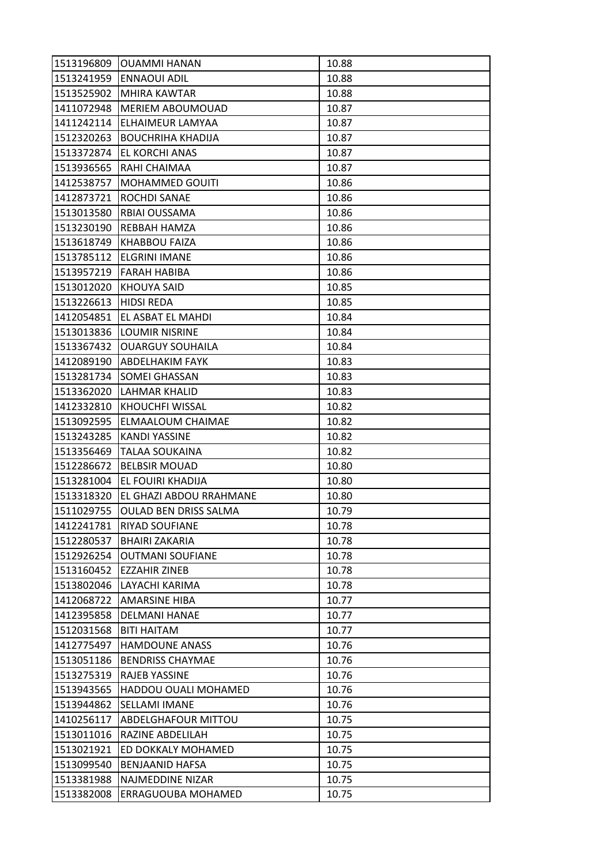| 1513196809 | <b>OUAMMI HANAN</b>          | 10.88 |
|------------|------------------------------|-------|
| 1513241959 | <b>ENNAOUI ADIL</b>          | 10.88 |
| 1513525902 | <b>MHIRA KAWTAR</b>          | 10.88 |
| 1411072948 | <b>MERIEM ABOUMOUAD</b>      | 10.87 |
| 1411242114 | ELHAIMEUR LAMYAA             | 10.87 |
| 1512320263 | <b>BOUCHRIHA KHADIJA</b>     | 10.87 |
| 1513372874 | <b>EL KORCHI ANAS</b>        | 10.87 |
| 1513936565 | RAHI CHAIMAA                 | 10.87 |
| 1412538757 | <b>MOHAMMED GOUITI</b>       | 10.86 |
| 1412873721 | <b>ROCHDI SANAE</b>          | 10.86 |
| 1513013580 | RBIAI OUSSAMA                | 10.86 |
| 1513230190 | REBBAH HAMZA                 | 10.86 |
| 1513618749 | <b>KHABBOU FAIZA</b>         | 10.86 |
| 1513785112 | <b>ELGRINI IMANE</b>         | 10.86 |
| 1513957219 | FARAH HABIBA                 | 10.86 |
| 1513012020 | <b>KHOUYA SAID</b>           | 10.85 |
| 1513226613 | HIDSI REDA                   | 10.85 |
| 1412054851 | EL ASBAT EL MAHDI            | 10.84 |
| 1513013836 | <b>LOUMIR NISRINE</b>        | 10.84 |
| 1513367432 | <b>OUARGUY SOUHAILA</b>      | 10.84 |
| 1412089190 | <b>ABDELHAKIM FAYK</b>       | 10.83 |
| 1513281734 | <b>SOMEI GHASSAN</b>         | 10.83 |
| 1513362020 | <b>LAHMAR KHALID</b>         | 10.83 |
| 1412332810 | KHOUCHFI WISSAL              | 10.82 |
| 1513092595 | <b>ELMAALOUM CHAIMAE</b>     | 10.82 |
| 1513243285 | <b>KANDI YASSINE</b>         | 10.82 |
| 1513356469 | <b>TALAA SOUKAINA</b>        | 10.82 |
| 1512286672 | <b>BELBSIR MOUAD</b>         | 10.80 |
| 1513281004 | EL FOUIRI KHADIJA            | 10.80 |
| 1513318320 | EL GHAZI ABDOU RRAHMANE      | 10.80 |
| 1511029755 | <b>OULAD BEN DRISS SALMA</b> | 10.79 |
| 1412241781 | <b>RIYAD SOUFIANE</b>        | 10.78 |
| 1512280537 | <b>BHAIRI ZAKARIA</b>        | 10.78 |
| 1512926254 | <b>OUTMANI SOUFIANE</b>      | 10.78 |
| 1513160452 | <b>EZZAHIR ZINEB</b>         | 10.78 |
| 1513802046 | LAYACHI KARIMA               | 10.78 |
| 1412068722 | <b>AMARSINE HIBA</b>         | 10.77 |
| 1412395858 | <b>DELMANI HANAE</b>         | 10.77 |
| 1512031568 | <b>BITI HAITAM</b>           | 10.77 |
| 1412775497 | <b>HAMDOUNE ANASS</b>        | 10.76 |
| 1513051186 | <b>BENDRISS CHAYMAE</b>      | 10.76 |
| 1513275319 | RAJEB YASSINE                | 10.76 |
| 1513943565 | <b>HADDOU OUALI MOHAMED</b>  | 10.76 |
| 1513944862 | lSELLAMI IMANE               | 10.76 |
| 1410256117 | <b>ABDELGHAFOUR MITTOU</b>   | 10.75 |
| 1513011016 | <b>RAZINE ABDELILAH</b>      | 10.75 |
| 1513021921 | ED DOKKALY MOHAMED           | 10.75 |
| 1513099540 | <b>BENJAANID HAFSA</b>       | 10.75 |
| 1513381988 | NAJMEDDINE NIZAR             | 10.75 |
| 1513382008 | ERRAGUOUBA MOHAMED           | 10.75 |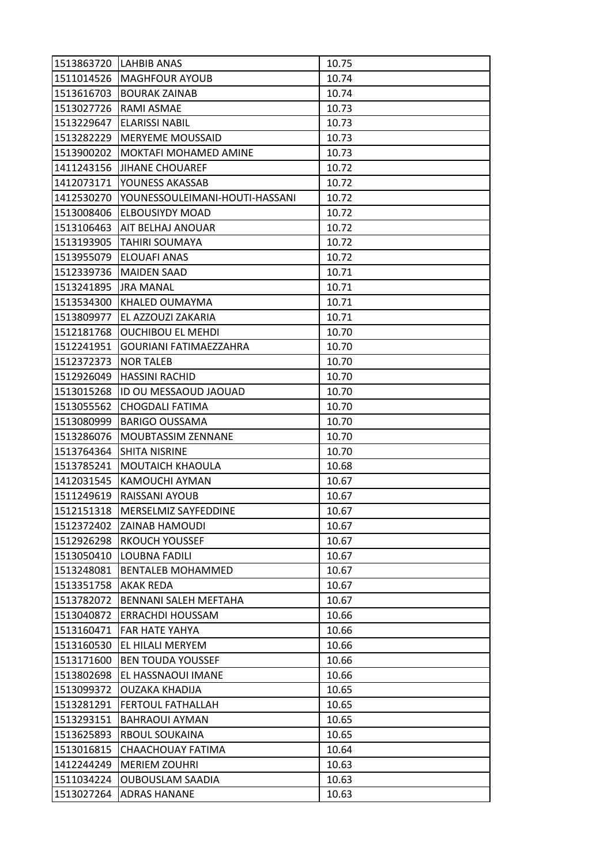|            | 1513863720 LAHBIB ANAS         | 10.75 |
|------------|--------------------------------|-------|
|            | 1511014526   MAGHFOUR AYOUB    | 10.74 |
| 1513616703 | <b>BOURAK ZAINAB</b>           | 10.74 |
| 1513027726 | RAMI ASMAE                     | 10.73 |
| 1513229647 | <b>ELARISSI NABIL</b>          | 10.73 |
| 1513282229 | <b>IMERYEME MOUSSAID</b>       | 10.73 |
| 1513900202 | <b>MOKTAFI MOHAMED AMINE</b>   | 10.73 |
| 1411243156 | <b>JJIHANE CHOUAREF</b>        | 10.72 |
| 1412073171 | <b>YOUNESS AKASSAB</b>         | 10.72 |
| 1412530270 | YOUNESSOULEIMANI-HOUTI-HASSANI | 10.72 |
| 1513008406 | <b>ELBOUSIYDY MOAD</b>         | 10.72 |
| 1513106463 | <b>AIT BELHAJ ANOUAR</b>       | 10.72 |
| 1513193905 | <b>TAHIRI SOUMAYA</b>          | 10.72 |
| 1513955079 | <b>ELOUAFI ANAS</b>            | 10.72 |
| 1512339736 | <b>MAIDEN SAAD</b>             | 10.71 |
| 1513241895 | <b>JRA MANAL</b>               | 10.71 |
| 1513534300 | KHALED OUMAYMA                 | 10.71 |
| 1513809977 | EL AZZOUZI ZAKARIA             | 10.71 |
| 1512181768 | <b>OUCHIBOU EL MEHDI</b>       | 10.70 |
| 1512241951 | <b>GOURIANI FATIMAEZZAHRA</b>  | 10.70 |
| 1512372373 | <b>NOR TALEB</b>               | 10.70 |
| 1512926049 | <b>HASSINI RACHID</b>          | 10.70 |
| 1513015268 | ID OU MESSAOUD JAOUAD          | 10.70 |
| 1513055562 | <b>CHOGDALI FATIMA</b>         | 10.70 |
| 1513080999 | <b>BARIGO OUSSAMA</b>          | 10.70 |
| 1513286076 | <b>MOUBTASSIM ZENNANE</b>      | 10.70 |
| 1513764364 | <b>SHITA NISRINE</b>           | 10.70 |
| 1513785241 | <b>MOUTAICH KHAOULA</b>        | 10.68 |
| 1412031545 | KAMOUCHI AYMAN                 | 10.67 |
| 1511249619 | RAISSANI AYOUB                 | 10.67 |
| 1512151318 | MERSELMIZ SAYFEDDINE           | 10.67 |
| 1512372402 | <b>ZAINAB HAMOUDI</b>          | 10.67 |
| 1512926298 | <b>RKOUCH YOUSSEF</b>          | 10.67 |
| 1513050410 | <b>LOUBNA FADILI</b>           | 10.67 |
| 1513248081 | <b>BENTALEB MOHAMMED</b>       | 10.67 |
| 1513351758 | AKAK REDA                      | 10.67 |
| 1513782072 | BENNANI SALEH MEFTAHA          | 10.67 |
| 1513040872 | <b>ERRACHDI HOUSSAM</b>        | 10.66 |
| 1513160471 | <b>FAR HATE YAHYA</b>          | 10.66 |
| 1513160530 | EL HILALI MERYEM               | 10.66 |
| 1513171600 | <b>BEN TOUDA YOUSSEF</b>       | 10.66 |
| 1513802698 | EL HASSNAOUI IMANE             | 10.66 |
| 1513099372 | <b>OUZAKA KHADIJA</b>          | 10.65 |
| 1513281291 | <b>FERTOUL FATHALLAH</b>       | 10.65 |
| 1513293151 | <b>BAHRAOUI AYMAN</b>          | 10.65 |
| 1513625893 | RBOUL SOUKAINA                 | 10.65 |
| 1513016815 | CHAACHOUAY FATIMA              | 10.64 |
| 1412244249 | <b>MERIEM ZOUHRI</b>           | 10.63 |
| 1511034224 | <b>OUBOUSLAM SAADIA</b>        | 10.63 |
| 1513027264 | <b>ADRAS HANANE</b>            | 10.63 |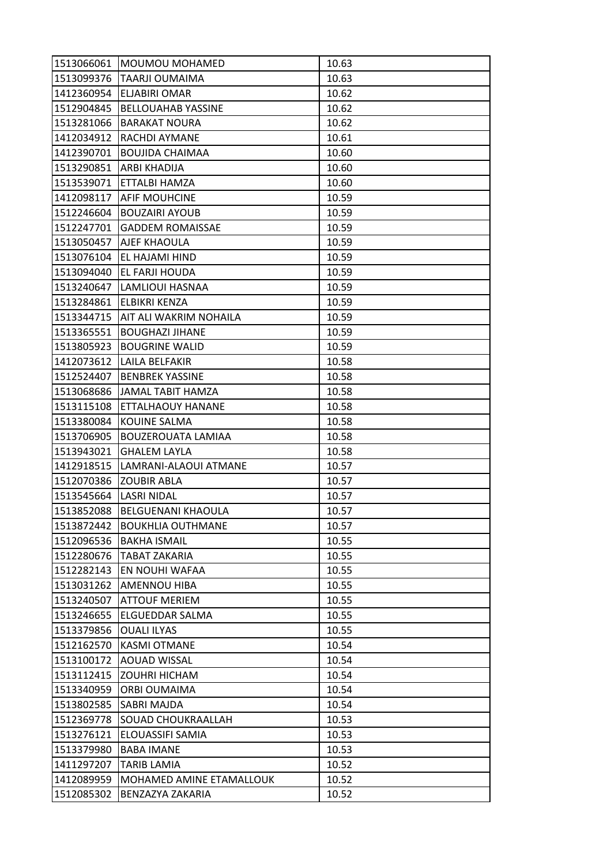|            | 1513066061   MOUMOU MOHAMED | 10.63 |
|------------|-----------------------------|-------|
| 1513099376 | <b>TAARJI OUMAIMA</b>       | 10.63 |
| 1412360954 | <b>ELJABIRI OMAR</b>        | 10.62 |
| 1512904845 | <b>BELLOUAHAB YASSINE</b>   | 10.62 |
| 1513281066 | <b>BARAKAT NOURA</b>        | 10.62 |
| 1412034912 | <b>RACHDI AYMANE</b>        | 10.61 |
| 1412390701 | <b>BOUJIDA CHAIMAA</b>      | 10.60 |
| 1513290851 | ARBI KHADIJA                | 10.60 |
| 1513539071 | ETTALBI HAMZA               | 10.60 |
| 1412098117 | <b>AFIF MOUHCINE</b>        | 10.59 |
| 1512246604 | <b>BOUZAIRI AYOUB</b>       | 10.59 |
| 1512247701 | <b>GADDEM ROMAISSAE</b>     | 10.59 |
| 1513050457 | <b>AJEF KHAOULA</b>         | 10.59 |
| 1513076104 | EL HAJAMI HIND              | 10.59 |
| 1513094040 | EL FARJI HOUDA              | 10.59 |
| 1513240647 | LAMLIOUI HASNAA             | 10.59 |
| 1513284861 | <b>ELBIKRI KENZA</b>        | 10.59 |
| 1513344715 | IAIT ALI WAKRIM NOHAILA     | 10.59 |
| 1513365551 | <b>BOUGHAZI JIHANE</b>      | 10.59 |
| 1513805923 | <b>BOUGRINE WALID</b>       | 10.59 |
| 1412073612 | <b>LAILA BELFAKIR</b>       | 10.58 |
| 1512524407 | <b>BENBREK YASSINE</b>      | 10.58 |
| 1513068686 | JAMAL TABIT HAMZA           | 10.58 |
| 1513115108 | <b>ETTALHAOUY HANANE</b>    | 10.58 |
| 1513380084 | <b>KOUINE SALMA</b>         | 10.58 |
| 1513706905 | <b>BOUZEROUATA LAMIAA</b>   | 10.58 |
| 1513943021 | <b>GHALEM LAYLA</b>         | 10.58 |
| 1412918515 | LAMRANI-ALAOUI ATMANE       | 10.57 |
| 1512070386 | <b>ZOUBIR ABLA</b>          | 10.57 |
| 1513545664 | <b>LASRI NIDAL</b>          | 10.57 |
| 1513852088 | <b>BELGUENANI KHAOULA</b>   | 10.57 |
| 1513872442 | <b>BOUKHLIA OUTHMANE</b>    | 10.57 |
| 1512096536 | <b>BAKHA ISMAIL</b>         | 10.55 |
| 1512280676 | <b>TABAT ZAKARIA</b>        | 10.55 |
| 1512282143 | EN NOUHI WAFAA              | 10.55 |
| 1513031262 | <b>AMENNOU HIBA</b>         | 10.55 |
| 1513240507 | <b>ATTOUF MERIEM</b>        | 10.55 |
| 1513246655 | <b>ELGUEDDAR SALMA</b>      | 10.55 |
| 1513379856 | <b>OUALI ILYAS</b>          | 10.55 |
| 1512162570 | <b>KASMI OTMANE</b>         | 10.54 |
| 1513100172 | <b>AOUAD WISSAL</b>         | 10.54 |
| 1513112415 | <b>ZOUHRI HICHAM</b>        | 10.54 |
| 1513340959 | <b>ORBI OUMAIMA</b>         | 10.54 |
| 1513802585 | <b>SABRI MAJDA</b>          | 10.54 |
| 1512369778 | <b>SOUAD CHOUKRAALLAH</b>   | 10.53 |
| 1513276121 | ELOUASSIFI SAMIA            | 10.53 |
| 1513379980 | <b>BABA IMANE</b>           | 10.53 |
| 1411297207 | <b>TARIB LAMIA</b>          | 10.52 |
| 1412089959 | MOHAMED AMINE ETAMALLOUK    | 10.52 |
| 1512085302 | BENZAZYA ZAKARIA            | 10.52 |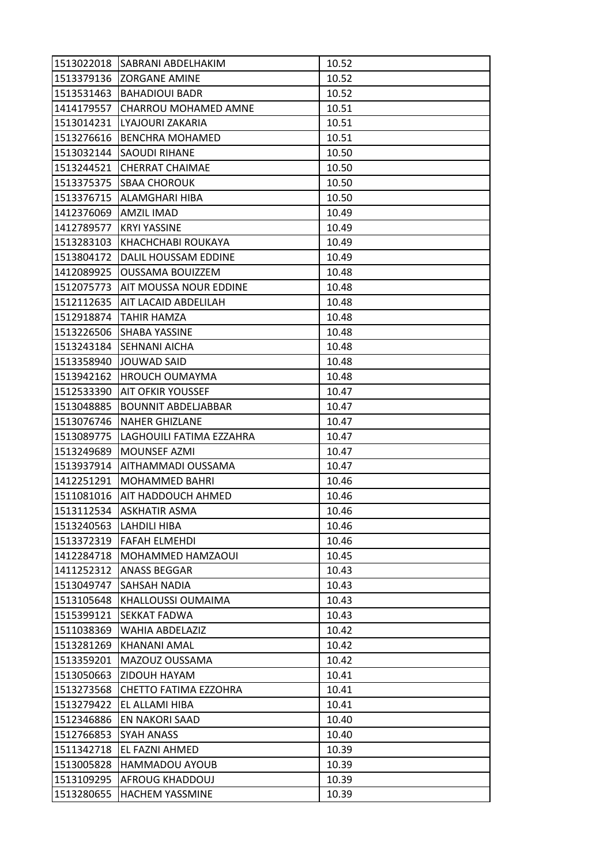| 1513022018 | <b>ISABRANI ABDELHAKIM</b>    | 10.52 |
|------------|-------------------------------|-------|
| 1513379136 | <b>ZORGANE AMINE</b>          | 10.52 |
| 1513531463 | <b>BAHADIOUI BADR</b>         | 10.52 |
| 1414179557 | CHARROU MOHAMED AMNE          | 10.51 |
| 1513014231 | LYAJOURI ZAKARIA              | 10.51 |
| 1513276616 | <b>BENCHRA MOHAMED</b>        | 10.51 |
| 1513032144 | <b>SAOUDI RIHANE</b>          | 10.50 |
| 1513244521 | <b>CHERRAT CHAIMAE</b>        | 10.50 |
| 1513375375 | <b>SBAA CHOROUK</b>           | 10.50 |
| 1513376715 | IALAMGHARI HIBA               | 10.50 |
| 1412376069 | <b>AMZIL IMAD</b>             | 10.49 |
| 1412789577 | <b>KRYI YASSINE</b>           | 10.49 |
| 1513283103 | KHACHCHABI ROUKAYA            | 10.49 |
| 1513804172 | DALIL HOUSSAM EDDINE          | 10.49 |
| 1412089925 | <b>OUSSAMA BOUIZZEM</b>       | 10.48 |
| 1512075773 | <b>AIT MOUSSA NOUR EDDINE</b> | 10.48 |
| 1512112635 | IAIT LACAID ABDELILAH         | 10.48 |
| 1512918874 | TAHIR HAMZA                   | 10.48 |
| 1513226506 | <b>SHABA YASSINE</b>          | 10.48 |
| 1513243184 | <b>SEHNANI AICHA</b>          | 10.48 |
| 1513358940 | JOUWAD SAID                   | 10.48 |
| 1513942162 | HROUCH OUMAYMA                | 10.48 |
| 1512533390 | <b>AIT OFKIR YOUSSEF</b>      | 10.47 |
| 1513048885 | <b>BOUNNIT ABDELJABBAR</b>    | 10.47 |
| 1513076746 | <b>NAHER GHIZLANE</b>         | 10.47 |
| 1513089775 | LAGHOUILI FATIMA EZZAHRA      | 10.47 |
| 1513249689 | MOUNSEF AZMI                  | 10.47 |
| 1513937914 | <b>AITHAMMADI OUSSAMA</b>     | 10.47 |
| 1412251291 | MOHAMMED BAHRI                | 10.46 |
| 1511081016 | <b>AIT HADDOUCH AHMED</b>     | 10.46 |
| 1513112534 | <b>ASKHATIR ASMA</b>          | 10.46 |
| 1513240563 | <b>LAHDILI HIBA</b>           | 10.46 |
| 1513372319 | <b>FAFAH ELMEHDI</b>          | 10.46 |
| 1412284718 | MOHAMMED HAMZAOUI             | 10.45 |
| 1411252312 | <b>ANASS BEGGAR</b>           | 10.43 |
| 1513049747 | <b>SAHSAH NADIA</b>           | 10.43 |
| 1513105648 | KHALLOUSSI OUMAIMA            | 10.43 |
| 1515399121 | <b>SEKKAT FADWA</b>           | 10.43 |
| 1511038369 | WAHIA ABDELAZIZ               | 10.42 |
| 1513281269 | <b>KHANANI AMAL</b>           | 10.42 |
| 1513359201 | MAZOUZ OUSSAMA                | 10.42 |
| 1513050663 | ZIDOUH HAYAM                  | 10.41 |
| 1513273568 | <b>CHETTO FATIMA EZZOHRA</b>  | 10.41 |
| 1513279422 | EL ALLAMI HIBA                | 10.41 |
| 1512346886 | EN NAKORI SAAD                | 10.40 |
| 1512766853 | <b>SYAH ANASS</b>             | 10.40 |
| 1511342718 | EL FAZNI AHMED                | 10.39 |
| 1513005828 | <b>HAMMADOU AYOUB</b>         | 10.39 |
| 1513109295 | <b>AFROUG KHADDOUJ</b>        | 10.39 |
| 1513280655 | <b>HACHEM YASSMINE</b>        | 10.39 |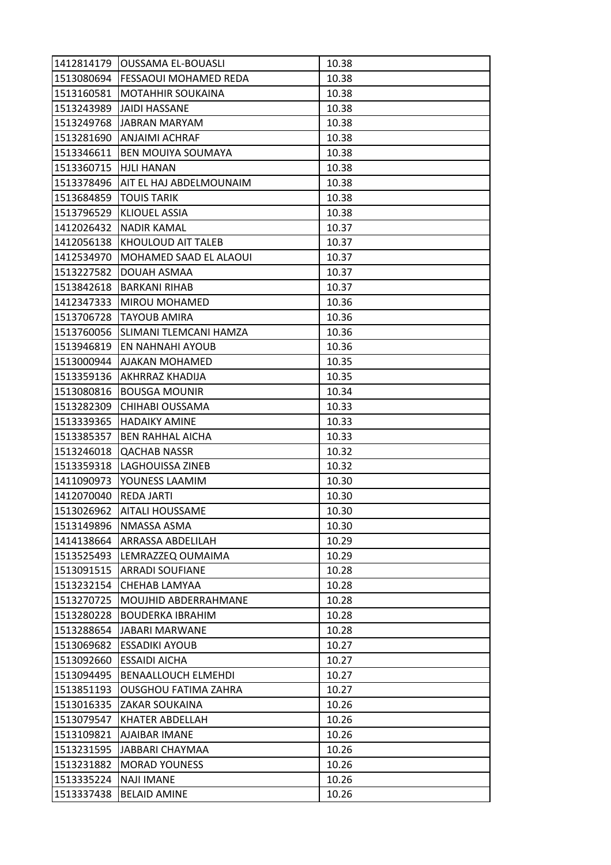| 1412814179 | <b>JOUSSAMA EL-BOUASLI</b>    | 10.38 |
|------------|-------------------------------|-------|
| 1513080694 | <b>FESSAOUI MOHAMED REDA</b>  | 10.38 |
| 1513160581 | <b>MOTAHHIR SOUKAINA</b>      | 10.38 |
| 1513243989 | JAIDI HASSANE                 | 10.38 |
| 1513249768 | <b>JABRAN MARYAM</b>          | 10.38 |
|            | 1513281690  ANJAIMI ACHRAF    | 10.38 |
| 1513346611 | <b>BEN MOUIYA SOUMAYA</b>     | 10.38 |
| 1513360715 | HJLI HANAN                    | 10.38 |
| 1513378496 | AIT EL HAJ ABDELMOUNAIM       | 10.38 |
| 1513684859 | <b>TOUIS TARIK</b>            | 10.38 |
| 1513796529 | <b>KLIOUEL ASSIA</b>          | 10.38 |
| 1412026432 | <b>NADIR KAMAL</b>            | 10.37 |
| 1412056138 | IKHOULOUD AIT TALEB           | 10.37 |
| 1412534970 | <b>MOHAMED SAAD EL ALAOUI</b> | 10.37 |
| 1513227582 | DOUAH ASMAA                   | 10.37 |
| 1513842618 | IBARKANI RIHAB                | 10.37 |
| 1412347333 | <b>MIROU MOHAMED</b>          | 10.36 |
| 1513706728 | <b>TAYOUB AMIRA</b>           | 10.36 |
| 1513760056 | <b>SLIMANI TLEMCANI HAMZA</b> | 10.36 |
| 1513946819 | <b>EN NAHNAHI AYOUB</b>       | 10.36 |
| 1513000944 | <b>AJAKAN MOHAMED</b>         | 10.35 |
| 1513359136 | <b>AKHRRAZ KHADIJA</b>        | 10.35 |
| 1513080816 | <b>BOUSGA MOUNIR</b>          | 10.34 |
| 1513282309 | CHIHABI OUSSAMA               | 10.33 |
| 1513339365 | IHADAIKY AMINE                | 10.33 |
| 1513385357 | <b>BEN RAHHAL AICHA</b>       | 10.33 |
| 1513246018 | <b>QACHAB NASSR</b>           | 10.32 |
| 1513359318 | <b>LAGHOUISSA ZINEB</b>       | 10.32 |
| 1411090973 | YOUNESS LAAMIM                | 10.30 |
| 1412070040 | <b>REDA JARTI</b>             | 10.30 |
| 1513026962 | <b>AITALI HOUSSAME</b>        | 10.30 |
| 1513149896 | NMASSA ASMA                   | 10.30 |
| 1414138664 | <b>ARRASSA ABDELILAH</b>      | 10.29 |
| 1513525493 | LEMRAZZEQ OUMAIMA             | 10.29 |
| 1513091515 | <b>ARRADI SOUFIANE</b>        | 10.28 |
| 1513232154 | CHEHAB LAMYAA                 | 10.28 |
| 1513270725 | <b>MOUJHID ABDERRAHMANE</b>   | 10.28 |
| 1513280228 | <b>BOUDERKA IBRAHIM</b>       | 10.28 |
| 1513288654 | JABARI MARWANE                | 10.28 |
| 1513069682 | <b>ESSADIKI AYOUB</b>         | 10.27 |
| 1513092660 | <b>ESSAIDI AICHA</b>          | 10.27 |
| 1513094495 | <b>BENAALLOUCH ELMEHDI</b>    | 10.27 |
| 1513851193 | <b>OUSGHOU FATIMA ZAHRA</b>   | 10.27 |
| 1513016335 | IZAKAR SOUKAINA               | 10.26 |
| 1513079547 | <b>KHATER ABDELLAH</b>        | 10.26 |
| 1513109821 | <b>AJAIBAR IMANE</b>          | 10.26 |
| 1513231595 | JABBARI CHAYMAA               | 10.26 |
| 1513231882 | <b>MORAD YOUNESS</b>          | 10.26 |
| 1513335224 | <b>NAJI IMANE</b>             | 10.26 |
| 1513337438 | <b>BELAID AMINE</b>           | 10.26 |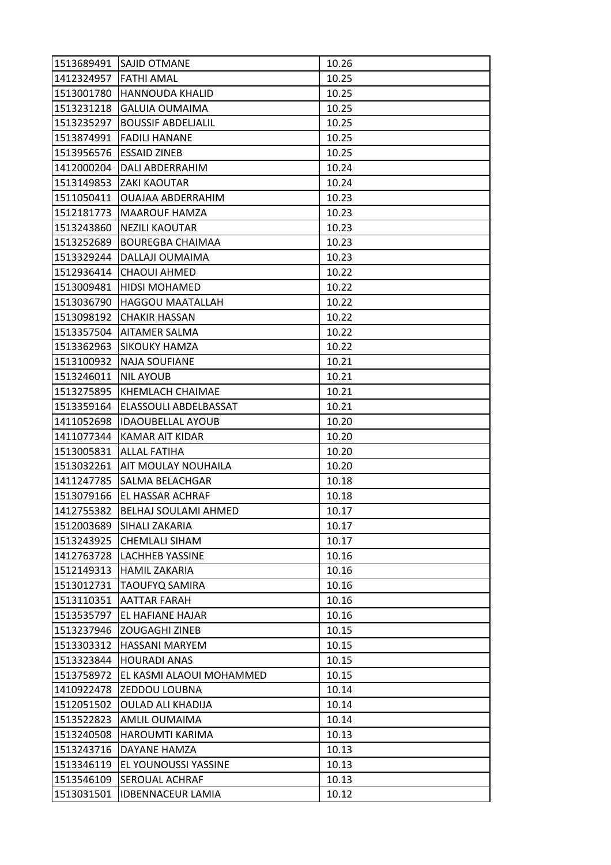|            | 1513689491 SAJID OTMANE      | 10.26 |
|------------|------------------------------|-------|
| 1412324957 | <b>FATHI AMAL</b>            | 10.25 |
| 1513001780 | HANNOUDA KHALID              | 10.25 |
| 1513231218 | <b>GALUIA OUMAIMA</b>        | 10.25 |
| 1513235297 | <b>BOUSSIF ABDELJALIL</b>    | 10.25 |
| 1513874991 | <b>FADILI HANANE</b>         | 10.25 |
| 1513956576 | <b>ESSAID ZINEB</b>          | 10.25 |
| 1412000204 | <b>DALI ABDERRAHIM</b>       | 10.24 |
| 1513149853 | <b>ZAKI KAOUTAR</b>          | 10.24 |
| 1511050411 | <b>OUAJAA ABDERRAHIM</b>     | 10.23 |
| 1512181773 | <b>MAAROUF HAMZA</b>         | 10.23 |
| 1513243860 | <b>NEZILI KAOUTAR</b>        | 10.23 |
| 1513252689 | <b>BOUREGBA CHAIMAA</b>      | 10.23 |
| 1513329244 | DALLAJI OUMAIMA              | 10.23 |
| 1512936414 | <b>CHAOUI AHMED</b>          | 10.22 |
| 1513009481 | <b>HIDSI MOHAMED</b>         | 10.22 |
| 1513036790 | <b>HAGGOU MAATALLAH</b>      | 10.22 |
| 1513098192 | <b>CHAKIR HASSAN</b>         | 10.22 |
| 1513357504 | <b>AITAMER SALMA</b>         | 10.22 |
| 1513362963 | <b>SIKOUKY HAMZA</b>         | 10.22 |
| 1513100932 | <b>NAJA SOUFIANE</b>         | 10.21 |
| 1513246011 | <b>NIL AYOUB</b>             | 10.21 |
| 1513275895 | <b>KHEMLACH CHAIMAE</b>      | 10.21 |
| 1513359164 | <b>ELASSOULI ABDELBASSAT</b> | 10.21 |
| 1411052698 | <b>IDAOUBELLAL AYOUB</b>     | 10.20 |
| 1411077344 | <b>KAMAR AIT KIDAR</b>       | 10.20 |
| 1513005831 | <b>ALLAL FATIHA</b>          | 10.20 |
| 1513032261 | <b>AIT MOULAY NOUHAILA</b>   | 10.20 |
| 1411247785 | <b>SALMA BELACHGAR</b>       | 10.18 |
| 1513079166 | <b>EL HASSAR ACHRAF</b>      | 10.18 |
| 1412755382 | <b>BELHAJ SOULAMI AHMED</b>  | 10.17 |
| 1512003689 | SIHALI ZAKARIA               | 10.17 |
| 1513243925 | <b>CHEMLALI SIHAM</b>        | 10.17 |
| 1412763728 | <b>LACHHEB YASSINE</b>       | 10.16 |
| 1512149313 | <b>HAMIL ZAKARIA</b>         | 10.16 |
| 1513012731 | <b>TAOUFYQ SAMIRA</b>        | 10.16 |
| 1513110351 | <b>AATTAR FARAH</b>          | 10.16 |
| 1513535797 | <b>EL HAFIANE HAJAR</b>      | 10.16 |
| 1513237946 | <b>ZOUGAGHI ZINEB</b>        | 10.15 |
| 1513303312 | <b>HASSANI MARYEM</b>        | 10.15 |
| 1513323844 | <b>HOURADI ANAS</b>          | 10.15 |
| 1513758972 | EL KASMI ALAOUI MOHAMMED     | 10.15 |
| 1410922478 | <b>ZEDDOU LOUBNA</b>         | 10.14 |
| 1512051502 | <b>OULAD ALI KHADIJA</b>     | 10.14 |
| 1513522823 | <b>AMLIL OUMAIMA</b>         | 10.14 |
| 1513240508 | <b>HAROUMTI KARIMA</b>       | 10.13 |
| 1513243716 | <b>DAYANE HAMZA</b>          | 10.13 |
| 1513346119 | EL YOUNOUSSI YASSINE         | 10.13 |
| 1513546109 | SEROUAL ACHRAF               | 10.13 |
| 1513031501 | <b>IDBENNACEUR LAMIA</b>     | 10.12 |